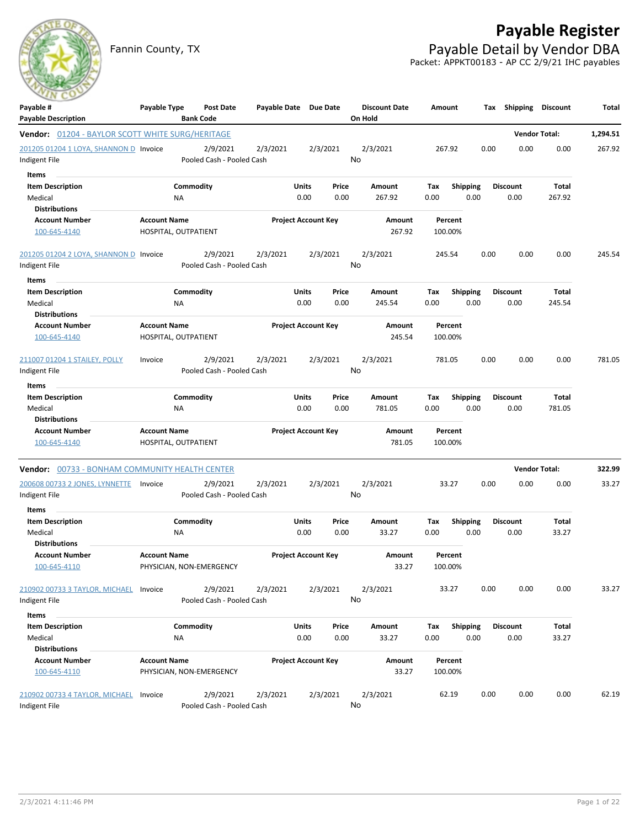

Fannin County, TX **Payable Detail by Vendor DBA** Packet: APPKT00183 - AP CC 2/9/21 IHC payables



| Payable #                                               | Payable Type        | <b>Post Date</b>          | Payable Date Due Date |                            |          | <b>Discount Date</b> | Amount             |                 | Tax  | Shipping        | <b>Discount</b>      | Total    |
|---------------------------------------------------------|---------------------|---------------------------|-----------------------|----------------------------|----------|----------------------|--------------------|-----------------|------|-----------------|----------------------|----------|
| <b>Payable Description</b>                              |                     | <b>Bank Code</b>          |                       |                            |          | On Hold              |                    |                 |      |                 |                      |          |
| <b>Vendor:</b> 01204 - BAYLOR SCOTT WHITE SURG/HERITAGE |                     |                           |                       |                            |          |                      |                    |                 |      |                 | <b>Vendor Total:</b> | 1,294.51 |
| 201205 01204 1 LOYA, SHANNON D Invoice                  |                     | 2/9/2021                  | 2/3/2021              |                            | 2/3/2021 | 2/3/2021             | 267.92             |                 | 0.00 | 0.00            | 0.00                 | 267.92   |
| Indigent File                                           |                     | Pooled Cash - Pooled Cash |                       |                            |          | No                   |                    |                 |      |                 |                      |          |
| <b>Items</b>                                            |                     |                           |                       |                            |          |                      |                    |                 |      |                 |                      |          |
| <b>Item Description</b>                                 |                     | Commodity                 |                       | Units                      | Price    | Amount               | Tax                | <b>Shipping</b> |      | <b>Discount</b> | Total                |          |
| Medical                                                 |                     | ΝA                        |                       | 0.00                       | 0.00     | 267.92               | 0.00               | 0.00            |      | 0.00            | 267.92               |          |
| <b>Distributions</b>                                    |                     |                           |                       |                            |          |                      |                    |                 |      |                 |                      |          |
| <b>Account Number</b><br>100-645-4140                   | <b>Account Name</b> | HOSPITAL, OUTPATIENT      |                       | <b>Project Account Key</b> |          | Amount<br>267.92     | Percent<br>100.00% |                 |      |                 |                      |          |
| 201205 01204 2 LOYA, SHANNON D Invoice                  |                     | 2/9/2021                  | 2/3/2021              |                            | 2/3/2021 | 2/3/2021             | 245.54             |                 | 0.00 | 0.00            | 0.00                 | 245.54   |
| Indigent File                                           |                     | Pooled Cash - Pooled Cash |                       |                            |          | No                   |                    |                 |      |                 |                      |          |
| <b>Items</b>                                            |                     |                           |                       |                            |          |                      |                    |                 |      |                 |                      |          |
| <b>Item Description</b>                                 |                     | Commodity                 |                       | Units                      | Price    | Amount               | Tax                | <b>Shipping</b> |      | <b>Discount</b> | Total                |          |
| Medical<br><b>Distributions</b>                         |                     | NA                        |                       | 0.00                       | 0.00     | 245.54               | 0.00               | 0.00            |      | 0.00            | 245.54               |          |
| <b>Account Number</b>                                   | <b>Account Name</b> |                           |                       | <b>Project Account Key</b> |          | Amount               | Percent            |                 |      |                 |                      |          |
| 100-645-4140                                            |                     | HOSPITAL, OUTPATIENT      |                       |                            |          | 245.54               | 100.00%            |                 |      |                 |                      |          |
| 211007 01204 1 STAILEY, POLLY                           | Invoice             | 2/9/2021                  | 2/3/2021              |                            | 2/3/2021 | 2/3/2021             | 781.05             |                 | 0.00 | 0.00            | 0.00                 | 781.05   |
| Indigent File                                           |                     | Pooled Cash - Pooled Cash |                       |                            |          | No                   |                    |                 |      |                 |                      |          |
| Items                                                   |                     |                           |                       |                            |          |                      |                    |                 |      |                 |                      |          |
| <b>Item Description</b>                                 |                     | Commodity                 |                       | Units                      | Price    | Amount               | Tax                | <b>Shipping</b> |      | <b>Discount</b> | Total                |          |
| Medical                                                 |                     | NA                        |                       | 0.00                       | 0.00     | 781.05               | 0.00               | 0.00            |      | 0.00            | 781.05               |          |
| <b>Distributions</b>                                    |                     |                           |                       |                            |          |                      |                    |                 |      |                 |                      |          |
| <b>Account Number</b>                                   | <b>Account Name</b> |                           |                       | <b>Project Account Key</b> |          | Amount               | Percent            |                 |      |                 |                      |          |
| 100-645-4140                                            |                     | HOSPITAL, OUTPATIENT      |                       |                            |          | 781.05               | 100.00%            |                 |      |                 |                      |          |
| Vendor: 00733 - BONHAM COMMUNITY HEALTH CENTER          |                     |                           |                       |                            |          |                      |                    |                 |      |                 | <b>Vendor Total:</b> | 322.99   |
| 200608 00733 2 JONES, LYNNETTE                          | Invoice             | 2/9/2021                  | 2/3/2021              |                            | 2/3/2021 | 2/3/2021             | 33.27              |                 | 0.00 | 0.00            | 0.00                 | 33.27    |
| Indigent File                                           |                     | Pooled Cash - Pooled Cash |                       |                            |          | No                   |                    |                 |      |                 |                      |          |
| Items                                                   |                     |                           |                       |                            |          |                      |                    |                 |      |                 |                      |          |
| <b>Item Description</b>                                 |                     | Commodity                 |                       | Units                      | Price    | Amount               | Tax                | <b>Shipping</b> |      | Discount        | Total                |          |
| Medical<br><b>Distributions</b>                         |                     | NA                        |                       | 0.00                       | 0.00     | 33.27                | 0.00               | 0.00            |      | 0.00            | 33.27                |          |
| <b>Account Number</b>                                   | <b>Account Name</b> |                           |                       | <b>Project Account Key</b> |          | Amount               | Percent            |                 |      |                 |                      |          |
| 100-645-4110                                            |                     | PHYSICIAN, NON-EMERGENCY  |                       |                            |          | 33.27                | 100.00%            |                 |      |                 |                      |          |
| 210902 00733 3 TAYLOR, MICHAEL                          | Invoice             | 2/9/2021                  | 2/3/2021              |                            | 2/3/2021 | 2/3/2021             | 33.27              |                 | 0.00 | 0.00            | 0.00                 | 33.27    |
| Indigent File                                           |                     | Pooled Cash - Pooled Cash |                       |                            |          | No                   |                    |                 |      |                 |                      |          |
| Items                                                   |                     |                           |                       |                            |          |                      |                    |                 |      |                 |                      |          |
| <b>Item Description</b>                                 |                     | Commodity                 |                       | Units                      | Price    | Amount               | Tax                | <b>Shipping</b> |      | Discount        | Total                |          |
| Medical                                                 |                     | ΝA                        |                       | 0.00                       | 0.00     | 33.27                | 0.00               | 0.00            |      | 0.00            | 33.27                |          |
| <b>Distributions</b>                                    |                     |                           |                       |                            |          |                      |                    |                 |      |                 |                      |          |
| <b>Account Number</b><br>100-645-4110                   | <b>Account Name</b> | PHYSICIAN, NON-EMERGENCY  |                       | <b>Project Account Key</b> |          | Amount<br>33.27      | Percent<br>100.00% |                 |      |                 |                      |          |
| 210902 00733 4 TAYLOR, MICHAEL                          | Invoice             | 2/9/2021                  | 2/3/2021              |                            | 2/3/2021 | 2/3/2021             | 62.19              |                 | 0.00 | 0.00            | 0.00                 | 62.19    |
| Indigent File                                           |                     | Pooled Cash - Pooled Cash |                       |                            |          | No                   |                    |                 |      |                 |                      |          |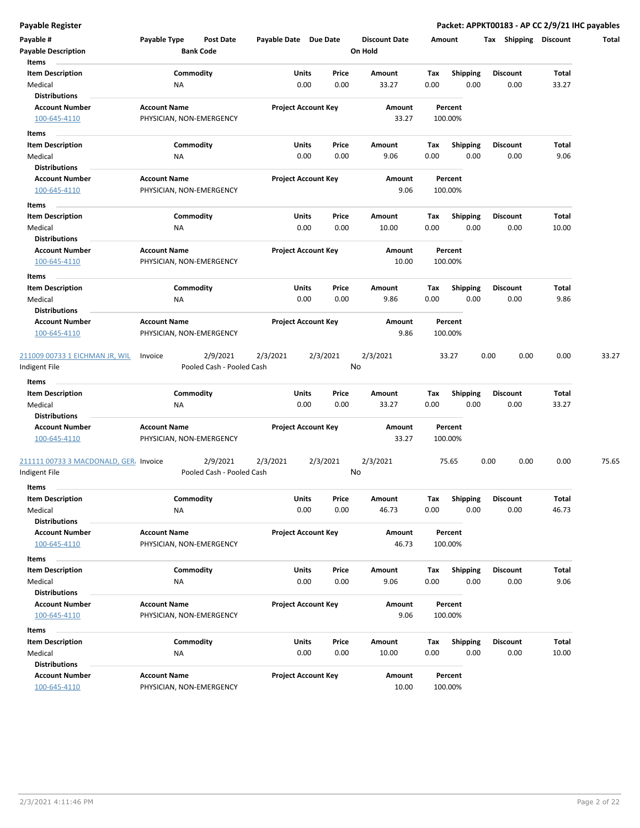| Payable #<br><b>Payable Description</b>                             | Payable Type                                    | Post Date<br><b>Bank Code</b>         | Payable Date Due Date |                            |                | <b>Discount Date</b><br>On Hold | Amount      |                         | Shipping<br>Tax         | <b>Discount</b> | Total |
|---------------------------------------------------------------------|-------------------------------------------------|---------------------------------------|-----------------------|----------------------------|----------------|---------------------------------|-------------|-------------------------|-------------------------|-----------------|-------|
| Items<br><b>Item Description</b><br>Medical<br><b>Distributions</b> | ΝA                                              | Commodity                             |                       | Units<br>0.00              | Price<br>0.00  | Amount<br>33.27                 | Tax<br>0.00 | <b>Shipping</b><br>0.00 | <b>Discount</b><br>0.00 | Total<br>33.27  |       |
| <b>Account Number</b><br>100-645-4110                               | <b>Account Name</b><br>PHYSICIAN, NON-EMERGENCY |                                       |                       | <b>Project Account Key</b> |                | Amount<br>33.27                 |             | Percent<br>100.00%      |                         |                 |       |
| Items                                                               |                                                 |                                       |                       |                            |                |                                 |             |                         |                         |                 |       |
| <b>Item Description</b>                                             |                                                 | Commodity                             |                       | Units                      | Price          | Amount                          | Тах         | <b>Shipping</b>         | <b>Discount</b>         | Total           |       |
| Medical<br><b>Distributions</b>                                     | ΝA                                              |                                       |                       | 0.00                       | 0.00           | 9.06                            | 0.00        | 0.00                    | 0.00                    | 9.06            |       |
| <b>Account Number</b>                                               | <b>Account Name</b>                             |                                       |                       | <b>Project Account Key</b> |                | Amount                          |             | Percent                 |                         |                 |       |
| 100-645-4110                                                        | PHYSICIAN, NON-EMERGENCY                        |                                       |                       |                            |                | 9.06                            |             | 100.00%                 |                         |                 |       |
|                                                                     |                                                 |                                       |                       |                            |                |                                 |             |                         |                         |                 |       |
| Items                                                               |                                                 |                                       |                       |                            |                |                                 |             |                         |                         |                 |       |
| <b>Item Description</b>                                             |                                                 | Commodity                             |                       | <b>Units</b><br>0.00       | Price<br>0.00  | Amount<br>10.00                 | Tax<br>0.00 | <b>Shipping</b><br>0.00 | <b>Discount</b><br>0.00 | Total<br>10.00  |       |
| Medical<br><b>Distributions</b>                                     | ΝA                                              |                                       |                       |                            |                |                                 |             |                         |                         |                 |       |
| <b>Account Number</b>                                               | <b>Account Name</b>                             |                                       |                       | <b>Project Account Key</b> |                | Amount                          |             | Percent                 |                         |                 |       |
| 100-645-4110                                                        | PHYSICIAN, NON-EMERGENCY                        |                                       |                       |                            |                | 10.00                           |             | 100.00%                 |                         |                 |       |
| Items                                                               |                                                 |                                       |                       |                            |                |                                 |             |                         |                         |                 |       |
| <b>Item Description</b>                                             |                                                 | Commodity                             |                       | Units                      | Price          | Amount                          | Tax         | <b>Shipping</b>         | <b>Discount</b>         | Total           |       |
| Medical                                                             | <b>NA</b>                                       |                                       |                       | 0.00                       | 0.00           | 9.86                            | 0.00        | 0.00                    | 0.00                    | 9.86            |       |
| <b>Distributions</b>                                                |                                                 |                                       |                       |                            |                |                                 |             |                         |                         |                 |       |
| <b>Account Number</b>                                               | <b>Account Name</b>                             |                                       |                       | <b>Project Account Key</b> |                | Amount                          |             | Percent                 |                         |                 |       |
| 100-645-4110                                                        | PHYSICIAN, NON-EMERGENCY                        |                                       |                       |                            |                | 9.86                            |             | 100.00%                 |                         |                 |       |
| 211009 00733 1 EICHMAN JR, WIL                                      | Invoice                                         | 2/9/2021<br>Pooled Cash - Pooled Cash | 2/3/2021              |                            | 2/3/2021<br>No | 2/3/2021                        |             | 33.27                   | 0.00<br>0.00            | 0.00            | 33.27 |
| Indigent File                                                       |                                                 |                                       |                       |                            |                |                                 |             |                         |                         |                 |       |
| Items                                                               |                                                 |                                       |                       |                            |                |                                 |             |                         |                         |                 |       |
| <b>Item Description</b><br>Medical                                  | ΝA                                              | Commodity                             |                       | Units<br>0.00              | Price<br>0.00  | Amount<br>33.27                 | Tax<br>0.00 | <b>Shipping</b><br>0.00 | <b>Discount</b><br>0.00 | Total<br>33.27  |       |
| <b>Distributions</b>                                                |                                                 |                                       |                       |                            |                |                                 |             |                         |                         |                 |       |
| <b>Account Number</b><br>100-645-4110                               | <b>Account Name</b><br>PHYSICIAN, NON-EMERGENCY |                                       |                       | <b>Project Account Key</b> |                | Amount<br>33.27                 |             | Percent<br>100.00%      |                         |                 |       |
| 211111 00733 3 MACDONALD, GER, Invoice<br>Indigent File             |                                                 | 2/9/2021<br>Pooled Cash - Pooled Cash | 2/3/2021              |                            | 2/3/2021<br>No | 2/3/2021                        |             | 75.65                   | 0.00<br>0.00            | 0.00            | 75.65 |
| Items                                                               |                                                 |                                       |                       |                            |                |                                 |             |                         |                         |                 |       |
| <b>Item Description</b>                                             |                                                 | Commodity                             |                       | Units                      | Price          | Amount                          | Tax         | <b>Shipping</b>         | <b>Discount</b>         | Total           |       |
| Medical                                                             | ΝA                                              |                                       |                       | 0.00                       | 0.00           | 46.73                           | 0.00        | 0.00                    | 0.00                    | 46.73           |       |
| <b>Distributions</b>                                                |                                                 |                                       |                       |                            |                |                                 |             |                         |                         |                 |       |
| <b>Account Number</b><br>100-645-4110                               | <b>Account Name</b><br>PHYSICIAN, NON-EMERGENCY |                                       |                       | <b>Project Account Key</b> |                | Amount<br>46.73                 |             | Percent<br>100.00%      |                         |                 |       |
| Items                                                               |                                                 |                                       |                       |                            |                |                                 |             |                         |                         |                 |       |
| <b>Item Description</b>                                             |                                                 | Commodity                             |                       | Units                      | Price          | Amount                          | Tax         | <b>Shipping</b>         | <b>Discount</b>         | Total           |       |
| Medical                                                             | <b>NA</b>                                       |                                       |                       | 0.00                       | 0.00           | 9.06                            | 0.00        | 0.00                    | 0.00                    | 9.06            |       |
| <b>Distributions</b>                                                |                                                 |                                       |                       |                            |                |                                 |             |                         |                         |                 |       |
| <b>Account Number</b>                                               | <b>Account Name</b>                             |                                       |                       | <b>Project Account Key</b> |                | Amount                          |             | Percent                 |                         |                 |       |
| 100-645-4110                                                        | PHYSICIAN, NON-EMERGENCY                        |                                       |                       |                            |                | 9.06                            |             | 100.00%                 |                         |                 |       |
| Items                                                               |                                                 |                                       |                       |                            |                |                                 |             |                         |                         |                 |       |
| <b>Item Description</b>                                             |                                                 | Commodity                             |                       | Units                      | Price          | Amount                          | Тах         | <b>Shipping</b>         | Discount                | Total           |       |
| Medical                                                             | ΝA                                              |                                       |                       | 0.00                       | 0.00           | 10.00                           | 0.00        | 0.00                    | 0.00                    | 10.00           |       |
| <b>Distributions</b>                                                |                                                 |                                       |                       |                            |                |                                 |             |                         |                         |                 |       |
| <b>Account Number</b>                                               | <b>Account Name</b>                             |                                       |                       | <b>Project Account Key</b> |                | Amount                          |             | Percent                 |                         |                 |       |
| 100-645-4110                                                        | PHYSICIAN, NON-EMERGENCY                        |                                       |                       |                            |                | 10.00                           |             | 100.00%                 |                         |                 |       |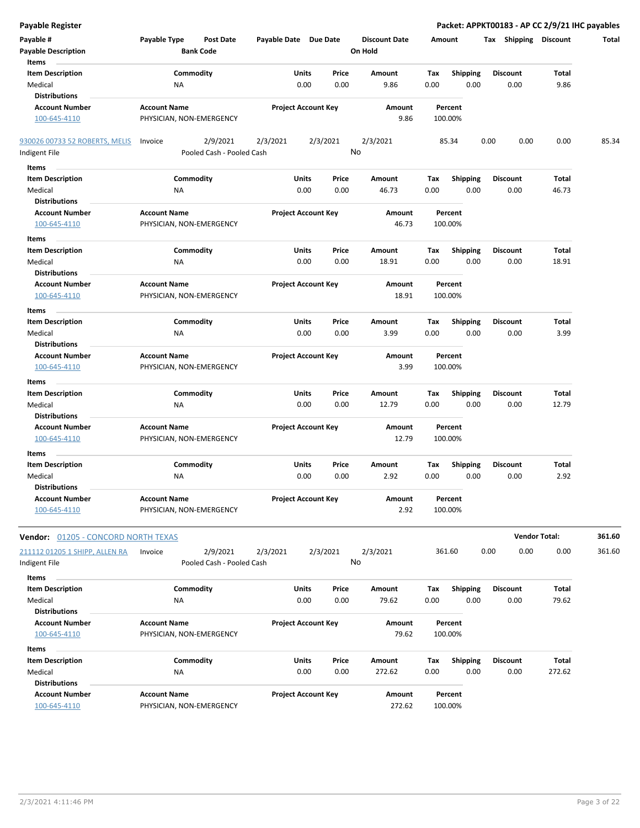| <b>Payable Register</b>                    |                          |                           |                       |                            |      |                      |        |                 |      |                 | Packet: APPKT00183 - AP CC 2/9/21 IHC payables |        |
|--------------------------------------------|--------------------------|---------------------------|-----------------------|----------------------------|------|----------------------|--------|-----------------|------|-----------------|------------------------------------------------|--------|
| Payable #                                  | Payable Type             | Post Date                 | Payable Date Due Date |                            |      | <b>Discount Date</b> | Amount |                 |      |                 | Tax Shipping Discount                          | Total  |
| <b>Payable Description</b>                 |                          | <b>Bank Code</b>          |                       |                            |      | On Hold              |        |                 |      |                 |                                                |        |
| Items                                      |                          |                           |                       |                            |      |                      |        |                 |      |                 |                                                |        |
| <b>Item Description</b>                    | Commodity                |                           |                       | Units<br>Price             |      | Amount               | Tax    | <b>Shipping</b> |      | <b>Discount</b> | Total                                          |        |
| Medical                                    | <b>NA</b>                |                           |                       | 0.00<br>0.00               |      | 9.86                 | 0.00   | 0.00            |      | 0.00            | 9.86                                           |        |
| <b>Distributions</b>                       |                          |                           |                       |                            |      |                      |        |                 |      |                 |                                                |        |
| <b>Account Number</b>                      | <b>Account Name</b>      |                           |                       | <b>Project Account Key</b> |      | Amount               |        | Percent         |      |                 |                                                |        |
| 100-645-4110                               | PHYSICIAN, NON-EMERGENCY |                           |                       |                            |      | 9.86                 |        | 100.00%         |      |                 |                                                |        |
| 930026 00733 52 ROBERTS, MELIS             | Invoice                  | 2/9/2021                  | 2/3/2021              | 2/3/2021                   |      | 2/3/2021             |        | 85.34           | 0.00 | 0.00            | 0.00                                           | 85.34  |
| Indigent File                              |                          | Pooled Cash - Pooled Cash |                       |                            | No   |                      |        |                 |      |                 |                                                |        |
| Items                                      |                          |                           |                       |                            |      |                      |        |                 |      |                 |                                                |        |
| <b>Item Description</b>                    | Commodity                |                           |                       | Units<br>Price             |      | Amount               | Tax    | <b>Shipping</b> |      | <b>Discount</b> | Total                                          |        |
| Medical                                    | ΝA                       |                           |                       | 0.00                       | 0.00 | 46.73                | 0.00   | 0.00            |      | 0.00            | 46.73                                          |        |
| <b>Distributions</b>                       |                          |                           |                       |                            |      |                      |        |                 |      |                 |                                                |        |
| <b>Account Number</b>                      | <b>Account Name</b>      |                           |                       | <b>Project Account Key</b> |      | Amount               |        | Percent         |      |                 |                                                |        |
| 100-645-4110                               | PHYSICIAN, NON-EMERGENCY |                           |                       |                            |      | 46.73                |        | 100.00%         |      |                 |                                                |        |
| Items                                      |                          |                           |                       |                            |      |                      |        |                 |      |                 |                                                |        |
| <b>Item Description</b>                    | Commodity                |                           |                       | Units<br>Price             |      | Amount               | Tax    | <b>Shipping</b> |      | <b>Discount</b> | Total                                          |        |
| Medical                                    | <b>NA</b>                |                           |                       | 0.00                       | 0.00 | 18.91                | 0.00   | 0.00            |      | 0.00            | 18.91                                          |        |
| <b>Distributions</b>                       |                          |                           |                       |                            |      |                      |        |                 |      |                 |                                                |        |
| <b>Account Number</b>                      | <b>Account Name</b>      |                           |                       | <b>Project Account Key</b> |      | Amount               |        | Percent         |      |                 |                                                |        |
| 100-645-4110                               | PHYSICIAN, NON-EMERGENCY |                           |                       |                            |      | 18.91                |        | 100.00%         |      |                 |                                                |        |
| Items                                      |                          |                           |                       |                            |      |                      |        |                 |      |                 |                                                |        |
| <b>Item Description</b>                    | Commodity                |                           |                       | Units<br>Price             |      | Amount               | Tax    | <b>Shipping</b> |      | <b>Discount</b> | Total                                          |        |
| Medical                                    | <b>NA</b>                |                           |                       | 0.00                       | 0.00 | 3.99                 | 0.00   | 0.00            |      | 0.00            | 3.99                                           |        |
| <b>Distributions</b>                       |                          |                           |                       |                            |      |                      |        |                 |      |                 |                                                |        |
| <b>Account Number</b>                      | <b>Account Name</b>      |                           |                       | <b>Project Account Key</b> |      | Amount               |        | Percent         |      |                 |                                                |        |
| 100-645-4110                               | PHYSICIAN, NON-EMERGENCY |                           |                       |                            |      | 3.99                 |        | 100.00%         |      |                 |                                                |        |
| Items                                      |                          |                           |                       |                            |      |                      |        |                 |      |                 |                                                |        |
| <b>Item Description</b>                    | Commodity                |                           |                       | Units<br>Price             |      | Amount               | Тах    | <b>Shipping</b> |      | <b>Discount</b> | Total                                          |        |
| Medical                                    | <b>NA</b>                |                           |                       | 0.00                       | 0.00 | 12.79                | 0.00   | 0.00            |      | 0.00            | 12.79                                          |        |
| <b>Distributions</b>                       |                          |                           |                       |                            |      |                      |        |                 |      |                 |                                                |        |
| <b>Account Number</b>                      | <b>Account Name</b>      |                           |                       | <b>Project Account Key</b> |      | Amount               |        | Percent         |      |                 |                                                |        |
| 100-645-4110                               | PHYSICIAN, NON-EMERGENCY |                           |                       |                            |      | 12.79                |        | 100.00%         |      |                 |                                                |        |
| Items                                      |                          |                           |                       |                            |      |                      |        |                 |      |                 |                                                |        |
| <b>Item Description</b>                    | Commodity                |                           |                       | Units<br>Price             |      | Amount               | Tax    | <b>Shipping</b> |      | <b>Discount</b> | Total                                          |        |
| Medical                                    | <b>NA</b>                |                           |                       | 0.00                       | 0.00 | 2.92                 | 0.00   | 0.00            |      | 0.00            | 2.92                                           |        |
| <b>Distributions</b>                       |                          |                           |                       |                            |      |                      |        |                 |      |                 |                                                |        |
| <b>Account Number</b>                      | <b>Account Name</b>      |                           |                       | <b>Project Account Key</b> |      | Amount               |        | Percent         |      |                 |                                                |        |
| 100-645-4110                               | PHYSICIAN, NON-EMERGENCY |                           |                       |                            |      | 2.92                 |        | 100.00%         |      |                 |                                                |        |
|                                            |                          |                           |                       |                            |      |                      |        |                 |      |                 |                                                |        |
| <b>Vendor: 01205 - CONCORD NORTH TEXAS</b> |                          |                           |                       |                            |      |                      |        |                 |      |                 | <b>Vendor Total:</b>                           | 361.60 |
| 211112 01205 1 SHIPP, ALLEN RA             | Invoice                  | 2/9/2021                  | 2/3/2021              | 2/3/2021                   | No   | 2/3/2021             |        | 361.60          | 0.00 | 0.00            | 0.00                                           | 361.60 |
| Indigent File                              |                          | Pooled Cash - Pooled Cash |                       |                            |      |                      |        |                 |      |                 |                                                |        |
| Items                                      |                          |                           |                       |                            |      |                      |        |                 |      |                 |                                                |        |
| <b>Item Description</b>                    | Commodity                |                           |                       | Units<br>Price             |      | Amount               | Tax    | <b>Shipping</b> |      | <b>Discount</b> | Total                                          |        |
| Medical                                    | ΝA                       |                           |                       | 0.00                       | 0.00 | 79.62                | 0.00   | 0.00            |      | 0.00            | 79.62                                          |        |
| <b>Distributions</b>                       |                          |                           |                       |                            |      |                      |        |                 |      |                 |                                                |        |
| <b>Account Number</b>                      | <b>Account Name</b>      |                           |                       | <b>Project Account Key</b> |      | Amount               |        | Percent         |      |                 |                                                |        |
| 100-645-4110                               | PHYSICIAN, NON-EMERGENCY |                           |                       |                            |      | 79.62                |        | 100.00%         |      |                 |                                                |        |
| Items                                      |                          |                           |                       |                            |      |                      |        |                 |      |                 |                                                |        |
| <b>Item Description</b>                    | Commodity                |                           |                       | Units<br>Price             |      | Amount               | Tax    | Shipping        |      | <b>Discount</b> | Total                                          |        |
| Medical                                    | <b>NA</b>                |                           |                       | 0.00                       | 0.00 | 272.62               | 0.00   | 0.00            |      | 0.00            | 272.62                                         |        |
| <b>Distributions</b>                       |                          |                           |                       |                            |      |                      |        |                 |      |                 |                                                |        |
| <b>Account Number</b>                      | <b>Account Name</b>      |                           |                       | <b>Project Account Key</b> |      | Amount               |        | Percent         |      |                 |                                                |        |
| 100-645-4110                               | PHYSICIAN, NON-EMERGENCY |                           |                       |                            |      | 272.62               |        | 100.00%         |      |                 |                                                |        |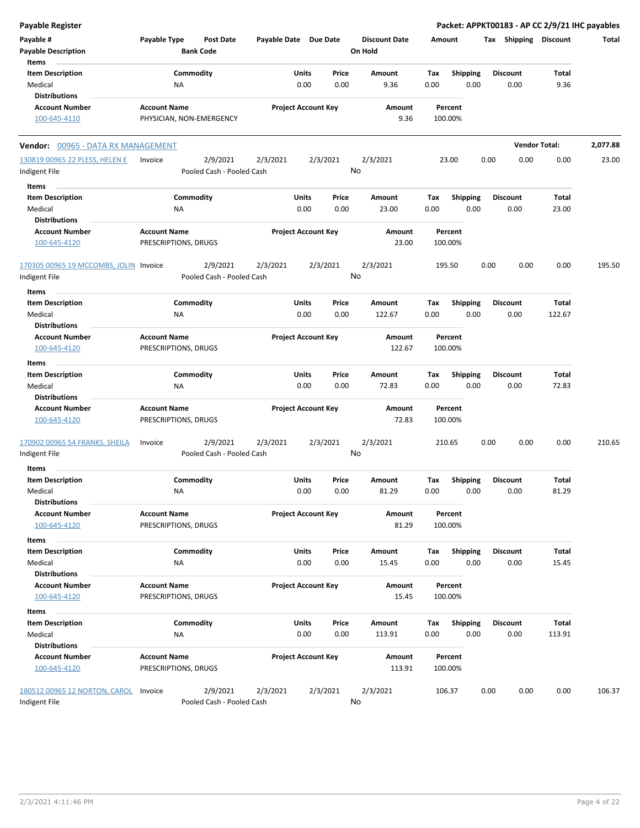| <b>Payable Register</b>                                       |                                             |                                       |                       |                                |                                 |                    |                         |      |                         | Packet: APPKT00183 - AP CC 2/9/21 IHC payables |          |
|---------------------------------------------------------------|---------------------------------------------|---------------------------------------|-----------------------|--------------------------------|---------------------------------|--------------------|-------------------------|------|-------------------------|------------------------------------------------|----------|
| Payable #<br><b>Payable Description</b>                       | Payable Type                                | <b>Post Date</b><br><b>Bank Code</b>  | Payable Date Due Date |                                | <b>Discount Date</b><br>On Hold | Amount             |                         |      | Tax Shipping Discount   |                                                | Total    |
| Items<br><b>Item Description</b>                              |                                             | Commodity                             |                       | Units<br>Price                 | Amount                          | Tax                | <b>Shipping</b>         |      | <b>Discount</b>         | Total                                          |          |
| Medical<br><b>Distributions</b>                               | <b>NA</b>                                   |                                       |                       | 0.00<br>0.00                   | 9.36                            | 0.00               | 0.00                    |      | 0.00                    | 9.36                                           |          |
| <b>Account Number</b><br>100-645-4110                         | <b>Account Name</b>                         | PHYSICIAN, NON-EMERGENCY              |                       | <b>Project Account Key</b>     | Amount<br>9.36                  | Percent<br>100.00% |                         |      |                         |                                                |          |
| Vendor: 00965 - DATA RX MANAGEMENT                            |                                             |                                       |                       |                                |                                 |                    |                         |      |                         | <b>Vendor Total:</b>                           | 2,077.88 |
| 130819 00965 22 PLESS, HELEN E                                | Invoice                                     | 2/9/2021                              | 2/3/2021              | 2/3/2021                       | 2/3/2021                        | 23.00              |                         | 0.00 | 0.00                    | 0.00                                           | 23.00    |
| Indigent File                                                 |                                             | Pooled Cash - Pooled Cash             |                       |                                | No                              |                    |                         |      |                         |                                                |          |
| Items                                                         |                                             |                                       |                       |                                |                                 |                    |                         |      |                         |                                                |          |
| <b>Item Description</b><br>Medical                            | <b>NA</b>                                   | Commodity                             |                       | Units<br>Price<br>0.00<br>0.00 | Amount<br>23.00                 | Tax<br>0.00        | <b>Shipping</b><br>0.00 |      | <b>Discount</b><br>0.00 | <b>Total</b><br>23.00                          |          |
| <b>Distributions</b>                                          |                                             |                                       |                       |                                |                                 |                    |                         |      |                         |                                                |          |
| <b>Account Number</b><br>100-645-4120                         | <b>Account Name</b><br>PRESCRIPTIONS, DRUGS |                                       |                       | <b>Project Account Key</b>     | Amount<br>23.00                 | Percent<br>100.00% |                         |      |                         |                                                |          |
| 170305 00965 19 MCCOMBS, JOLIN Invoice<br>Indigent File       |                                             | 2/9/2021<br>Pooled Cash - Pooled Cash | 2/3/2021              | 2/3/2021                       | 2/3/2021<br>No                  | 195.50             |                         | 0.00 | 0.00                    | 0.00                                           | 195.50   |
| Items                                                         |                                             |                                       |                       |                                |                                 |                    |                         |      |                         |                                                |          |
| <b>Item Description</b>                                       |                                             | Commodity                             |                       | Units<br>Price                 | Amount                          | Tax                | <b>Shipping</b>         |      | <b>Discount</b>         | Total                                          |          |
| Medical<br><b>Distributions</b>                               | <b>NA</b>                                   |                                       |                       | 0.00<br>0.00                   | 122.67                          | 0.00               | 0.00                    |      | 0.00                    | 122.67                                         |          |
| <b>Account Number</b>                                         | <b>Account Name</b>                         |                                       |                       | <b>Project Account Key</b>     | Amount                          | Percent            |                         |      |                         |                                                |          |
| 100-645-4120                                                  | PRESCRIPTIONS, DRUGS                        |                                       |                       |                                | 122.67                          | 100.00%            |                         |      |                         |                                                |          |
| Items                                                         |                                             |                                       |                       |                                |                                 |                    |                         |      |                         |                                                |          |
| <b>Item Description</b>                                       |                                             | Commodity                             |                       | Units<br>Price                 | Amount                          | Tax                | Shipping                |      | <b>Discount</b>         | Total                                          |          |
| Medical<br><b>Distributions</b>                               | <b>NA</b>                                   |                                       |                       | 0.00<br>0.00                   | 72.83                           | 0.00               | 0.00                    |      | 0.00                    | 72.83                                          |          |
| <b>Account Number</b><br>100-645-4120                         | <b>Account Name</b><br>PRESCRIPTIONS, DRUGS |                                       |                       | <b>Project Account Key</b>     | Amount<br>72.83                 | Percent<br>100.00% |                         |      |                         |                                                |          |
| 170902 00965 54 FRANKS, SHEILA<br>Indigent File               | Invoice                                     | 2/9/2021<br>Pooled Cash - Pooled Cash | 2/3/2021              | 2/3/2021                       | 2/3/2021<br>No                  | 210.65             |                         | 0.00 | 0.00                    | 0.00                                           | 210.65   |
| Items                                                         |                                             |                                       |                       |                                |                                 |                    |                         |      |                         |                                                |          |
| <b>Item Description</b><br>Medical                            | <b>NA</b>                                   | Commodity                             |                       | Units<br>Price<br>0.00<br>0.00 | Amount<br>81.29                 | Tax<br>0.00        | <b>Shipping</b><br>0.00 |      | <b>Discount</b><br>0.00 | <b>Total</b><br>81.29                          |          |
| <b>Distributions</b><br><b>Account Number</b><br>100-645-4120 | <b>Account Name</b><br>PRESCRIPTIONS, DRUGS |                                       |                       | <b>Project Account Key</b>     | Amount<br>81.29                 | Percent<br>100.00% |                         |      |                         |                                                |          |
| Items                                                         |                                             |                                       |                       |                                |                                 |                    |                         |      |                         |                                                |          |
| <b>Item Description</b>                                       |                                             | Commodity                             |                       | Units<br>Price                 | Amount                          | Tax                | <b>Shipping</b>         |      | <b>Discount</b>         | Total                                          |          |
| Medical                                                       | NA                                          |                                       |                       | 0.00<br>0.00                   | 15.45                           | 0.00               | 0.00                    |      | 0.00                    | 15.45                                          |          |
| <b>Distributions</b><br><b>Account Number</b>                 | <b>Account Name</b>                         |                                       |                       | <b>Project Account Key</b>     | Amount                          | Percent            |                         |      |                         |                                                |          |
| 100-645-4120                                                  | PRESCRIPTIONS, DRUGS                        |                                       |                       |                                | 15.45                           | 100.00%            |                         |      |                         |                                                |          |
| Items                                                         |                                             |                                       |                       |                                |                                 |                    |                         |      |                         |                                                |          |
| <b>Item Description</b>                                       |                                             | Commodity                             |                       | Units<br>Price                 | Amount                          | Тах                | <b>Shipping</b>         |      | <b>Discount</b>         | Total                                          |          |
| Medical                                                       | NA                                          |                                       |                       | 0.00<br>0.00                   | 113.91                          | 0.00               | 0.00                    |      | 0.00                    | 113.91                                         |          |
| <b>Distributions</b>                                          |                                             |                                       |                       |                                |                                 |                    |                         |      |                         |                                                |          |
| <b>Account Number</b><br>100-645-4120                         | <b>Account Name</b><br>PRESCRIPTIONS, DRUGS |                                       |                       | <b>Project Account Key</b>     | Amount<br>113.91                | Percent<br>100.00% |                         |      |                         |                                                |          |
| 180512 00965 12 NORTON, CAROL<br>Indigent File                | Invoice                                     | 2/9/2021<br>Pooled Cash - Pooled Cash | 2/3/2021              | 2/3/2021                       | 2/3/2021<br>No                  | 106.37             |                         | 0.00 | 0.00                    | 0.00                                           | 106.37   |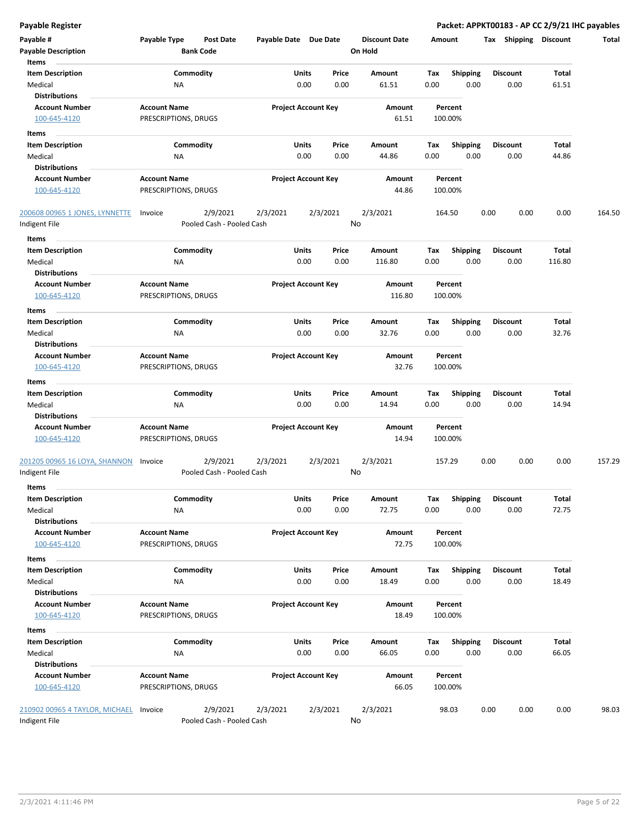| Payable #                                       | Payable Type         | <b>Post Date</b>                      | Payable Date Due Date |                                | <b>Discount Date</b> |             | Amount                  | Shipping<br>Tax | <b>Discount</b> | Total  |
|-------------------------------------------------|----------------------|---------------------------------------|-----------------------|--------------------------------|----------------------|-------------|-------------------------|-----------------|-----------------|--------|
| <b>Payable Description</b>                      |                      | <b>Bank Code</b>                      |                       |                                | On Hold              |             |                         |                 |                 |        |
| Items<br><b>Item Description</b>                |                      | Commodity                             |                       | Units<br>Price                 | Amount               | Tax         | <b>Shipping</b>         | <b>Discount</b> | Total           |        |
| Medical                                         | <b>NA</b>            |                                       |                       | 0.00<br>0.00                   | 61.51                | 0.00        | 0.00                    | 0.00            | 61.51           |        |
| <b>Distributions</b>                            |                      |                                       |                       |                                |                      |             |                         |                 |                 |        |
| <b>Account Number</b>                           | <b>Account Name</b>  |                                       |                       | <b>Project Account Key</b>     | Amount               |             | Percent                 |                 |                 |        |
| 100-645-4120                                    | PRESCRIPTIONS, DRUGS |                                       |                       |                                | 61.51                |             | 100.00%                 |                 |                 |        |
| Items                                           |                      |                                       |                       |                                |                      |             |                         |                 |                 |        |
| <b>Item Description</b>                         |                      | Commodity                             |                       | Units<br>Price                 | Amount               | Tax         | Shipping                | <b>Discount</b> | Total           |        |
| Medical                                         | <b>NA</b>            |                                       |                       | 0.00<br>0.00                   | 44.86                | 0.00        | 0.00                    | 0.00            | 44.86           |        |
| <b>Distributions</b>                            |                      |                                       |                       |                                |                      |             |                         |                 |                 |        |
| <b>Account Number</b>                           | <b>Account Name</b>  |                                       |                       | <b>Project Account Key</b>     | Amount               |             | Percent                 |                 |                 |        |
| 100-645-4120                                    | PRESCRIPTIONS, DRUGS |                                       |                       |                                | 44.86                |             | 100.00%                 |                 |                 |        |
| 200608 00965 1 JONES, LYNNETTE                  | Invoice              | 2/9/2021                              | 2/3/2021              | 2/3/2021                       | 2/3/2021             |             | 164.50                  | 0.00<br>0.00    | 0.00            | 164.50 |
| Indigent File                                   |                      | Pooled Cash - Pooled Cash             |                       |                                | No                   |             |                         |                 |                 |        |
| Items                                           |                      |                                       |                       |                                |                      |             |                         |                 |                 |        |
| <b>Item Description</b>                         |                      | Commodity                             |                       | Units<br>Price                 | Amount               | Tax         | <b>Shipping</b>         | <b>Discount</b> | Total           |        |
| Medical                                         | ΝA                   |                                       |                       | 0.00<br>0.00                   | 116.80               | 0.00        | 0.00                    | 0.00            | 116.80          |        |
| <b>Distributions</b>                            |                      |                                       |                       |                                |                      |             |                         |                 |                 |        |
| <b>Account Number</b>                           | <b>Account Name</b>  |                                       |                       | <b>Project Account Key</b>     | Amount<br>116.80     |             | Percent                 |                 |                 |        |
| 100-645-4120                                    | PRESCRIPTIONS, DRUGS |                                       |                       |                                |                      |             | 100.00%                 |                 |                 |        |
| Items                                           |                      |                                       |                       |                                |                      |             |                         | <b>Discount</b> |                 |        |
| <b>Item Description</b><br>Medical              | <b>NA</b>            | Commodity                             |                       | Units<br>Price<br>0.00<br>0.00 | Amount<br>32.76      | Tax<br>0.00 | <b>Shipping</b><br>0.00 | 0.00            | Total<br>32.76  |        |
| <b>Distributions</b>                            |                      |                                       |                       |                                |                      |             |                         |                 |                 |        |
| <b>Account Number</b>                           | <b>Account Name</b>  |                                       |                       | <b>Project Account Key</b>     | Amount               |             | Percent                 |                 |                 |        |
| 100-645-4120                                    | PRESCRIPTIONS, DRUGS |                                       |                       |                                | 32.76                |             | 100.00%                 |                 |                 |        |
| Items                                           |                      |                                       |                       |                                |                      |             |                         |                 |                 |        |
| <b>Item Description</b>                         |                      | Commodity                             |                       | Units<br>Price                 | Amount               | Tax         | <b>Shipping</b>         | <b>Discount</b> | Total           |        |
| Medical                                         | <b>NA</b>            |                                       |                       | 0.00<br>0.00                   | 14.94                | 0.00        | 0.00                    | 0.00            | 14.94           |        |
| <b>Distributions</b>                            |                      |                                       |                       |                                |                      |             |                         |                 |                 |        |
| <b>Account Number</b>                           | <b>Account Name</b>  |                                       |                       | <b>Project Account Key</b>     | Amount               |             | Percent                 |                 |                 |        |
| 100-645-4120                                    | PRESCRIPTIONS, DRUGS |                                       |                       |                                | 14.94                |             | 100.00%                 |                 |                 |        |
| 201205 00965 16 LOYA, SHANNON                   | Invoice              | 2/9/2021                              | 2/3/2021              | 2/3/2021                       | 2/3/2021             |             | 157.29                  | 0.00<br>0.00    | 0.00            | 157.29 |
| Indigent File                                   |                      | Pooled Cash - Pooled Cash             |                       |                                | No                   |             |                         |                 |                 |        |
| Items                                           |                      |                                       |                       |                                |                      |             |                         |                 |                 |        |
| <b>Item Description</b>                         |                      | Commodity                             |                       | Units<br>Price                 | Amount               | Тах         | <b>Shipping</b>         | <b>Discount</b> | Total           |        |
| Medical                                         | <b>NA</b>            |                                       |                       | 0.00<br>0.00                   | 72.75                | 0.00        | 0.00                    | 0.00            | 72.75           |        |
| <b>Distributions</b>                            |                      |                                       |                       |                                |                      |             |                         |                 |                 |        |
| <b>Account Number</b>                           | <b>Account Name</b>  |                                       |                       | <b>Project Account Key</b>     | Amount               |             | Percent                 |                 |                 |        |
| 100-645-4120                                    | PRESCRIPTIONS, DRUGS |                                       |                       |                                | 72.75                |             | 100.00%                 |                 |                 |        |
| Items                                           |                      |                                       |                       |                                |                      |             |                         |                 |                 |        |
| <b>Item Description</b>                         |                      | Commodity                             |                       | Units<br>Price                 | Amount               | Tax         | <b>Shipping</b>         | <b>Discount</b> | Total           |        |
| Medical<br><b>Distributions</b>                 | ΝA                   |                                       |                       | 0.00<br>0.00                   | 18.49                | 0.00        | 0.00                    | 0.00            | 18.49           |        |
| <b>Account Number</b>                           | <b>Account Name</b>  |                                       |                       | <b>Project Account Key</b>     | Amount               |             | Percent                 |                 |                 |        |
| 100-645-4120                                    | PRESCRIPTIONS, DRUGS |                                       |                       |                                | 18.49                |             | 100.00%                 |                 |                 |        |
| Items                                           |                      |                                       |                       |                                |                      |             |                         |                 |                 |        |
| <b>Item Description</b>                         |                      | Commodity                             |                       | Units<br>Price                 | Amount               | Тах         | <b>Shipping</b>         | <b>Discount</b> | Total           |        |
| Medical                                         | ΝA                   |                                       |                       | 0.00<br>0.00                   | 66.05                | 0.00        | 0.00                    | 0.00            | 66.05           |        |
| <b>Distributions</b>                            |                      |                                       |                       |                                |                      |             |                         |                 |                 |        |
| <b>Account Number</b>                           | <b>Account Name</b>  |                                       |                       | <b>Project Account Key</b>     | Amount               |             | Percent                 |                 |                 |        |
| 100-645-4120                                    | PRESCRIPTIONS, DRUGS |                                       |                       |                                | 66.05                |             | 100.00%                 |                 |                 |        |
|                                                 |                      |                                       |                       |                                |                      |             |                         |                 |                 |        |
| 210902 00965 4 TAYLOR, MICHAEL<br>Indigent File | Invoice              | 2/9/2021<br>Pooled Cash - Pooled Cash | 2/3/2021              | 2/3/2021                       | 2/3/2021<br>No       |             | 98.03                   | 0.00<br>0.00    | 0.00            | 98.03  |
|                                                 |                      |                                       |                       |                                |                      |             |                         |                 |                 |        |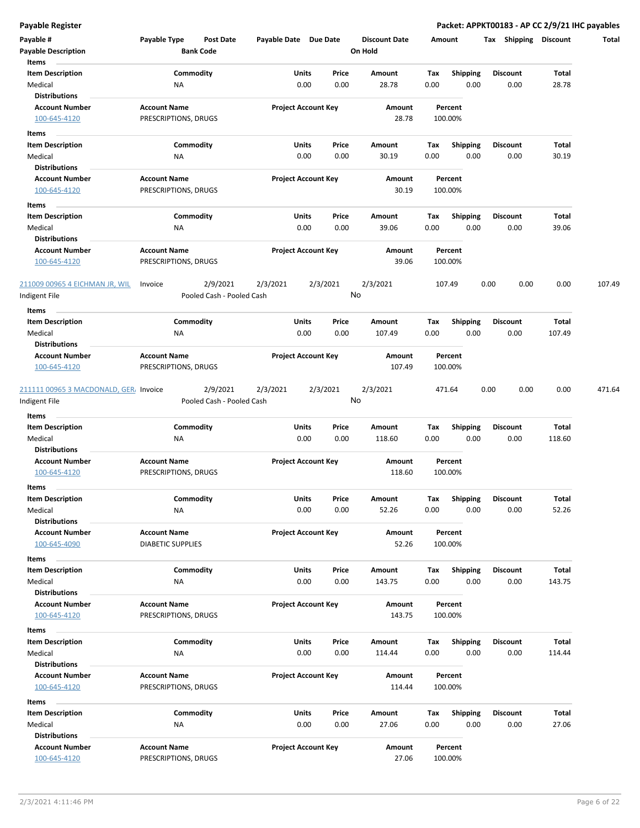| Payable #<br><b>Payable Description</b>                 | Payable Type                                | Post Date<br><b>Bank Code</b>         | Payable Date Due Date |                            | <b>Discount Date</b><br>On Hold |      | Amount             | <b>Shipping</b><br>Tax | <b>Discount</b> | Total  |
|---------------------------------------------------------|---------------------------------------------|---------------------------------------|-----------------------|----------------------------|---------------------------------|------|--------------------|------------------------|-----------------|--------|
| Items                                                   |                                             |                                       |                       |                            |                                 |      |                    |                        |                 |        |
| <b>Item Description</b>                                 |                                             | Commodity                             | Units                 | Price                      | Amount                          | Tax  | <b>Shipping</b>    | <b>Discount</b>        | Total           |        |
| Medical                                                 | <b>NA</b>                                   |                                       |                       | 0.00<br>0.00               | 28.78                           | 0.00 | 0.00               | 0.00                   | 28.78           |        |
| <b>Distributions</b>                                    |                                             |                                       |                       |                            |                                 |      |                    |                        |                 |        |
| <b>Account Number</b>                                   | <b>Account Name</b>                         |                                       |                       | <b>Project Account Key</b> | Amount                          |      | Percent            |                        |                 |        |
| 100-645-4120                                            | PRESCRIPTIONS, DRUGS                        |                                       |                       |                            | 28.78                           |      | 100.00%            |                        |                 |        |
| Items                                                   |                                             |                                       |                       |                            |                                 |      |                    |                        |                 |        |
| <b>Item Description</b>                                 |                                             | Commodity                             |                       | Units<br>Price             | Amount                          | Тах  | <b>Shipping</b>    | <b>Discount</b>        | Total           |        |
| Medical                                                 | ΝA                                          |                                       |                       | 0.00<br>0.00               | 30.19                           | 0.00 | 0.00               | 0.00                   | 30.19           |        |
| <b>Distributions</b>                                    |                                             |                                       |                       |                            |                                 |      |                    |                        |                 |        |
| <b>Account Number</b>                                   | <b>Account Name</b>                         |                                       |                       | <b>Project Account Key</b> | Amount                          |      | Percent            |                        |                 |        |
| 100-645-4120                                            | PRESCRIPTIONS, DRUGS                        |                                       |                       |                            | 30.19                           |      | 100.00%            |                        |                 |        |
| Items                                                   |                                             |                                       |                       |                            |                                 |      |                    |                        |                 |        |
| <b>Item Description</b>                                 |                                             | Commodity                             |                       | Units<br>Price             | Amount                          | Tax  | <b>Shipping</b>    | <b>Discount</b>        | Total           |        |
| Medical                                                 | ΝA                                          |                                       |                       | 0.00<br>0.00               | 39.06                           | 0.00 | 0.00               | 0.00                   | 39.06           |        |
| <b>Distributions</b>                                    |                                             |                                       |                       |                            |                                 |      |                    |                        |                 |        |
| <b>Account Number</b>                                   | <b>Account Name</b>                         |                                       |                       | <b>Project Account Key</b> | Amount                          |      | Percent            |                        |                 |        |
| 100-645-4120                                            | PRESCRIPTIONS, DRUGS                        |                                       |                       |                            | 39.06                           |      | 100.00%            |                        |                 |        |
| 211009 00965 4 EICHMAN JR, WIL                          | Invoice                                     | 2/9/2021                              | 2/3/2021              | 2/3/2021                   | 2/3/2021                        |      | 107.49             | 0.00<br>0.00           | 0.00            | 107.49 |
| ndigent File                                            |                                             | Pooled Cash - Pooled Cash             |                       |                            | No                              |      |                    |                        |                 |        |
| Items                                                   |                                             |                                       |                       |                            |                                 |      |                    |                        |                 |        |
| <b>Item Description</b>                                 |                                             | Commodity                             |                       | Units<br>Price             | Amount                          | Tax  | <b>Shipping</b>    | <b>Discount</b>        | Total           |        |
| Medical                                                 | ΝA                                          |                                       |                       | 0.00<br>0.00               | 107.49                          | 0.00 | 0.00               | 0.00                   | 107.49          |        |
| <b>Distributions</b>                                    |                                             |                                       |                       |                            |                                 |      |                    |                        |                 |        |
| <b>Account Number</b>                                   | <b>Account Name</b>                         |                                       |                       | <b>Project Account Key</b> | Amount                          |      | Percent            |                        |                 |        |
| 100-645-4120                                            | PRESCRIPTIONS, DRUGS                        |                                       |                       |                            | 107.49                          |      | 100.00%            |                        |                 |        |
| 211111 00965 3 MACDONALD, GER. Invoice<br>Indigent File |                                             | 2/9/2021<br>Pooled Cash - Pooled Cash | 2/3/2021              | 2/3/2021                   | 2/3/2021<br>No                  |      | 471.64             | 0.00<br>0.00           | 0.00            | 471.64 |
| Items                                                   |                                             |                                       |                       |                            |                                 |      |                    |                        |                 |        |
| <b>Item Description</b>                                 |                                             | Commodity                             |                       | Units<br>Price             | Amount                          | Тах  | <b>Shipping</b>    | <b>Discount</b>        | Total           |        |
| Medical                                                 | ΝA                                          |                                       |                       | 0.00<br>0.00               | 118.60                          | 0.00 | 0.00               | 0.00                   | 118.60          |        |
| <b>Distributions</b>                                    |                                             |                                       |                       |                            |                                 |      |                    |                        |                 |        |
| <b>Account Number</b>                                   | <b>Account Name</b>                         |                                       |                       | <b>Project Account Key</b> | Amount                          |      | Percent            |                        |                 |        |
| 100-645-4120                                            | PRESCRIPTIONS, DRUGS                        |                                       |                       |                            | 118.60                          |      | 100.00%            |                        |                 |        |
| Items                                                   |                                             |                                       |                       |                            |                                 |      |                    |                        |                 |        |
| Item Description                                        |                                             | Commodity                             |                       | Units<br>Price             | Amount                          | Тах  | Shipping           | <b>Discount</b>        | Total           |        |
| Medical                                                 | NA                                          |                                       |                       | 0.00<br>0.00               | 52.26                           | 0.00 | 0.00               | 0.00                   | 52.26           |        |
| <b>Distributions</b>                                    |                                             |                                       |                       |                            |                                 |      |                    |                        |                 |        |
| <b>Account Number</b>                                   | <b>Account Name</b>                         |                                       |                       | <b>Project Account Key</b> | Amount                          |      | Percent            |                        |                 |        |
| 100-645-4090                                            | <b>DIABETIC SUPPLIES</b>                    |                                       |                       |                            | 52.26                           |      | 100.00%            |                        |                 |        |
| Items                                                   |                                             |                                       |                       |                            |                                 |      |                    |                        |                 |        |
| <b>Item Description</b>                                 |                                             | Commodity                             |                       | Units<br>Price             | Amount                          | Tax  | Shipping           | Discount               | Total           |        |
| Medical                                                 | ΝA                                          |                                       |                       | 0.00<br>0.00               | 143.75                          | 0.00 | 0.00               | 0.00                   | 143.75          |        |
| <b>Distributions</b>                                    |                                             |                                       |                       |                            |                                 |      |                    |                        |                 |        |
| <b>Account Number</b>                                   | <b>Account Name</b>                         |                                       |                       | <b>Project Account Key</b> | Amount                          |      | Percent            |                        |                 |        |
| 100-645-4120                                            | PRESCRIPTIONS, DRUGS                        |                                       |                       |                            | 143.75                          |      | 100.00%            |                        |                 |        |
|                                                         |                                             |                                       |                       |                            |                                 |      |                    |                        |                 |        |
| Items                                                   |                                             |                                       |                       |                            |                                 |      |                    |                        |                 |        |
| <b>Item Description</b>                                 |                                             | Commodity                             |                       | Units<br>Price             | Amount                          | Tax  | <b>Shipping</b>    | <b>Discount</b>        | Total           |        |
| Medical                                                 | <b>NA</b>                                   |                                       |                       | 0.00<br>0.00               | 114.44                          | 0.00 | 0.00               | 0.00                   | 114.44          |        |
| <b>Distributions</b>                                    |                                             |                                       |                       |                            |                                 |      |                    |                        |                 |        |
| <b>Account Number</b><br>100-645-4120                   | <b>Account Name</b><br>PRESCRIPTIONS, DRUGS |                                       |                       | <b>Project Account Key</b> | Amount<br>114.44                |      | Percent<br>100.00% |                        |                 |        |
| Items                                                   |                                             |                                       |                       |                            |                                 |      |                    |                        |                 |        |
| <b>Item Description</b>                                 |                                             | Commodity                             |                       | Units<br>Price             | Amount                          | Tax  | <b>Shipping</b>    | <b>Discount</b>        | Total           |        |
| Medical                                                 | NA                                          |                                       |                       | 0.00<br>0.00               | 27.06                           | 0.00 | 0.00               | 0.00                   | 27.06           |        |
| <b>Distributions</b>                                    |                                             |                                       |                       |                            |                                 |      |                    |                        |                 |        |
| <b>Account Number</b><br>100-645-4120                   | <b>Account Name</b><br>PRESCRIPTIONS, DRUGS |                                       |                       | <b>Project Account Key</b> | Amount<br>27.06                 |      | Percent<br>100.00% |                        |                 |        |
|                                                         |                                             |                                       |                       |                            |                                 |      |                    |                        |                 |        |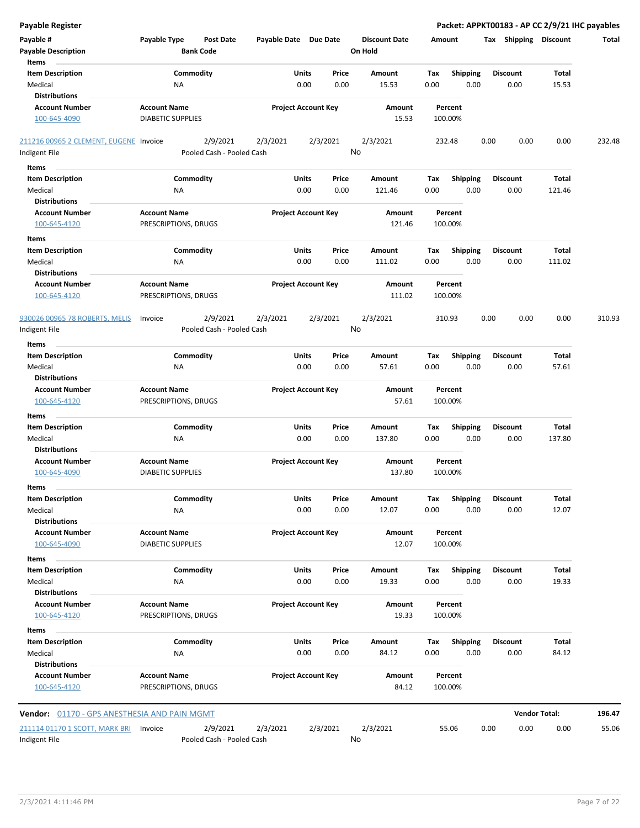| <b>Payable Register</b>                       |                                                      |                            |                            |                                 |                    |                         | Packet: APPKT00183 - AP CC 2/9/21 IHC payables |                      |        |
|-----------------------------------------------|------------------------------------------------------|----------------------------|----------------------------|---------------------------------|--------------------|-------------------------|------------------------------------------------|----------------------|--------|
| Payable #<br><b>Payable Description</b>       | Payable Type<br><b>Post Date</b><br><b>Bank Code</b> | Payable Date Due Date      |                            | <b>Discount Date</b><br>On Hold | Amount             |                         | Tax Shipping Discount                          |                      | Total  |
| Items<br><b>Item Description</b>              | Commodity                                            | Units                      | Price                      | Amount                          |                    | <b>Shipping</b>         | <b>Discount</b>                                | Total                |        |
| Medical                                       | NA                                                   | 0.00                       | 0.00                       | 15.53                           | Tax<br>0.00        | 0.00                    | 0.00                                           | 15.53                |        |
| <b>Distributions</b>                          |                                                      |                            |                            |                                 |                    |                         |                                                |                      |        |
| <b>Account Number</b>                         | <b>Account Name</b>                                  |                            | <b>Project Account Key</b> | Amount                          | Percent            |                         |                                                |                      |        |
| 100-645-4090                                  | <b>DIABETIC SUPPLIES</b>                             |                            |                            | 15.53                           | 100.00%            |                         |                                                |                      |        |
| 211216 00965 2 CLEMENT, EUGENE Invoice        | 2/9/2021                                             | 2/3/2021                   | 2/3/2021                   | 2/3/2021                        | 232.48             |                         | 0.00<br>0.00                                   | 0.00                 | 232.48 |
| Indigent File                                 | Pooled Cash - Pooled Cash                            |                            |                            | No                              |                    |                         |                                                |                      |        |
| Items                                         |                                                      |                            |                            |                                 |                    |                         |                                                |                      |        |
| <b>Item Description</b>                       | Commodity                                            | Units                      | Price                      | Amount                          | Tax                | <b>Shipping</b>         | <b>Discount</b>                                | Total                |        |
| Medical<br><b>Distributions</b>               | NA                                                   | 0.00                       | 0.00                       | 121.46                          | 0.00               | 0.00                    | 0.00                                           | 121.46               |        |
| <b>Account Number</b>                         | <b>Account Name</b>                                  | <b>Project Account Key</b> |                            | Amount                          | Percent            |                         |                                                |                      |        |
| 100-645-4120                                  | PRESCRIPTIONS, DRUGS                                 |                            |                            | 121.46                          | 100.00%            |                         |                                                |                      |        |
| Items                                         |                                                      |                            |                            |                                 |                    |                         |                                                |                      |        |
| <b>Item Description</b>                       | Commodity                                            | Units                      | Price                      | Amount                          | Tax                | <b>Shipping</b>         | <b>Discount</b>                                | Total                |        |
| Medical                                       | NA                                                   | 0.00                       | 0.00                       | 111.02                          | 0.00               | 0.00                    | 0.00                                           | 111.02               |        |
| <b>Distributions</b><br><b>Account Number</b> | <b>Account Name</b>                                  |                            | <b>Project Account Key</b> | Amount                          | Percent            |                         |                                                |                      |        |
| 100-645-4120                                  | PRESCRIPTIONS, DRUGS                                 |                            |                            | 111.02                          | 100.00%            |                         |                                                |                      |        |
| 930026 00965 78 ROBERTS, MELIS                | 2/9/2021<br>Invoice                                  | 2/3/2021                   | 2/3/2021                   | 2/3/2021                        | 310.93             |                         | 0.00<br>0.00                                   | 0.00                 | 310.93 |
| Indigent File                                 | Pooled Cash - Pooled Cash                            |                            |                            | No                              |                    |                         |                                                |                      |        |
| Items                                         |                                                      |                            |                            |                                 |                    |                         |                                                |                      |        |
| <b>Item Description</b>                       | Commodity                                            | Units                      | Price                      | Amount                          | Tax                | <b>Shipping</b>         | <b>Discount</b>                                | Total                |        |
| Medical<br><b>Distributions</b>               | NA                                                   | 0.00                       | 0.00                       | 57.61                           | 0.00               | 0.00                    | 0.00                                           | 57.61                |        |
| <b>Account Number</b>                         | <b>Account Name</b>                                  |                            | <b>Project Account Key</b> | Amount                          | Percent            |                         |                                                |                      |        |
| 100-645-4120                                  | PRESCRIPTIONS, DRUGS                                 |                            |                            | 57.61                           | 100.00%            |                         |                                                |                      |        |
| Items                                         |                                                      |                            |                            |                                 |                    |                         |                                                |                      |        |
| <b>Item Description</b>                       | Commodity                                            | Units                      | Price                      | Amount                          | Tax                | <b>Shipping</b>         | <b>Discount</b>                                | Total                |        |
| Medical                                       | NA                                                   | 0.00                       | 0.00                       | 137.80                          | 0.00               | 0.00                    | 0.00                                           | 137.80               |        |
| <b>Distributions</b>                          |                                                      |                            |                            |                                 |                    |                         |                                                |                      |        |
| <b>Account Number</b><br>100-645-4090         | <b>Account Name</b><br><b>DIABETIC SUPPLIES</b>      |                            | <b>Project Account Key</b> | Amount<br>137.80                | Percent<br>100.00% |                         |                                                |                      |        |
| ltems                                         |                                                      |                            |                            |                                 |                    |                         |                                                |                      |        |
| <b>Item Description</b>                       | Commodity                                            | Units                      | Price                      | Amount                          | Tax                | Shipping                | <b>Discount</b>                                | Total                |        |
| Medical                                       | NA                                                   | 0.00                       | 0.00                       | 12.07                           | 0.00               | 0.00                    | 0.00                                           | 12.07                |        |
| <b>Distributions</b>                          |                                                      |                            |                            |                                 |                    |                         |                                                |                      |        |
| <b>Account Number</b>                         | <b>Account Name</b>                                  |                            | <b>Project Account Key</b> | Amount                          | Percent            |                         |                                                |                      |        |
| 100-645-4090                                  | <b>DIABETIC SUPPLIES</b>                             |                            |                            | 12.07                           | 100.00%            |                         |                                                |                      |        |
| Items                                         |                                                      |                            |                            |                                 |                    |                         |                                                |                      |        |
| <b>Item Description</b>                       | Commodity                                            | Units                      | Price                      | Amount                          | Tax                | Shipping                | <b>Discount</b>                                | Total                |        |
| Medical                                       | NA                                                   | 0.00                       | 0.00                       | 19.33                           | 0.00               | 0.00                    | 0.00                                           | 19.33                |        |
| <b>Distributions</b>                          |                                                      |                            | <b>Project Account Key</b> |                                 |                    |                         |                                                |                      |        |
| <b>Account Number</b><br>100-645-4120         | <b>Account Name</b><br>PRESCRIPTIONS, DRUGS          |                            |                            | Amount<br>19.33                 | Percent<br>100.00% |                         |                                                |                      |        |
|                                               |                                                      |                            |                            |                                 |                    |                         |                                                |                      |        |
| Items                                         |                                                      |                            |                            |                                 |                    |                         |                                                |                      |        |
| <b>Item Description</b><br>Medical            | Commodity<br>NA                                      | Units<br>0.00              | Price<br>0.00              | Amount<br>84.12                 | Tax<br>0.00        | <b>Shipping</b><br>0.00 | <b>Discount</b><br>0.00                        | Total<br>84.12       |        |
| <b>Distributions</b>                          |                                                      |                            |                            |                                 |                    |                         |                                                |                      |        |
| <b>Account Number</b>                         | <b>Account Name</b>                                  |                            | <b>Project Account Key</b> | Amount                          | Percent            |                         |                                                |                      |        |
| 100-645-4120                                  | PRESCRIPTIONS, DRUGS                                 |                            |                            | 84.12                           | 100.00%            |                         |                                                |                      |        |
| Vendor: 01170 - GPS ANESTHESIA AND PAIN MGMT  |                                                      |                            |                            |                                 |                    |                         |                                                | <b>Vendor Total:</b> | 196.47 |
| 211114 01170 1 SCOTT, MARK BRI                | 2/9/2021<br>Invoice                                  | 2/3/2021                   | 2/3/2021                   | 2/3/2021                        | 55.06              |                         | 0.00<br>0.00                                   | 0.00                 | 55.06  |
| Indigent File                                 | Pooled Cash - Pooled Cash                            |                            |                            | No                              |                    |                         |                                                |                      |        |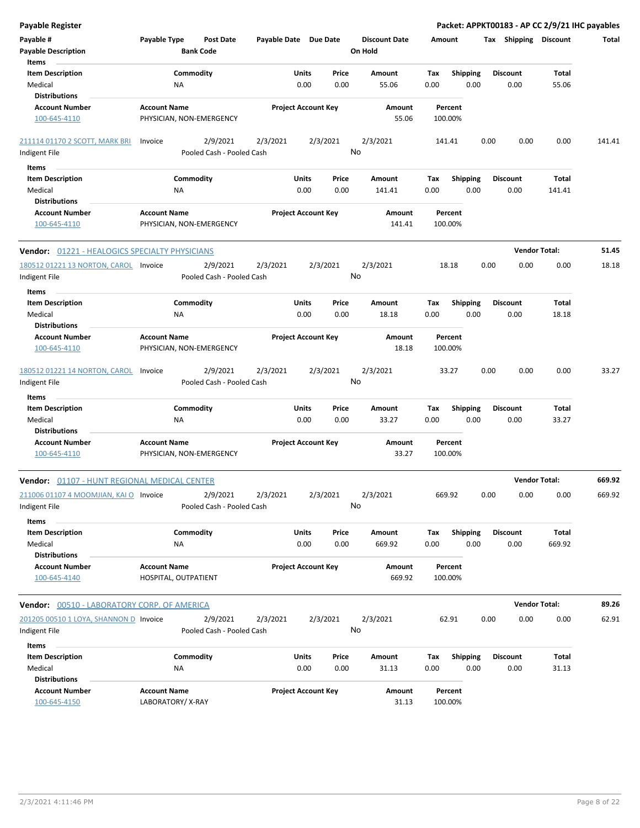| Payable Register                                        |                                                 |                                       |                            |               |                |                                 |             |                         |      |                         | Packet: APPKT00183 - AP CC 2/9/21 IHC payables |        |
|---------------------------------------------------------|-------------------------------------------------|---------------------------------------|----------------------------|---------------|----------------|---------------------------------|-------------|-------------------------|------|-------------------------|------------------------------------------------|--------|
| Payable #<br><b>Payable Description</b>                 | Payable Type                                    | <b>Post Date</b><br><b>Bank Code</b>  | Payable Date Due Date      |               |                | <b>Discount Date</b><br>On Hold | Amount      |                         |      | Tax Shipping Discount   |                                                | Total  |
| Items<br><b>Item Description</b>                        |                                                 | Commodity                             |                            | Units         | Price          | Amount                          | Tax         |                         |      | <b>Discount</b>         | <b>Total</b>                                   |        |
| Medical                                                 | ΝA                                              |                                       |                            | 0.00          | 0.00           | 55.06                           | 0.00        | <b>Shipping</b><br>0.00 |      | 0.00                    | 55.06                                          |        |
| <b>Distributions</b>                                    |                                                 |                                       |                            |               |                |                                 |             |                         |      |                         |                                                |        |
| <b>Account Number</b>                                   | <b>Account Name</b>                             |                                       | <b>Project Account Key</b> |               |                | Amount                          |             | Percent                 |      |                         |                                                |        |
| 100-645-4110                                            | PHYSICIAN, NON-EMERGENCY                        |                                       |                            |               |                | 55.06                           |             | 100.00%                 |      |                         |                                                |        |
| 211114 01170 2 SCOTT, MARK BRI                          | Invoice                                         | 2/9/2021                              | 2/3/2021                   |               | 2/3/2021       | 2/3/2021                        |             | 141.41                  | 0.00 | 0.00                    | 0.00                                           | 141.41 |
| Indigent File                                           |                                                 | Pooled Cash - Pooled Cash             |                            |               | No             |                                 |             |                         |      |                         |                                                |        |
| Items                                                   |                                                 |                                       |                            |               |                |                                 |             |                         |      |                         |                                                |        |
| <b>Item Description</b>                                 |                                                 | Commodity                             |                            | Units         | Price          | Amount                          | Tax         | <b>Shipping</b>         |      | <b>Discount</b>         | Total                                          |        |
| Medical                                                 | NA                                              |                                       |                            | 0.00          | 0.00           | 141.41                          | 0.00        | 0.00                    |      | 0.00                    | 141.41                                         |        |
| <b>Distributions</b>                                    |                                                 |                                       |                            |               |                |                                 |             |                         |      |                         |                                                |        |
| <b>Account Number</b><br>100-645-4110                   | <b>Account Name</b><br>PHYSICIAN, NON-EMERGENCY |                                       | <b>Project Account Key</b> |               |                | Amount<br>141.41                |             | Percent<br>100.00%      |      |                         |                                                |        |
| <b>Vendor: 01221 - HEALOGICS SPECIALTY PHYSICIANS</b>   |                                                 |                                       |                            |               |                |                                 |             |                         |      |                         | <b>Vendor Total:</b>                           | 51.45  |
| 180512 01221 13 NORTON, CAROL Invoice                   |                                                 | 2/9/2021                              | 2/3/2021                   |               | 2/3/2021       | 2/3/2021                        |             | 18.18                   | 0.00 | 0.00                    | 0.00                                           | 18.18  |
| Indigent File                                           |                                                 | Pooled Cash - Pooled Cash             |                            |               | No             |                                 |             |                         |      |                         |                                                |        |
| Items                                                   |                                                 |                                       |                            |               |                |                                 |             |                         |      |                         |                                                |        |
| <b>Item Description</b><br>Medical                      | ΝA                                              | Commodity                             |                            | Units<br>0.00 | Price<br>0.00  | Amount<br>18.18                 | Tax<br>0.00 | <b>Shipping</b><br>0.00 |      | <b>Discount</b><br>0.00 | Total<br>18.18                                 |        |
| <b>Distributions</b>                                    |                                                 |                                       |                            |               |                |                                 |             |                         |      |                         |                                                |        |
| <b>Account Number</b>                                   | <b>Account Name</b>                             |                                       | <b>Project Account Key</b> |               |                | Amount                          |             | Percent                 |      |                         |                                                |        |
| 100-645-4110                                            | PHYSICIAN, NON-EMERGENCY                        |                                       |                            |               |                | 18.18                           |             | 100.00%                 |      |                         |                                                |        |
| 180512 01221 14 NORTON, CAROL                           | Invoice                                         | 2/9/2021                              | 2/3/2021                   |               | 2/3/2021       | 2/3/2021                        |             | 33.27                   | 0.00 | 0.00                    | 0.00                                           | 33.27  |
| Indigent File                                           |                                                 | Pooled Cash - Pooled Cash             |                            |               | No             |                                 |             |                         |      |                         |                                                |        |
| Items                                                   |                                                 |                                       |                            |               |                |                                 |             |                         |      |                         |                                                |        |
| <b>Item Description</b>                                 |                                                 | Commodity                             |                            | Units         | Price          | Amount                          | Tax         | <b>Shipping</b>         |      | <b>Discount</b>         | Total                                          |        |
| Medical                                                 | <b>NA</b>                                       |                                       |                            | 0.00          | 0.00           | 33.27                           | 0.00        | 0.00                    |      | 0.00                    | 33.27                                          |        |
| Distributions                                           |                                                 |                                       |                            |               |                |                                 |             |                         |      |                         |                                                |        |
| <b>Account Number</b><br>100-645-4110                   | <b>Account Name</b><br>PHYSICIAN, NON-EMERGENCY |                                       | <b>Project Account Key</b> |               |                | Amount<br>33.27                 |             | Percent<br>100.00%      |      |                         |                                                |        |
| Vendor: 01107 - HUNT REGIONAL MEDICAL CENTER            |                                                 |                                       |                            |               |                |                                 |             |                         |      |                         | <b>Vendor Total:</b>                           | 669.92 |
| 211006 01107 4 MOOMJIAN, KAI O Invoice<br>Indigent File |                                                 | 2/9/2021<br>Pooled Cash - Pooled Cash | 2/3/2021                   |               | 2/3/2021<br>No | 2/3/2021                        |             | 669.92                  | 0.00 | 0.00                    | 0.00                                           | 669.92 |
| Items<br><b>Item Description</b>                        |                                                 | Commodity                             |                            | Units         |                | Amount                          |             | Shipping                |      | <b>Discount</b>         | Total                                          |        |
| Medical                                                 | NA                                              |                                       |                            | 0.00          | Price<br>0.00  | 669.92                          | Tax<br>0.00 | 0.00                    |      | 0.00                    | 669.92                                         |        |
| <b>Distributions</b>                                    |                                                 |                                       |                            |               |                |                                 |             |                         |      |                         |                                                |        |
| <b>Account Number</b>                                   | <b>Account Name</b>                             |                                       | <b>Project Account Key</b> |               |                | Amount                          |             | Percent                 |      |                         |                                                |        |
| 100-645-4140                                            | HOSPITAL, OUTPATIENT                            |                                       |                            |               |                | 669.92                          |             | 100.00%                 |      |                         |                                                |        |
| Vendor: 00510 - LABORATORY CORP. OF AMERICA             |                                                 |                                       |                            |               |                |                                 |             |                         |      |                         | <b>Vendor Total:</b>                           | 89.26  |
| 201205 00510 1 LOYA, SHANNON D Invoice                  |                                                 | 2/9/2021                              | 2/3/2021                   |               | 2/3/2021       | 2/3/2021                        |             | 62.91                   | 0.00 | 0.00                    | 0.00                                           | 62.91  |
| Indigent File                                           |                                                 | Pooled Cash - Pooled Cash             |                            |               | No             |                                 |             |                         |      |                         |                                                |        |
| Items                                                   |                                                 |                                       |                            |               |                |                                 |             |                         |      |                         |                                                |        |
| <b>Item Description</b>                                 |                                                 | Commodity                             |                            | Units         | Price          | Amount                          | Tax         | <b>Shipping</b>         |      | <b>Discount</b>         | Total                                          |        |
| Medical                                                 | ΝA                                              |                                       |                            | 0.00          | 0.00           | 31.13                           | 0.00        | 0.00                    |      | 0.00                    | 31.13                                          |        |
| <b>Distributions</b>                                    |                                                 |                                       |                            |               |                |                                 |             |                         |      |                         |                                                |        |
| <b>Account Number</b><br>100-645-4150                   | <b>Account Name</b><br>LABORATORY/X-RAY         |                                       | <b>Project Account Key</b> |               |                | Amount<br>31.13                 |             | Percent<br>100.00%      |      |                         |                                                |        |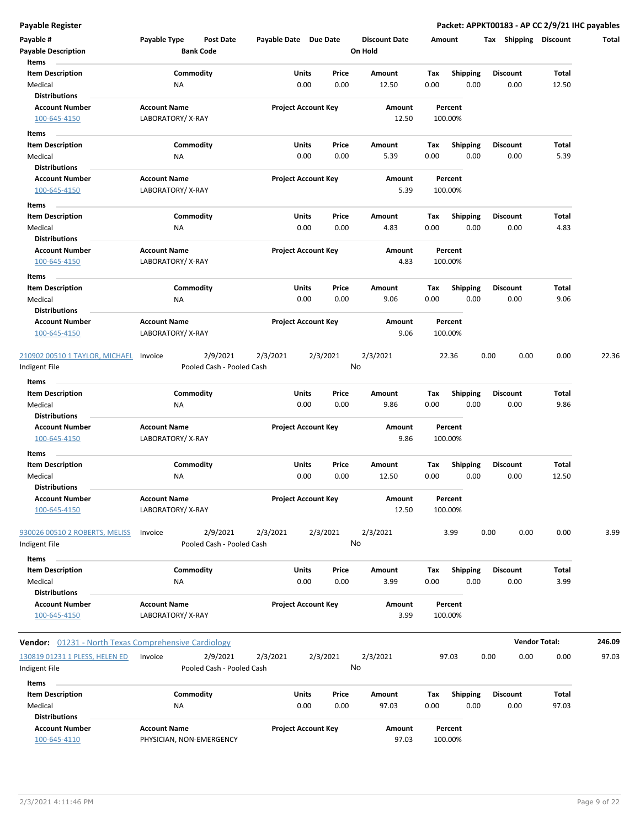| Payable #                                            | Payable Type             | <b>Post Date</b>          | Payable Date Due Date |                            |          | <b>Discount Date</b> | Amount |                 | Shipping<br>Tax | <b>Discount</b>      | Total  |
|------------------------------------------------------|--------------------------|---------------------------|-----------------------|----------------------------|----------|----------------------|--------|-----------------|-----------------|----------------------|--------|
| <b>Payable Description</b>                           |                          | <b>Bank Code</b>          |                       |                            |          | On Hold              |        |                 |                 |                      |        |
| Items                                                |                          |                           |                       |                            |          |                      |        |                 |                 |                      |        |
| <b>Item Description</b>                              |                          | Commodity                 |                       | Units                      | Price    | Amount               | Tax    | <b>Shipping</b> | <b>Discount</b> | Total                |        |
| Medical                                              | NA                       |                           |                       | 0.00                       | 0.00     | 12.50                | 0.00   | 0.00            | 0.00            | 12.50                |        |
| <b>Distributions</b>                                 |                          |                           |                       |                            |          |                      |        |                 |                 |                      |        |
| <b>Account Number</b>                                | <b>Account Name</b>      |                           |                       | <b>Project Account Key</b> |          | Amount               |        | Percent         |                 |                      |        |
| 100-645-4150                                         | LABORATORY/X-RAY         |                           |                       |                            |          | 12.50                |        | 100.00%         |                 |                      |        |
| Items                                                |                          |                           |                       |                            |          |                      |        |                 |                 |                      |        |
| <b>Item Description</b>                              |                          | Commodity                 |                       | Units                      | Price    | Amount               | Тах    | <b>Shipping</b> | <b>Discount</b> | Total                |        |
| Medical                                              | NA                       |                           |                       | 0.00                       | 0.00     | 5.39                 | 0.00   | 0.00            | 0.00            | 5.39                 |        |
| <b>Distributions</b>                                 |                          |                           |                       |                            |          |                      |        |                 |                 |                      |        |
| <b>Account Number</b>                                | <b>Account Name</b>      |                           |                       | <b>Project Account Key</b> |          | Amount               |        | Percent         |                 |                      |        |
| 100-645-4150                                         | LABORATORY/X-RAY         |                           |                       |                            |          | 5.39                 |        | 100.00%         |                 |                      |        |
|                                                      |                          |                           |                       |                            |          |                      |        |                 |                 |                      |        |
| Items<br><b>Item Description</b>                     |                          | Commodity                 |                       | Units                      | Price    | Amount               | Tax    | <b>Shipping</b> | <b>Discount</b> | Total                |        |
| Medical                                              | NA                       |                           |                       | 0.00                       | 0.00     | 4.83                 | 0.00   | 0.00            | 0.00            | 4.83                 |        |
| <b>Distributions</b>                                 |                          |                           |                       |                            |          |                      |        |                 |                 |                      |        |
| <b>Account Number</b>                                | <b>Account Name</b>      |                           |                       | <b>Project Account Key</b> |          | Amount               |        | Percent         |                 |                      |        |
| 100-645-4150                                         | LABORATORY/X-RAY         |                           |                       |                            |          | 4.83                 |        | 100.00%         |                 |                      |        |
|                                                      |                          |                           |                       |                            |          |                      |        |                 |                 |                      |        |
| Items                                                |                          |                           |                       |                            |          |                      |        |                 |                 |                      |        |
| <b>Item Description</b>                              |                          | Commodity                 |                       | Units                      | Price    | Amount               | Tax    | <b>Shipping</b> | Discount        | <b>Total</b>         |        |
| Medical                                              | ΝA                       |                           |                       | 0.00                       | 0.00     | 9.06                 | 0.00   | 0.00            | 0.00            | 9.06                 |        |
| <b>Distributions</b>                                 |                          |                           |                       |                            |          |                      |        |                 |                 |                      |        |
| <b>Account Number</b>                                | <b>Account Name</b>      |                           |                       | <b>Project Account Key</b> |          | Amount               |        | Percent         |                 |                      |        |
| 100-645-4150                                         | LABORATORY/X-RAY         |                           |                       |                            |          | 9.06                 |        | 100.00%         |                 |                      |        |
|                                                      |                          |                           |                       |                            |          |                      |        |                 |                 |                      |        |
| 210902 00510 1 TAYLOR, MICHAEL                       | Invoice                  | 2/9/2021                  | 2/3/2021              |                            | 2/3/2021 | 2/3/2021             |        | 22.36           | 0.00<br>0.00    | 0.00                 | 22.36  |
| Indigent File                                        |                          | Pooled Cash - Pooled Cash |                       |                            |          | No                   |        |                 |                 |                      |        |
| Items                                                |                          |                           |                       |                            |          |                      |        |                 |                 |                      |        |
| <b>Item Description</b>                              |                          | Commodity                 |                       | Units                      | Price    | Amount               | Tax    | <b>Shipping</b> | <b>Discount</b> | Total                |        |
| Medical                                              | NA                       |                           |                       | 0.00                       | 0.00     | 9.86                 | 0.00   | 0.00            | 0.00            | 9.86                 |        |
| <b>Distributions</b>                                 |                          |                           |                       |                            |          |                      |        |                 |                 |                      |        |
| <b>Account Number</b>                                | <b>Account Name</b>      |                           |                       | <b>Project Account Key</b> |          | Amount               |        | Percent         |                 |                      |        |
| 100-645-4150                                         | LABORATORY/X-RAY         |                           |                       |                            |          | 9.86                 |        | 100.00%         |                 |                      |        |
| Items                                                |                          |                           |                       |                            |          |                      |        |                 |                 |                      |        |
| <b>Item Description</b>                              |                          | Commodity                 |                       | Units                      | Price    | Amount               | Tax    | <b>Shipping</b> | <b>Discount</b> | Total                |        |
| Medical                                              | NA                       |                           |                       | 0.00                       | 0.00     | 12.50                | 0.00   | 0.00            | 0.00            | 12.50                |        |
| <b>Distributions</b>                                 |                          |                           |                       |                            |          |                      |        |                 |                 |                      |        |
| <b>Account Number</b>                                | <b>Account Name</b>      |                           |                       | <b>Project Account Key</b> |          | Amount               |        | Percent         |                 |                      |        |
| 100-645-4150                                         | LABORATORY/X-RAY         |                           |                       |                            |          | 12.50                |        | 100.00%         |                 |                      |        |
|                                                      |                          |                           |                       |                            |          |                      |        |                 |                 |                      |        |
| 930026 00510 2 ROBERTS, MELISS                       | Invoice                  | 2/9/2021                  | 2/3/2021              |                            | 2/3/2021 | 2/3/2021             |        | 3.99            | 0.00<br>0.00    | 0.00                 | 3.99   |
| Indigent File                                        |                          | Pooled Cash - Pooled Cash |                       |                            |          | No                   |        |                 |                 |                      |        |
| Items                                                |                          |                           |                       |                            |          |                      |        |                 |                 |                      |        |
| <b>Item Description</b>                              |                          | Commodity                 |                       | <b>Units</b>               | Price    | Amount               | Tax    | Shipping        | <b>Discount</b> | <b>Total</b>         |        |
| Medical                                              | ΝA                       |                           |                       | 0.00                       | 0.00     | 3.99                 | 0.00   | 0.00            | 0.00            | 3.99                 |        |
| <b>Distributions</b>                                 |                          |                           |                       |                            |          |                      |        |                 |                 |                      |        |
| <b>Account Number</b>                                | <b>Account Name</b>      |                           |                       | <b>Project Account Key</b> |          | Amount               |        | Percent         |                 |                      |        |
| 100-645-4150                                         | LABORATORY/X-RAY         |                           |                       |                            |          | 3.99                 |        | 100.00%         |                 |                      |        |
|                                                      |                          |                           |                       |                            |          |                      |        |                 |                 |                      |        |
| Vendor: 01231 - North Texas Comprehensive Cardiology |                          |                           |                       |                            |          |                      |        |                 |                 | <b>Vendor Total:</b> | 246.09 |
|                                                      |                          |                           |                       |                            |          |                      |        |                 |                 |                      |        |
| 130819 01231 1 PLESS, HELEN ED                       | Invoice                  | 2/9/2021                  | 2/3/2021              |                            | 2/3/2021 | 2/3/2021             |        | 97.03           | 0.00<br>0.00    | 0.00                 | 97.03  |
| Indigent File                                        |                          | Pooled Cash - Pooled Cash |                       |                            |          | No                   |        |                 |                 |                      |        |
| Items                                                |                          |                           |                       |                            |          |                      |        |                 |                 |                      |        |
| <b>Item Description</b>                              |                          | Commodity                 |                       | Units                      | Price    | Amount               | Tax    | <b>Shipping</b> | <b>Discount</b> | Total                |        |
| Medical                                              | NA                       |                           |                       | 0.00                       | 0.00     | 97.03                | 0.00   | 0.00            | 0.00            | 97.03                |        |
| <b>Distributions</b>                                 |                          |                           |                       |                            |          |                      |        |                 |                 |                      |        |
| <b>Account Number</b>                                | <b>Account Name</b>      |                           |                       | <b>Project Account Key</b> |          | Amount               |        | Percent         |                 |                      |        |
| 100-645-4110                                         | PHYSICIAN, NON-EMERGENCY |                           |                       |                            |          | 97.03                |        | 100.00%         |                 |                      |        |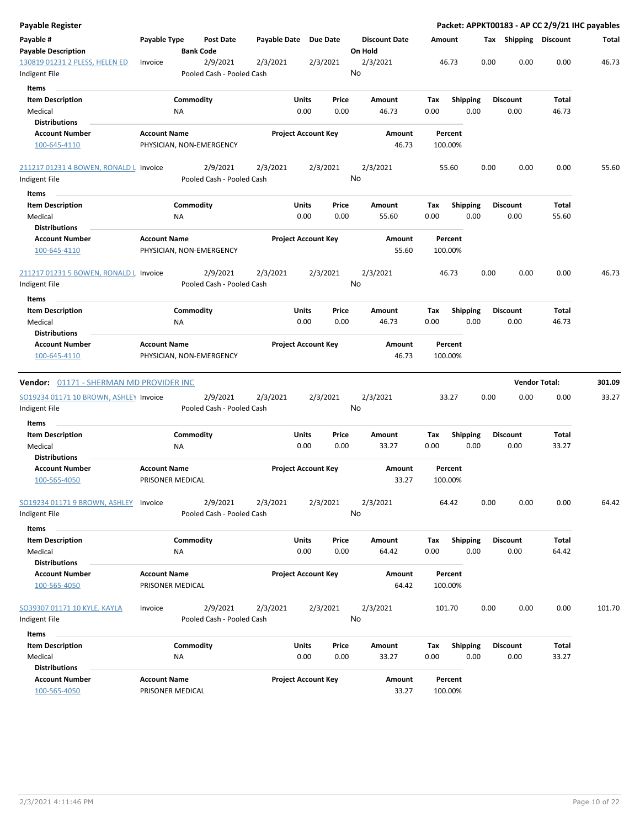| <b>Payable Register</b>                 |                     |                          |                           |              |                            |                 |          |                      |             |                    |                         |      |                         |                      | Packet: APPKT00183 - AP CC 2/9/21 IHC payables |
|-----------------------------------------|---------------------|--------------------------|---------------------------|--------------|----------------------------|-----------------|----------|----------------------|-------------|--------------------|-------------------------|------|-------------------------|----------------------|------------------------------------------------|
| Payable #<br><b>Payable Description</b> | Payable Type        | <b>Bank Code</b>         | <b>Post Date</b>          | Payable Date |                            | <b>Due Date</b> | On Hold  | <b>Discount Date</b> |             | Amount             |                         |      | Tax Shipping Discount   |                      | Total                                          |
| 130819 01231 2 PLESS, HELEN ED          | Invoice             |                          | 2/9/2021                  | 2/3/2021     |                            | 2/3/2021        | 2/3/2021 |                      |             | 46.73              |                         | 0.00 | 0.00                    | 0.00                 | 46.73                                          |
| Indigent File                           |                     |                          | Pooled Cash - Pooled Cash |              |                            |                 | No       |                      |             |                    |                         |      |                         |                      |                                                |
| Items                                   |                     |                          |                           |              |                            |                 |          |                      |             |                    |                         |      |                         |                      |                                                |
| <b>Item Description</b>                 |                     | Commodity                |                           |              | Units                      | Price           |          | Amount               | Tax         | <b>Shipping</b>    |                         |      | <b>Discount</b>         | Total                |                                                |
| Medical                                 |                     | NA                       |                           |              | 0.00                       | 0.00            |          | 46.73                | 0.00        |                    | 0.00                    |      | 0.00                    | 46.73                |                                                |
| <b>Distributions</b>                    |                     |                          |                           |              |                            |                 |          |                      |             |                    |                         |      |                         |                      |                                                |
| <b>Account Number</b>                   | <b>Account Name</b> |                          |                           |              | <b>Project Account Key</b> |                 |          | Amount               |             | Percent            |                         |      |                         |                      |                                                |
| 100-645-4110                            |                     | PHYSICIAN, NON-EMERGENCY |                           |              |                            |                 |          | 46.73                |             | 100.00%            |                         |      |                         |                      |                                                |
| 211217 01231 4 BOWEN, RONALD L Invoice  |                     |                          | 2/9/2021                  | 2/3/2021     |                            | 2/3/2021        | 2/3/2021 |                      |             | 55.60              |                         | 0.00 | 0.00                    | 0.00                 | 55.60                                          |
| Indigent File                           |                     |                          | Pooled Cash - Pooled Cash |              |                            |                 | No       |                      |             |                    |                         |      |                         |                      |                                                |
| Items                                   |                     |                          |                           |              |                            |                 |          |                      |             |                    |                         |      |                         |                      |                                                |
| <b>Item Description</b>                 |                     | Commodity                |                           |              | Units                      | Price           |          | Amount               | Tax         | <b>Shipping</b>    |                         |      | <b>Discount</b>         | Total                |                                                |
| Medical                                 |                     | <b>NA</b>                |                           |              | 0.00                       | 0.00            |          | 55.60                | 0.00        |                    | 0.00                    |      | 0.00                    | 55.60                |                                                |
| <b>Distributions</b>                    |                     |                          |                           |              |                            |                 |          |                      |             |                    |                         |      |                         |                      |                                                |
| <b>Account Number</b><br>100-645-4110   | <b>Account Name</b> | PHYSICIAN, NON-EMERGENCY |                           |              | <b>Project Account Key</b> |                 |          | Amount<br>55.60      |             | Percent<br>100.00% |                         |      |                         |                      |                                                |
| 211217 01231 5 BOWEN, RONALD L Invoice  |                     |                          | 2/9/2021                  | 2/3/2021     |                            | 2/3/2021        | 2/3/2021 |                      |             | 46.73              |                         | 0.00 | 0.00                    | 0.00                 | 46.73                                          |
| Indigent File                           |                     |                          | Pooled Cash - Pooled Cash |              |                            |                 | No       |                      |             |                    |                         |      |                         |                      |                                                |
|                                         |                     |                          |                           |              |                            |                 |          |                      |             |                    |                         |      |                         |                      |                                                |
| Items                                   |                     |                          |                           |              | Units                      | Price           |          | <b>Amount</b>        |             |                    |                         |      |                         | Total                |                                                |
| <b>Item Description</b><br>Medical      |                     | Commodity<br>ΝA          |                           |              | 0.00                       | 0.00            |          | 46.73                | Tax<br>0.00 |                    | <b>Shipping</b><br>0.00 |      | <b>Discount</b><br>0.00 | 46.73                |                                                |
| <b>Distributions</b>                    |                     |                          |                           |              |                            |                 |          |                      |             |                    |                         |      |                         |                      |                                                |
| <b>Account Number</b>                   | <b>Account Name</b> |                          |                           |              | <b>Project Account Key</b> |                 |          | Amount               |             | Percent            |                         |      |                         |                      |                                                |
| 100-645-4110                            |                     | PHYSICIAN, NON-EMERGENCY |                           |              |                            |                 |          | 46.73                |             | 100.00%            |                         |      |                         |                      |                                                |
|                                         |                     |                          |                           |              |                            |                 |          |                      |             |                    |                         |      |                         |                      |                                                |
| Vendor: 01171 - SHERMAN MD PROVIDER INC |                     |                          |                           |              |                            |                 |          |                      |             |                    |                         |      |                         | <b>Vendor Total:</b> | 301.09                                         |
| SO19234 01171 10 BROWN, ASHLEY Invoice  |                     |                          | 2/9/2021                  | 2/3/2021     |                            | 2/3/2021        | 2/3/2021 |                      |             | 33.27              |                         | 0.00 | 0.00                    | 0.00                 | 33.27                                          |
| Indigent File                           |                     |                          | Pooled Cash - Pooled Cash |              |                            |                 | No       |                      |             |                    |                         |      |                         |                      |                                                |
| Items                                   |                     |                          |                           |              |                            |                 |          |                      |             |                    |                         |      |                         |                      |                                                |
| <b>Item Description</b>                 |                     | Commodity                |                           |              | Units                      | Price           |          | <b>Amount</b>        | Tax         |                    | <b>Shipping</b>         |      | <b>Discount</b>         | Total                |                                                |
| Medical                                 |                     | ΝA                       |                           |              | 0.00                       | 0.00            |          | 33.27                | 0.00        |                    | 0.00                    |      | 0.00                    | 33.27                |                                                |
| <b>Distributions</b>                    |                     |                          |                           |              |                            |                 |          |                      |             |                    |                         |      |                         |                      |                                                |
| <b>Account Number</b>                   | <b>Account Name</b> |                          |                           |              | <b>Project Account Key</b> |                 |          | Amount               |             | Percent            |                         |      |                         |                      |                                                |
| 100-565-4050                            |                     | PRISONER MEDICAL         |                           |              |                            |                 |          | 33.27                |             | 100.00%            |                         |      |                         |                      |                                                |
| SO19234 01171 9 BROWN, ASHLEY Invoice   |                     |                          | 2/9/2021                  | 2/3/2021     |                            | 2/3/2021        | 2/3/2021 |                      |             | 64.42              |                         | 0.00 | 0.00                    | 0.00                 | 64.42                                          |
| Indigent File                           |                     |                          | Pooled Cash - Pooled Cash |              |                            |                 | No       |                      |             |                    |                         |      |                         |                      |                                                |
| Items                                   |                     |                          |                           |              |                            |                 |          |                      |             |                    |                         |      |                         |                      |                                                |
| <b>Item Description</b>                 |                     | Commodity                |                           |              | Units                      | Price           |          | Amount               | Tax         |                    | <b>Shipping</b>         |      | <b>Discount</b>         | Total                |                                                |
| Medical                                 |                     | <b>NA</b>                |                           |              | 0.00                       | 0.00            |          | 64.42                | 0.00        |                    | 0.00                    |      | 0.00                    | 64.42                |                                                |
| <b>Distributions</b>                    |                     |                          |                           |              |                            |                 |          |                      |             |                    |                         |      |                         |                      |                                                |
| <b>Account Number</b>                   | <b>Account Name</b> |                          |                           |              | <b>Project Account Key</b> |                 |          | Amount               |             | Percent            |                         |      |                         |                      |                                                |
| 100-565-4050                            |                     | PRISONER MEDICAL         |                           |              |                            |                 |          | 64.42                |             | 100.00%            |                         |      |                         |                      |                                                |
| SO39307 01171 10 KYLE, KAYLA            | Invoice             |                          | 2/9/2021                  | 2/3/2021     |                            | 2/3/2021        | 2/3/2021 |                      |             | 101.70             |                         | 0.00 | 0.00                    | 0.00                 | 101.70                                         |
| Indigent File                           |                     |                          | Pooled Cash - Pooled Cash |              |                            |                 | No       |                      |             |                    |                         |      |                         |                      |                                                |
| Items                                   |                     |                          |                           |              |                            |                 |          |                      |             |                    |                         |      |                         |                      |                                                |
| <b>Item Description</b>                 |                     | Commodity                |                           |              | Units                      | Price           |          | Amount               | Tax         | <b>Shipping</b>    |                         |      | <b>Discount</b>         | Total                |                                                |
| Medical                                 |                     | NA                       |                           |              | 0.00                       | 0.00            |          | 33.27                | 0.00        |                    | 0.00                    |      | 0.00                    | 33.27                |                                                |
| <b>Distributions</b>                    |                     |                          |                           |              |                            |                 |          |                      |             |                    |                         |      |                         |                      |                                                |
| <b>Account Number</b>                   | <b>Account Name</b> |                          |                           |              | <b>Project Account Key</b> |                 |          | Amount               |             | Percent            |                         |      |                         |                      |                                                |
| 100-565-4050                            |                     | PRISONER MEDICAL         |                           |              |                            |                 |          | 33.27                |             | 100.00%            |                         |      |                         |                      |                                                |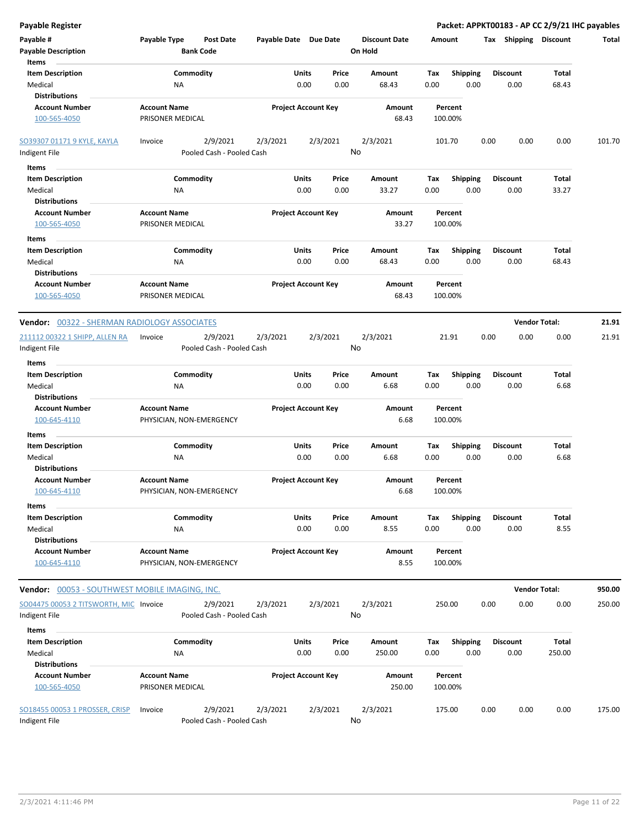| Payable Type<br><b>Post Date</b><br>Payable Date Due Date<br><b>Discount Date</b><br>Amount<br>Tax Shipping Discount<br>Total<br><b>Bank Code</b><br>On Hold<br>Items<br>Commodity<br><b>Item Description</b><br>Units<br>Price<br>Amount<br>Tax<br><b>Shipping</b><br><b>Discount</b><br>Total<br>Medical<br>0.00<br>0.00<br>0.00<br>0.00<br>0.00<br>68.43<br>ΝA<br>68.43<br><b>Distributions</b><br><b>Account Name</b><br><b>Project Account Key</b><br><b>Account Number</b><br>Amount<br>Percent<br>PRISONER MEDICAL<br>68.43<br>100-565-4050<br>100.00%<br>2/9/2021<br>2/3/2021<br>2/3/2021<br>2/3/2021<br>0.00<br>Invoice<br>101.70<br>0.00<br>0.00<br>101.70<br>No<br>Pooled Cash - Pooled Cash<br>Indigent File<br>Items<br><b>Item Description</b><br>Commodity<br>Units<br>Price<br>Amount<br>Tax<br><b>Shipping</b><br><b>Discount</b><br>Total<br>Medical<br>0.00<br>0.00<br>33.27<br>0.00<br>0.00<br>0.00<br>33.27<br>ΝA<br><b>Distributions</b><br><b>Account Name</b><br><b>Account Number</b><br><b>Project Account Key</b><br>Amount<br>Percent<br>PRISONER MEDICAL<br>33.27<br>100.00%<br>100-565-4050<br>Items<br>Commodity<br>Units<br>Price<br>Total<br><b>Item Description</b><br>Amount<br>Tax<br><b>Shipping</b><br><b>Discount</b><br>0.00<br>Medical<br>0.00<br>0.00<br>68.43<br>0.00<br>0.00<br>68.43<br>ΝA<br><b>Distributions</b><br><b>Account Name</b><br><b>Project Account Key</b><br><b>Account Number</b><br>Amount<br>Percent<br>PRISONER MEDICAL<br>68.43<br>100-565-4050<br>100.00%<br><b>Vendor Total:</b><br>21.91<br><b>Vendor: 00322 - SHERMAN RADIOLOGY ASSOCIATES</b><br>2/3/2021<br>0.00<br>0.00<br>2/9/2021<br>2/3/2021<br>2/3/2021<br>21.91<br>0.00<br>21.91<br>Invoice<br>No<br>Pooled Cash - Pooled Cash<br>Items<br>Commodity<br><b>Item Description</b><br>Units<br>Price<br>Amount<br>Tax<br><b>Shipping</b><br><b>Discount</b><br>Total<br>Medical<br>0.00<br>0.00<br>0.00<br>0.00<br>6.68<br>ΝA<br>6.68<br>0.00<br><b>Distributions</b><br><b>Account Name</b><br><b>Project Account Key</b><br><b>Account Number</b><br>Amount<br>Percent<br>6.68<br>100-645-4110<br>PHYSICIAN, NON-EMERGENCY<br>100.00%<br>Items<br>Commodity<br>Total<br><b>Item Description</b><br>Units<br>Price<br>Amount<br>Tax<br><b>Shipping</b><br><b>Discount</b><br>0.00<br>0.00<br>6.68<br>0.00<br>0.00<br>0.00<br>6.68<br>Medical<br>ΝA<br><b>Distributions</b><br><b>Project Account Key</b><br><b>Account Number</b><br><b>Account Name</b><br>Amount<br>Percent<br>100-645-4110<br>PHYSICIAN, NON-EMERGENCY<br>6.68<br>100.00%<br>Items<br><b>Item Description</b><br>Commodity<br>Units<br>Price<br><b>Shipping</b><br>Total<br>Amount<br>Tax<br><b>Discount</b><br>8.55<br>Medical<br>0.00<br>0.00<br>8.55<br>0.00<br>0.00<br>0.00<br>ΝA<br><b>Distributions</b><br><b>Account Number</b><br><b>Account Name</b><br><b>Project Account Key</b><br>Amount<br>Percent<br>PHYSICIAN, NON-EMERGENCY<br>8.55<br>100.00%<br>100-645-4110<br><b>Vendor Total:</b><br>950.00<br>Vendor: 00053 - SOUTHWEST MOBILE IMAGING, INC.<br>2/3/2021<br>SO04475 00053 2 TITSWORTH, MIC Invoice<br>2/9/2021<br>2/3/2021<br>2/3/2021<br>250.00<br>0.00<br>0.00<br>0.00<br>250.00<br>No<br>Pooled Cash - Pooled Cash<br>Items<br>Commodity<br>Units<br><b>Shipping</b><br><b>Total</b><br><b>Item Description</b><br>Price<br>Amount<br>Tax<br><b>Discount</b><br>Medical<br>0.00<br>0.00<br>0.00<br>NA<br>0.00<br>250.00<br>0.00<br>250.00<br><b>Distributions</b><br><b>Account Number</b><br><b>Account Name</b><br><b>Project Account Key</b><br>Amount<br>Percent<br>PRISONER MEDICAL<br>250.00<br>100.00%<br>100-565-4050<br>2/3/2021<br>2/9/2021<br>2/3/2021<br>2/3/2021<br>0.00<br>0.00<br>0.00<br>Invoice<br>175.00<br>175.00<br>No<br>Pooled Cash - Pooled Cash | <b>Payable Register</b>        |  |  | Packet: APPKT00183 - AP CC 2/9/21 IHC payables |  |
|------------------------------------------------------------------------------------------------------------------------------------------------------------------------------------------------------------------------------------------------------------------------------------------------------------------------------------------------------------------------------------------------------------------------------------------------------------------------------------------------------------------------------------------------------------------------------------------------------------------------------------------------------------------------------------------------------------------------------------------------------------------------------------------------------------------------------------------------------------------------------------------------------------------------------------------------------------------------------------------------------------------------------------------------------------------------------------------------------------------------------------------------------------------------------------------------------------------------------------------------------------------------------------------------------------------------------------------------------------------------------------------------------------------------------------------------------------------------------------------------------------------------------------------------------------------------------------------------------------------------------------------------------------------------------------------------------------------------------------------------------------------------------------------------------------------------------------------------------------------------------------------------------------------------------------------------------------------------------------------------------------------------------------------------------------------------------------------------------------------------------------------------------------------------------------------------------------------------------------------------------------------------------------------------------------------------------------------------------------------------------------------------------------------------------------------------------------------------------------------------------------------------------------------------------------------------------------------------------------------------------------------------------------------------------------------------------------------------------------------------------------------------------------------------------------------------------------------------------------------------------------------------------------------------------------------------------------------------------------------------------------------------------------------------------------------------------------------------------------------------------------------------------------------------------------------------------------------------------------------------------------------------------------------------------------------------------------------------------------------------------------------------------------------------------------------------------------------------------------------------------------------------------------------------------------------------------------------------------------------------------------------------------------------------------------------------------------------------------------------------------------------------------------------------|--------------------------------|--|--|------------------------------------------------|--|
|                                                                                                                                                                                                                                                                                                                                                                                                                                                                                                                                                                                                                                                                                                                                                                                                                                                                                                                                                                                                                                                                                                                                                                                                                                                                                                                                                                                                                                                                                                                                                                                                                                                                                                                                                                                                                                                                                                                                                                                                                                                                                                                                                                                                                                                                                                                                                                                                                                                                                                                                                                                                                                                                                                                                                                                                                                                                                                                                                                                                                                                                                                                                                                                                                                                                                                                                                                                                                                                                                                                                                                                                                                                                                                                                                                                                | Payable #                      |  |  |                                                |  |
|                                                                                                                                                                                                                                                                                                                                                                                                                                                                                                                                                                                                                                                                                                                                                                                                                                                                                                                                                                                                                                                                                                                                                                                                                                                                                                                                                                                                                                                                                                                                                                                                                                                                                                                                                                                                                                                                                                                                                                                                                                                                                                                                                                                                                                                                                                                                                                                                                                                                                                                                                                                                                                                                                                                                                                                                                                                                                                                                                                                                                                                                                                                                                                                                                                                                                                                                                                                                                                                                                                                                                                                                                                                                                                                                                                                                | <b>Payable Description</b>     |  |  |                                                |  |
|                                                                                                                                                                                                                                                                                                                                                                                                                                                                                                                                                                                                                                                                                                                                                                                                                                                                                                                                                                                                                                                                                                                                                                                                                                                                                                                                                                                                                                                                                                                                                                                                                                                                                                                                                                                                                                                                                                                                                                                                                                                                                                                                                                                                                                                                                                                                                                                                                                                                                                                                                                                                                                                                                                                                                                                                                                                                                                                                                                                                                                                                                                                                                                                                                                                                                                                                                                                                                                                                                                                                                                                                                                                                                                                                                                                                |                                |  |  |                                                |  |
|                                                                                                                                                                                                                                                                                                                                                                                                                                                                                                                                                                                                                                                                                                                                                                                                                                                                                                                                                                                                                                                                                                                                                                                                                                                                                                                                                                                                                                                                                                                                                                                                                                                                                                                                                                                                                                                                                                                                                                                                                                                                                                                                                                                                                                                                                                                                                                                                                                                                                                                                                                                                                                                                                                                                                                                                                                                                                                                                                                                                                                                                                                                                                                                                                                                                                                                                                                                                                                                                                                                                                                                                                                                                                                                                                                                                |                                |  |  |                                                |  |
|                                                                                                                                                                                                                                                                                                                                                                                                                                                                                                                                                                                                                                                                                                                                                                                                                                                                                                                                                                                                                                                                                                                                                                                                                                                                                                                                                                                                                                                                                                                                                                                                                                                                                                                                                                                                                                                                                                                                                                                                                                                                                                                                                                                                                                                                                                                                                                                                                                                                                                                                                                                                                                                                                                                                                                                                                                                                                                                                                                                                                                                                                                                                                                                                                                                                                                                                                                                                                                                                                                                                                                                                                                                                                                                                                                                                |                                |  |  |                                                |  |
|                                                                                                                                                                                                                                                                                                                                                                                                                                                                                                                                                                                                                                                                                                                                                                                                                                                                                                                                                                                                                                                                                                                                                                                                                                                                                                                                                                                                                                                                                                                                                                                                                                                                                                                                                                                                                                                                                                                                                                                                                                                                                                                                                                                                                                                                                                                                                                                                                                                                                                                                                                                                                                                                                                                                                                                                                                                                                                                                                                                                                                                                                                                                                                                                                                                                                                                                                                                                                                                                                                                                                                                                                                                                                                                                                                                                |                                |  |  |                                                |  |
|                                                                                                                                                                                                                                                                                                                                                                                                                                                                                                                                                                                                                                                                                                                                                                                                                                                                                                                                                                                                                                                                                                                                                                                                                                                                                                                                                                                                                                                                                                                                                                                                                                                                                                                                                                                                                                                                                                                                                                                                                                                                                                                                                                                                                                                                                                                                                                                                                                                                                                                                                                                                                                                                                                                                                                                                                                                                                                                                                                                                                                                                                                                                                                                                                                                                                                                                                                                                                                                                                                                                                                                                                                                                                                                                                                                                |                                |  |  |                                                |  |
|                                                                                                                                                                                                                                                                                                                                                                                                                                                                                                                                                                                                                                                                                                                                                                                                                                                                                                                                                                                                                                                                                                                                                                                                                                                                                                                                                                                                                                                                                                                                                                                                                                                                                                                                                                                                                                                                                                                                                                                                                                                                                                                                                                                                                                                                                                                                                                                                                                                                                                                                                                                                                                                                                                                                                                                                                                                                                                                                                                                                                                                                                                                                                                                                                                                                                                                                                                                                                                                                                                                                                                                                                                                                                                                                                                                                |                                |  |  |                                                |  |
|                                                                                                                                                                                                                                                                                                                                                                                                                                                                                                                                                                                                                                                                                                                                                                                                                                                                                                                                                                                                                                                                                                                                                                                                                                                                                                                                                                                                                                                                                                                                                                                                                                                                                                                                                                                                                                                                                                                                                                                                                                                                                                                                                                                                                                                                                                                                                                                                                                                                                                                                                                                                                                                                                                                                                                                                                                                                                                                                                                                                                                                                                                                                                                                                                                                                                                                                                                                                                                                                                                                                                                                                                                                                                                                                                                                                | SO39307 01171 9 KYLE, KAYLA    |  |  |                                                |  |
|                                                                                                                                                                                                                                                                                                                                                                                                                                                                                                                                                                                                                                                                                                                                                                                                                                                                                                                                                                                                                                                                                                                                                                                                                                                                                                                                                                                                                                                                                                                                                                                                                                                                                                                                                                                                                                                                                                                                                                                                                                                                                                                                                                                                                                                                                                                                                                                                                                                                                                                                                                                                                                                                                                                                                                                                                                                                                                                                                                                                                                                                                                                                                                                                                                                                                                                                                                                                                                                                                                                                                                                                                                                                                                                                                                                                |                                |  |  |                                                |  |
|                                                                                                                                                                                                                                                                                                                                                                                                                                                                                                                                                                                                                                                                                                                                                                                                                                                                                                                                                                                                                                                                                                                                                                                                                                                                                                                                                                                                                                                                                                                                                                                                                                                                                                                                                                                                                                                                                                                                                                                                                                                                                                                                                                                                                                                                                                                                                                                                                                                                                                                                                                                                                                                                                                                                                                                                                                                                                                                                                                                                                                                                                                                                                                                                                                                                                                                                                                                                                                                                                                                                                                                                                                                                                                                                                                                                |                                |  |  |                                                |  |
|                                                                                                                                                                                                                                                                                                                                                                                                                                                                                                                                                                                                                                                                                                                                                                                                                                                                                                                                                                                                                                                                                                                                                                                                                                                                                                                                                                                                                                                                                                                                                                                                                                                                                                                                                                                                                                                                                                                                                                                                                                                                                                                                                                                                                                                                                                                                                                                                                                                                                                                                                                                                                                                                                                                                                                                                                                                                                                                                                                                                                                                                                                                                                                                                                                                                                                                                                                                                                                                                                                                                                                                                                                                                                                                                                                                                |                                |  |  |                                                |  |
|                                                                                                                                                                                                                                                                                                                                                                                                                                                                                                                                                                                                                                                                                                                                                                                                                                                                                                                                                                                                                                                                                                                                                                                                                                                                                                                                                                                                                                                                                                                                                                                                                                                                                                                                                                                                                                                                                                                                                                                                                                                                                                                                                                                                                                                                                                                                                                                                                                                                                                                                                                                                                                                                                                                                                                                                                                                                                                                                                                                                                                                                                                                                                                                                                                                                                                                                                                                                                                                                                                                                                                                                                                                                                                                                                                                                |                                |  |  |                                                |  |
|                                                                                                                                                                                                                                                                                                                                                                                                                                                                                                                                                                                                                                                                                                                                                                                                                                                                                                                                                                                                                                                                                                                                                                                                                                                                                                                                                                                                                                                                                                                                                                                                                                                                                                                                                                                                                                                                                                                                                                                                                                                                                                                                                                                                                                                                                                                                                                                                                                                                                                                                                                                                                                                                                                                                                                                                                                                                                                                                                                                                                                                                                                                                                                                                                                                                                                                                                                                                                                                                                                                                                                                                                                                                                                                                                                                                |                                |  |  |                                                |  |
|                                                                                                                                                                                                                                                                                                                                                                                                                                                                                                                                                                                                                                                                                                                                                                                                                                                                                                                                                                                                                                                                                                                                                                                                                                                                                                                                                                                                                                                                                                                                                                                                                                                                                                                                                                                                                                                                                                                                                                                                                                                                                                                                                                                                                                                                                                                                                                                                                                                                                                                                                                                                                                                                                                                                                                                                                                                                                                                                                                                                                                                                                                                                                                                                                                                                                                                                                                                                                                                                                                                                                                                                                                                                                                                                                                                                |                                |  |  |                                                |  |
|                                                                                                                                                                                                                                                                                                                                                                                                                                                                                                                                                                                                                                                                                                                                                                                                                                                                                                                                                                                                                                                                                                                                                                                                                                                                                                                                                                                                                                                                                                                                                                                                                                                                                                                                                                                                                                                                                                                                                                                                                                                                                                                                                                                                                                                                                                                                                                                                                                                                                                                                                                                                                                                                                                                                                                                                                                                                                                                                                                                                                                                                                                                                                                                                                                                                                                                                                                                                                                                                                                                                                                                                                                                                                                                                                                                                |                                |  |  |                                                |  |
|                                                                                                                                                                                                                                                                                                                                                                                                                                                                                                                                                                                                                                                                                                                                                                                                                                                                                                                                                                                                                                                                                                                                                                                                                                                                                                                                                                                                                                                                                                                                                                                                                                                                                                                                                                                                                                                                                                                                                                                                                                                                                                                                                                                                                                                                                                                                                                                                                                                                                                                                                                                                                                                                                                                                                                                                                                                                                                                                                                                                                                                                                                                                                                                                                                                                                                                                                                                                                                                                                                                                                                                                                                                                                                                                                                                                |                                |  |  |                                                |  |
|                                                                                                                                                                                                                                                                                                                                                                                                                                                                                                                                                                                                                                                                                                                                                                                                                                                                                                                                                                                                                                                                                                                                                                                                                                                                                                                                                                                                                                                                                                                                                                                                                                                                                                                                                                                                                                                                                                                                                                                                                                                                                                                                                                                                                                                                                                                                                                                                                                                                                                                                                                                                                                                                                                                                                                                                                                                                                                                                                                                                                                                                                                                                                                                                                                                                                                                                                                                                                                                                                                                                                                                                                                                                                                                                                                                                |                                |  |  |                                                |  |
|                                                                                                                                                                                                                                                                                                                                                                                                                                                                                                                                                                                                                                                                                                                                                                                                                                                                                                                                                                                                                                                                                                                                                                                                                                                                                                                                                                                                                                                                                                                                                                                                                                                                                                                                                                                                                                                                                                                                                                                                                                                                                                                                                                                                                                                                                                                                                                                                                                                                                                                                                                                                                                                                                                                                                                                                                                                                                                                                                                                                                                                                                                                                                                                                                                                                                                                                                                                                                                                                                                                                                                                                                                                                                                                                                                                                |                                |  |  |                                                |  |
|                                                                                                                                                                                                                                                                                                                                                                                                                                                                                                                                                                                                                                                                                                                                                                                                                                                                                                                                                                                                                                                                                                                                                                                                                                                                                                                                                                                                                                                                                                                                                                                                                                                                                                                                                                                                                                                                                                                                                                                                                                                                                                                                                                                                                                                                                                                                                                                                                                                                                                                                                                                                                                                                                                                                                                                                                                                                                                                                                                                                                                                                                                                                                                                                                                                                                                                                                                                                                                                                                                                                                                                                                                                                                                                                                                                                |                                |  |  |                                                |  |
|                                                                                                                                                                                                                                                                                                                                                                                                                                                                                                                                                                                                                                                                                                                                                                                                                                                                                                                                                                                                                                                                                                                                                                                                                                                                                                                                                                                                                                                                                                                                                                                                                                                                                                                                                                                                                                                                                                                                                                                                                                                                                                                                                                                                                                                                                                                                                                                                                                                                                                                                                                                                                                                                                                                                                                                                                                                                                                                                                                                                                                                                                                                                                                                                                                                                                                                                                                                                                                                                                                                                                                                                                                                                                                                                                                                                |                                |  |  |                                                |  |
|                                                                                                                                                                                                                                                                                                                                                                                                                                                                                                                                                                                                                                                                                                                                                                                                                                                                                                                                                                                                                                                                                                                                                                                                                                                                                                                                                                                                                                                                                                                                                                                                                                                                                                                                                                                                                                                                                                                                                                                                                                                                                                                                                                                                                                                                                                                                                                                                                                                                                                                                                                                                                                                                                                                                                                                                                                                                                                                                                                                                                                                                                                                                                                                                                                                                                                                                                                                                                                                                                                                                                                                                                                                                                                                                                                                                |                                |  |  |                                                |  |
|                                                                                                                                                                                                                                                                                                                                                                                                                                                                                                                                                                                                                                                                                                                                                                                                                                                                                                                                                                                                                                                                                                                                                                                                                                                                                                                                                                                                                                                                                                                                                                                                                                                                                                                                                                                                                                                                                                                                                                                                                                                                                                                                                                                                                                                                                                                                                                                                                                                                                                                                                                                                                                                                                                                                                                                                                                                                                                                                                                                                                                                                                                                                                                                                                                                                                                                                                                                                                                                                                                                                                                                                                                                                                                                                                                                                |                                |  |  |                                                |  |
|                                                                                                                                                                                                                                                                                                                                                                                                                                                                                                                                                                                                                                                                                                                                                                                                                                                                                                                                                                                                                                                                                                                                                                                                                                                                                                                                                                                                                                                                                                                                                                                                                                                                                                                                                                                                                                                                                                                                                                                                                                                                                                                                                                                                                                                                                                                                                                                                                                                                                                                                                                                                                                                                                                                                                                                                                                                                                                                                                                                                                                                                                                                                                                                                                                                                                                                                                                                                                                                                                                                                                                                                                                                                                                                                                                                                |                                |  |  |                                                |  |
|                                                                                                                                                                                                                                                                                                                                                                                                                                                                                                                                                                                                                                                                                                                                                                                                                                                                                                                                                                                                                                                                                                                                                                                                                                                                                                                                                                                                                                                                                                                                                                                                                                                                                                                                                                                                                                                                                                                                                                                                                                                                                                                                                                                                                                                                                                                                                                                                                                                                                                                                                                                                                                                                                                                                                                                                                                                                                                                                                                                                                                                                                                                                                                                                                                                                                                                                                                                                                                                                                                                                                                                                                                                                                                                                                                                                | 211112 00322 1 SHIPP, ALLEN RA |  |  |                                                |  |
|                                                                                                                                                                                                                                                                                                                                                                                                                                                                                                                                                                                                                                                                                                                                                                                                                                                                                                                                                                                                                                                                                                                                                                                                                                                                                                                                                                                                                                                                                                                                                                                                                                                                                                                                                                                                                                                                                                                                                                                                                                                                                                                                                                                                                                                                                                                                                                                                                                                                                                                                                                                                                                                                                                                                                                                                                                                                                                                                                                                                                                                                                                                                                                                                                                                                                                                                                                                                                                                                                                                                                                                                                                                                                                                                                                                                | Indigent File                  |  |  |                                                |  |
|                                                                                                                                                                                                                                                                                                                                                                                                                                                                                                                                                                                                                                                                                                                                                                                                                                                                                                                                                                                                                                                                                                                                                                                                                                                                                                                                                                                                                                                                                                                                                                                                                                                                                                                                                                                                                                                                                                                                                                                                                                                                                                                                                                                                                                                                                                                                                                                                                                                                                                                                                                                                                                                                                                                                                                                                                                                                                                                                                                                                                                                                                                                                                                                                                                                                                                                                                                                                                                                                                                                                                                                                                                                                                                                                                                                                |                                |  |  |                                                |  |
|                                                                                                                                                                                                                                                                                                                                                                                                                                                                                                                                                                                                                                                                                                                                                                                                                                                                                                                                                                                                                                                                                                                                                                                                                                                                                                                                                                                                                                                                                                                                                                                                                                                                                                                                                                                                                                                                                                                                                                                                                                                                                                                                                                                                                                                                                                                                                                                                                                                                                                                                                                                                                                                                                                                                                                                                                                                                                                                                                                                                                                                                                                                                                                                                                                                                                                                                                                                                                                                                                                                                                                                                                                                                                                                                                                                                |                                |  |  |                                                |  |
|                                                                                                                                                                                                                                                                                                                                                                                                                                                                                                                                                                                                                                                                                                                                                                                                                                                                                                                                                                                                                                                                                                                                                                                                                                                                                                                                                                                                                                                                                                                                                                                                                                                                                                                                                                                                                                                                                                                                                                                                                                                                                                                                                                                                                                                                                                                                                                                                                                                                                                                                                                                                                                                                                                                                                                                                                                                                                                                                                                                                                                                                                                                                                                                                                                                                                                                                                                                                                                                                                                                                                                                                                                                                                                                                                                                                |                                |  |  |                                                |  |
|                                                                                                                                                                                                                                                                                                                                                                                                                                                                                                                                                                                                                                                                                                                                                                                                                                                                                                                                                                                                                                                                                                                                                                                                                                                                                                                                                                                                                                                                                                                                                                                                                                                                                                                                                                                                                                                                                                                                                                                                                                                                                                                                                                                                                                                                                                                                                                                                                                                                                                                                                                                                                                                                                                                                                                                                                                                                                                                                                                                                                                                                                                                                                                                                                                                                                                                                                                                                                                                                                                                                                                                                                                                                                                                                                                                                |                                |  |  |                                                |  |
|                                                                                                                                                                                                                                                                                                                                                                                                                                                                                                                                                                                                                                                                                                                                                                                                                                                                                                                                                                                                                                                                                                                                                                                                                                                                                                                                                                                                                                                                                                                                                                                                                                                                                                                                                                                                                                                                                                                                                                                                                                                                                                                                                                                                                                                                                                                                                                                                                                                                                                                                                                                                                                                                                                                                                                                                                                                                                                                                                                                                                                                                                                                                                                                                                                                                                                                                                                                                                                                                                                                                                                                                                                                                                                                                                                                                |                                |  |  |                                                |  |
|                                                                                                                                                                                                                                                                                                                                                                                                                                                                                                                                                                                                                                                                                                                                                                                                                                                                                                                                                                                                                                                                                                                                                                                                                                                                                                                                                                                                                                                                                                                                                                                                                                                                                                                                                                                                                                                                                                                                                                                                                                                                                                                                                                                                                                                                                                                                                                                                                                                                                                                                                                                                                                                                                                                                                                                                                                                                                                                                                                                                                                                                                                                                                                                                                                                                                                                                                                                                                                                                                                                                                                                                                                                                                                                                                                                                |                                |  |  |                                                |  |
|                                                                                                                                                                                                                                                                                                                                                                                                                                                                                                                                                                                                                                                                                                                                                                                                                                                                                                                                                                                                                                                                                                                                                                                                                                                                                                                                                                                                                                                                                                                                                                                                                                                                                                                                                                                                                                                                                                                                                                                                                                                                                                                                                                                                                                                                                                                                                                                                                                                                                                                                                                                                                                                                                                                                                                                                                                                                                                                                                                                                                                                                                                                                                                                                                                                                                                                                                                                                                                                                                                                                                                                                                                                                                                                                                                                                |                                |  |  |                                                |  |
|                                                                                                                                                                                                                                                                                                                                                                                                                                                                                                                                                                                                                                                                                                                                                                                                                                                                                                                                                                                                                                                                                                                                                                                                                                                                                                                                                                                                                                                                                                                                                                                                                                                                                                                                                                                                                                                                                                                                                                                                                                                                                                                                                                                                                                                                                                                                                                                                                                                                                                                                                                                                                                                                                                                                                                                                                                                                                                                                                                                                                                                                                                                                                                                                                                                                                                                                                                                                                                                                                                                                                                                                                                                                                                                                                                                                |                                |  |  |                                                |  |
|                                                                                                                                                                                                                                                                                                                                                                                                                                                                                                                                                                                                                                                                                                                                                                                                                                                                                                                                                                                                                                                                                                                                                                                                                                                                                                                                                                                                                                                                                                                                                                                                                                                                                                                                                                                                                                                                                                                                                                                                                                                                                                                                                                                                                                                                                                                                                                                                                                                                                                                                                                                                                                                                                                                                                                                                                                                                                                                                                                                                                                                                                                                                                                                                                                                                                                                                                                                                                                                                                                                                                                                                                                                                                                                                                                                                |                                |  |  |                                                |  |
|                                                                                                                                                                                                                                                                                                                                                                                                                                                                                                                                                                                                                                                                                                                                                                                                                                                                                                                                                                                                                                                                                                                                                                                                                                                                                                                                                                                                                                                                                                                                                                                                                                                                                                                                                                                                                                                                                                                                                                                                                                                                                                                                                                                                                                                                                                                                                                                                                                                                                                                                                                                                                                                                                                                                                                                                                                                                                                                                                                                                                                                                                                                                                                                                                                                                                                                                                                                                                                                                                                                                                                                                                                                                                                                                                                                                |                                |  |  |                                                |  |
|                                                                                                                                                                                                                                                                                                                                                                                                                                                                                                                                                                                                                                                                                                                                                                                                                                                                                                                                                                                                                                                                                                                                                                                                                                                                                                                                                                                                                                                                                                                                                                                                                                                                                                                                                                                                                                                                                                                                                                                                                                                                                                                                                                                                                                                                                                                                                                                                                                                                                                                                                                                                                                                                                                                                                                                                                                                                                                                                                                                                                                                                                                                                                                                                                                                                                                                                                                                                                                                                                                                                                                                                                                                                                                                                                                                                |                                |  |  |                                                |  |
|                                                                                                                                                                                                                                                                                                                                                                                                                                                                                                                                                                                                                                                                                                                                                                                                                                                                                                                                                                                                                                                                                                                                                                                                                                                                                                                                                                                                                                                                                                                                                                                                                                                                                                                                                                                                                                                                                                                                                                                                                                                                                                                                                                                                                                                                                                                                                                                                                                                                                                                                                                                                                                                                                                                                                                                                                                                                                                                                                                                                                                                                                                                                                                                                                                                                                                                                                                                                                                                                                                                                                                                                                                                                                                                                                                                                |                                |  |  |                                                |  |
|                                                                                                                                                                                                                                                                                                                                                                                                                                                                                                                                                                                                                                                                                                                                                                                                                                                                                                                                                                                                                                                                                                                                                                                                                                                                                                                                                                                                                                                                                                                                                                                                                                                                                                                                                                                                                                                                                                                                                                                                                                                                                                                                                                                                                                                                                                                                                                                                                                                                                                                                                                                                                                                                                                                                                                                                                                                                                                                                                                                                                                                                                                                                                                                                                                                                                                                                                                                                                                                                                                                                                                                                                                                                                                                                                                                                |                                |  |  |                                                |  |
|                                                                                                                                                                                                                                                                                                                                                                                                                                                                                                                                                                                                                                                                                                                                                                                                                                                                                                                                                                                                                                                                                                                                                                                                                                                                                                                                                                                                                                                                                                                                                                                                                                                                                                                                                                                                                                                                                                                                                                                                                                                                                                                                                                                                                                                                                                                                                                                                                                                                                                                                                                                                                                                                                                                                                                                                                                                                                                                                                                                                                                                                                                                                                                                                                                                                                                                                                                                                                                                                                                                                                                                                                                                                                                                                                                                                |                                |  |  |                                                |  |
|                                                                                                                                                                                                                                                                                                                                                                                                                                                                                                                                                                                                                                                                                                                                                                                                                                                                                                                                                                                                                                                                                                                                                                                                                                                                                                                                                                                                                                                                                                                                                                                                                                                                                                                                                                                                                                                                                                                                                                                                                                                                                                                                                                                                                                                                                                                                                                                                                                                                                                                                                                                                                                                                                                                                                                                                                                                                                                                                                                                                                                                                                                                                                                                                                                                                                                                                                                                                                                                                                                                                                                                                                                                                                                                                                                                                |                                |  |  |                                                |  |
|                                                                                                                                                                                                                                                                                                                                                                                                                                                                                                                                                                                                                                                                                                                                                                                                                                                                                                                                                                                                                                                                                                                                                                                                                                                                                                                                                                                                                                                                                                                                                                                                                                                                                                                                                                                                                                                                                                                                                                                                                                                                                                                                                                                                                                                                                                                                                                                                                                                                                                                                                                                                                                                                                                                                                                                                                                                                                                                                                                                                                                                                                                                                                                                                                                                                                                                                                                                                                                                                                                                                                                                                                                                                                                                                                                                                |                                |  |  |                                                |  |
|                                                                                                                                                                                                                                                                                                                                                                                                                                                                                                                                                                                                                                                                                                                                                                                                                                                                                                                                                                                                                                                                                                                                                                                                                                                                                                                                                                                                                                                                                                                                                                                                                                                                                                                                                                                                                                                                                                                                                                                                                                                                                                                                                                                                                                                                                                                                                                                                                                                                                                                                                                                                                                                                                                                                                                                                                                                                                                                                                                                                                                                                                                                                                                                                                                                                                                                                                                                                                                                                                                                                                                                                                                                                                                                                                                                                |                                |  |  |                                                |  |
|                                                                                                                                                                                                                                                                                                                                                                                                                                                                                                                                                                                                                                                                                                                                                                                                                                                                                                                                                                                                                                                                                                                                                                                                                                                                                                                                                                                                                                                                                                                                                                                                                                                                                                                                                                                                                                                                                                                                                                                                                                                                                                                                                                                                                                                                                                                                                                                                                                                                                                                                                                                                                                                                                                                                                                                                                                                                                                                                                                                                                                                                                                                                                                                                                                                                                                                                                                                                                                                                                                                                                                                                                                                                                                                                                                                                |                                |  |  |                                                |  |
|                                                                                                                                                                                                                                                                                                                                                                                                                                                                                                                                                                                                                                                                                                                                                                                                                                                                                                                                                                                                                                                                                                                                                                                                                                                                                                                                                                                                                                                                                                                                                                                                                                                                                                                                                                                                                                                                                                                                                                                                                                                                                                                                                                                                                                                                                                                                                                                                                                                                                                                                                                                                                                                                                                                                                                                                                                                                                                                                                                                                                                                                                                                                                                                                                                                                                                                                                                                                                                                                                                                                                                                                                                                                                                                                                                                                |                                |  |  |                                                |  |
|                                                                                                                                                                                                                                                                                                                                                                                                                                                                                                                                                                                                                                                                                                                                                                                                                                                                                                                                                                                                                                                                                                                                                                                                                                                                                                                                                                                                                                                                                                                                                                                                                                                                                                                                                                                                                                                                                                                                                                                                                                                                                                                                                                                                                                                                                                                                                                                                                                                                                                                                                                                                                                                                                                                                                                                                                                                                                                                                                                                                                                                                                                                                                                                                                                                                                                                                                                                                                                                                                                                                                                                                                                                                                                                                                                                                |                                |  |  |                                                |  |
|                                                                                                                                                                                                                                                                                                                                                                                                                                                                                                                                                                                                                                                                                                                                                                                                                                                                                                                                                                                                                                                                                                                                                                                                                                                                                                                                                                                                                                                                                                                                                                                                                                                                                                                                                                                                                                                                                                                                                                                                                                                                                                                                                                                                                                                                                                                                                                                                                                                                                                                                                                                                                                                                                                                                                                                                                                                                                                                                                                                                                                                                                                                                                                                                                                                                                                                                                                                                                                                                                                                                                                                                                                                                                                                                                                                                |                                |  |  |                                                |  |
|                                                                                                                                                                                                                                                                                                                                                                                                                                                                                                                                                                                                                                                                                                                                                                                                                                                                                                                                                                                                                                                                                                                                                                                                                                                                                                                                                                                                                                                                                                                                                                                                                                                                                                                                                                                                                                                                                                                                                                                                                                                                                                                                                                                                                                                                                                                                                                                                                                                                                                                                                                                                                                                                                                                                                                                                                                                                                                                                                                                                                                                                                                                                                                                                                                                                                                                                                                                                                                                                                                                                                                                                                                                                                                                                                                                                | Indigent File                  |  |  |                                                |  |
|                                                                                                                                                                                                                                                                                                                                                                                                                                                                                                                                                                                                                                                                                                                                                                                                                                                                                                                                                                                                                                                                                                                                                                                                                                                                                                                                                                                                                                                                                                                                                                                                                                                                                                                                                                                                                                                                                                                                                                                                                                                                                                                                                                                                                                                                                                                                                                                                                                                                                                                                                                                                                                                                                                                                                                                                                                                                                                                                                                                                                                                                                                                                                                                                                                                                                                                                                                                                                                                                                                                                                                                                                                                                                                                                                                                                |                                |  |  |                                                |  |
|                                                                                                                                                                                                                                                                                                                                                                                                                                                                                                                                                                                                                                                                                                                                                                                                                                                                                                                                                                                                                                                                                                                                                                                                                                                                                                                                                                                                                                                                                                                                                                                                                                                                                                                                                                                                                                                                                                                                                                                                                                                                                                                                                                                                                                                                                                                                                                                                                                                                                                                                                                                                                                                                                                                                                                                                                                                                                                                                                                                                                                                                                                                                                                                                                                                                                                                                                                                                                                                                                                                                                                                                                                                                                                                                                                                                |                                |  |  |                                                |  |
|                                                                                                                                                                                                                                                                                                                                                                                                                                                                                                                                                                                                                                                                                                                                                                                                                                                                                                                                                                                                                                                                                                                                                                                                                                                                                                                                                                                                                                                                                                                                                                                                                                                                                                                                                                                                                                                                                                                                                                                                                                                                                                                                                                                                                                                                                                                                                                                                                                                                                                                                                                                                                                                                                                                                                                                                                                                                                                                                                                                                                                                                                                                                                                                                                                                                                                                                                                                                                                                                                                                                                                                                                                                                                                                                                                                                |                                |  |  |                                                |  |
|                                                                                                                                                                                                                                                                                                                                                                                                                                                                                                                                                                                                                                                                                                                                                                                                                                                                                                                                                                                                                                                                                                                                                                                                                                                                                                                                                                                                                                                                                                                                                                                                                                                                                                                                                                                                                                                                                                                                                                                                                                                                                                                                                                                                                                                                                                                                                                                                                                                                                                                                                                                                                                                                                                                                                                                                                                                                                                                                                                                                                                                                                                                                                                                                                                                                                                                                                                                                                                                                                                                                                                                                                                                                                                                                                                                                |                                |  |  |                                                |  |
|                                                                                                                                                                                                                                                                                                                                                                                                                                                                                                                                                                                                                                                                                                                                                                                                                                                                                                                                                                                                                                                                                                                                                                                                                                                                                                                                                                                                                                                                                                                                                                                                                                                                                                                                                                                                                                                                                                                                                                                                                                                                                                                                                                                                                                                                                                                                                                                                                                                                                                                                                                                                                                                                                                                                                                                                                                                                                                                                                                                                                                                                                                                                                                                                                                                                                                                                                                                                                                                                                                                                                                                                                                                                                                                                                                                                |                                |  |  |                                                |  |
|                                                                                                                                                                                                                                                                                                                                                                                                                                                                                                                                                                                                                                                                                                                                                                                                                                                                                                                                                                                                                                                                                                                                                                                                                                                                                                                                                                                                                                                                                                                                                                                                                                                                                                                                                                                                                                                                                                                                                                                                                                                                                                                                                                                                                                                                                                                                                                                                                                                                                                                                                                                                                                                                                                                                                                                                                                                                                                                                                                                                                                                                                                                                                                                                                                                                                                                                                                                                                                                                                                                                                                                                                                                                                                                                                                                                |                                |  |  |                                                |  |
|                                                                                                                                                                                                                                                                                                                                                                                                                                                                                                                                                                                                                                                                                                                                                                                                                                                                                                                                                                                                                                                                                                                                                                                                                                                                                                                                                                                                                                                                                                                                                                                                                                                                                                                                                                                                                                                                                                                                                                                                                                                                                                                                                                                                                                                                                                                                                                                                                                                                                                                                                                                                                                                                                                                                                                                                                                                                                                                                                                                                                                                                                                                                                                                                                                                                                                                                                                                                                                                                                                                                                                                                                                                                                                                                                                                                |                                |  |  |                                                |  |
|                                                                                                                                                                                                                                                                                                                                                                                                                                                                                                                                                                                                                                                                                                                                                                                                                                                                                                                                                                                                                                                                                                                                                                                                                                                                                                                                                                                                                                                                                                                                                                                                                                                                                                                                                                                                                                                                                                                                                                                                                                                                                                                                                                                                                                                                                                                                                                                                                                                                                                                                                                                                                                                                                                                                                                                                                                                                                                                                                                                                                                                                                                                                                                                                                                                                                                                                                                                                                                                                                                                                                                                                                                                                                                                                                                                                | SO18455 00053 1 PROSSER, CRISP |  |  |                                                |  |
|                                                                                                                                                                                                                                                                                                                                                                                                                                                                                                                                                                                                                                                                                                                                                                                                                                                                                                                                                                                                                                                                                                                                                                                                                                                                                                                                                                                                                                                                                                                                                                                                                                                                                                                                                                                                                                                                                                                                                                                                                                                                                                                                                                                                                                                                                                                                                                                                                                                                                                                                                                                                                                                                                                                                                                                                                                                                                                                                                                                                                                                                                                                                                                                                                                                                                                                                                                                                                                                                                                                                                                                                                                                                                                                                                                                                | Indigent File                  |  |  |                                                |  |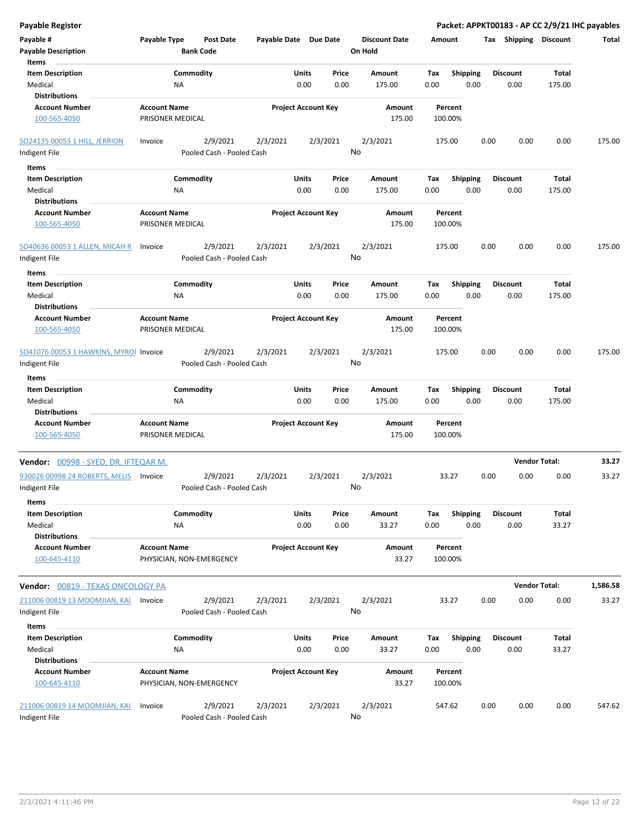| <b>Payable Register</b>                                 |                                                 |                                       |                            |               |               |                                 |             |                         |      |                       | Packet: APPKT00183 - AP CC 2/9/21 IHC payables |          |
|---------------------------------------------------------|-------------------------------------------------|---------------------------------------|----------------------------|---------------|---------------|---------------------------------|-------------|-------------------------|------|-----------------------|------------------------------------------------|----------|
| Payable #<br><b>Payable Description</b>                 | Payable Type                                    | <b>Post Date</b><br><b>Bank Code</b>  | Payable Date Due Date      |               |               | <b>Discount Date</b><br>On Hold | Amount      |                         |      | Tax Shipping Discount |                                                | Total    |
| Items                                                   |                                                 |                                       |                            |               |               |                                 |             |                         |      |                       |                                                |          |
| <b>Item Description</b>                                 |                                                 | Commodity                             |                            | Units         | Price         | Amount                          | Tax         | <b>Shipping</b>         |      | <b>Discount</b>       | Total                                          |          |
| Medical<br><b>Distributions</b>                         | NA                                              |                                       |                            | 0.00          | 0.00          | 175.00                          | 0.00        | 0.00                    |      | 0.00                  | 175.00                                         |          |
| <b>Account Number</b>                                   | <b>Account Name</b>                             |                                       | <b>Project Account Key</b> |               |               | Amount                          |             | Percent                 |      |                       |                                                |          |
| 100-565-4050                                            | PRISONER MEDICAL                                |                                       |                            |               |               | 175.00                          |             | 100.00%                 |      |                       |                                                |          |
| <b>SO24135 00053 1 HILL, JERRION</b>                    | Invoice                                         | 2/9/2021                              | 2/3/2021                   |               | 2/3/2021      | 2/3/2021                        |             | 175.00                  | 0.00 | 0.00                  | 0.00                                           | 175.00   |
| Indigent File                                           |                                                 | Pooled Cash - Pooled Cash             |                            |               |               | No                              |             |                         |      |                       |                                                |          |
| Items                                                   |                                                 |                                       |                            |               |               |                                 |             |                         |      |                       |                                                |          |
| <b>Item Description</b>                                 |                                                 | Commodity                             |                            | Units         | Price         | Amount                          | Tax         | <b>Shipping</b>         |      | Discount              | Total                                          |          |
| Medical                                                 | ΝA                                              |                                       |                            | 0.00          | 0.00          | 175.00                          | 0.00        | 0.00                    |      | 0.00                  | 175.00                                         |          |
| <b>Distributions</b>                                    |                                                 |                                       |                            |               |               |                                 |             |                         |      |                       |                                                |          |
| <b>Account Number</b><br>100-565-4050                   | <b>Account Name</b><br>PRISONER MEDICAL         |                                       | <b>Project Account Key</b> |               |               | Amount<br>175.00                |             | Percent<br>100.00%      |      |                       |                                                |          |
| SO40636 00053 1 ALLEN, MICAH R                          | Invoice                                         | 2/9/2021                              | 2/3/2021                   |               | 2/3/2021      | 2/3/2021<br>No                  |             | 175.00                  | 0.00 | 0.00                  | 0.00                                           | 175.00   |
| Indigent File                                           |                                                 | Pooled Cash - Pooled Cash             |                            |               |               |                                 |             |                         |      |                       |                                                |          |
| Items<br><b>Item Description</b><br>Medical             | NA                                              | Commodity                             |                            | Units<br>0.00 | Price<br>0.00 | Amount<br>175.00                | Tax<br>0.00 | <b>Shipping</b><br>0.00 |      | Discount<br>0.00      | Total<br>175.00                                |          |
| <b>Distributions</b>                                    |                                                 |                                       |                            |               |               |                                 |             |                         |      |                       |                                                |          |
| <b>Account Number</b>                                   | <b>Account Name</b>                             |                                       | <b>Project Account Key</b> |               |               | Amount                          |             | Percent                 |      |                       |                                                |          |
| 100-565-4050                                            | PRISONER MEDICAL                                |                                       |                            |               |               | 175.00                          |             | 100.00%                 |      |                       |                                                |          |
| SO41076 00053 1 HAWKINS, MYROI Invoice<br>Indigent File |                                                 | 2/9/2021<br>Pooled Cash - Pooled Cash | 2/3/2021                   |               | 2/3/2021      | 2/3/2021<br>No                  |             | 175.00                  | 0.00 | 0.00                  | 0.00                                           | 175.00   |
| Items                                                   |                                                 |                                       |                            |               |               |                                 |             |                         |      |                       |                                                |          |
| <b>Item Description</b><br>Medical                      | NA                                              | Commodity                             |                            | Units<br>0.00 | Price<br>0.00 | Amount<br>175.00                | Tax<br>0.00 | <b>Shipping</b><br>0.00 |      | Discount<br>0.00      | Total<br>175.00                                |          |
| <b>Distributions</b>                                    |                                                 |                                       |                            |               |               |                                 |             |                         |      |                       |                                                |          |
| <b>Account Number</b><br>100-565-4050                   | <b>Account Name</b><br>PRISONER MEDICAL         |                                       | <b>Project Account Key</b> |               |               | Amount<br>175.00                |             | Percent<br>100.00%      |      |                       |                                                |          |
| Vendor: 00998 - SYED, DR. IFTEQAR M.                    |                                                 |                                       |                            |               |               |                                 |             |                         |      |                       | <b>Vendor Total:</b>                           | 33.27    |
| 930026 00998 24 ROBERTS, MELIS<br>Indigent File         | Invoice                                         | 2/9/2021<br>Pooled Cash - Pooled Cash | 2/3/2021                   |               | 2/3/2021      | 2/3/2021<br>No                  |             | 33.27                   | 0.00 | 0.00                  | 0.00                                           | 33.27    |
| Items                                                   |                                                 |                                       |                            |               |               |                                 |             |                         |      |                       |                                                |          |
| <b>Item Description</b>                                 |                                                 | Commodity                             |                            | Units         | Price         | Amount                          | Tax         | <b>Shipping</b>         |      | <b>Discount</b>       | Total                                          |          |
| Medical                                                 | ΝA                                              |                                       |                            | 0.00          | 0.00          | 33.27                           | 0.00        | 0.00                    |      | 0.00                  | 33.27                                          |          |
| <b>Distributions</b>                                    |                                                 |                                       |                            |               |               |                                 |             |                         |      |                       |                                                |          |
| <b>Account Number</b><br>100-645-4110                   | <b>Account Name</b><br>PHYSICIAN, NON-EMERGENCY |                                       | <b>Project Account Key</b> |               |               | Amount<br>33.27                 |             | Percent<br>100.00%      |      |                       |                                                |          |
| Vendor: 00819 - TEXAS ONCOLOGY PA                       |                                                 |                                       |                            |               |               |                                 |             |                         |      |                       | <b>Vendor Total:</b>                           | 1,586.58 |
| 211006 00819 13 MOOMJIAN, KAI                           | Invoice                                         | 2/9/2021                              | 2/3/2021                   |               | 2/3/2021      | 2/3/2021                        |             | 33.27                   | 0.00 | 0.00                  | 0.00                                           | 33.27    |
| Indigent File                                           |                                                 | Pooled Cash - Pooled Cash             |                            |               |               | No                              |             |                         |      |                       |                                                |          |
| Items                                                   |                                                 |                                       |                            |               |               |                                 |             |                         |      |                       |                                                |          |
| <b>Item Description</b>                                 |                                                 | Commodity                             |                            | Units         | Price         | Amount                          | Tax         | Shipping                |      | <b>Discount</b>       | Total                                          |          |
| Medical<br><b>Distributions</b>                         | ΝA                                              |                                       |                            | 0.00          | 0.00          | 33.27                           | 0.00        | 0.00                    |      | 0.00                  | 33.27                                          |          |
| <b>Account Number</b>                                   | <b>Account Name</b>                             |                                       | <b>Project Account Key</b> |               |               | Amount                          |             | Percent                 |      |                       |                                                |          |
| 100-645-4110                                            | PHYSICIAN, NON-EMERGENCY                        |                                       |                            |               |               | 33.27                           |             | 100.00%                 |      |                       |                                                |          |
| 211006 00819 14 MOOMJIAN, KAI                           | Invoice                                         | 2/9/2021                              | 2/3/2021                   |               | 2/3/2021      | 2/3/2021                        |             | 547.62                  | 0.00 | 0.00                  | 0.00                                           | 547.62   |
| Indigent File                                           |                                                 | Pooled Cash - Pooled Cash             |                            |               |               | No                              |             |                         |      |                       |                                                |          |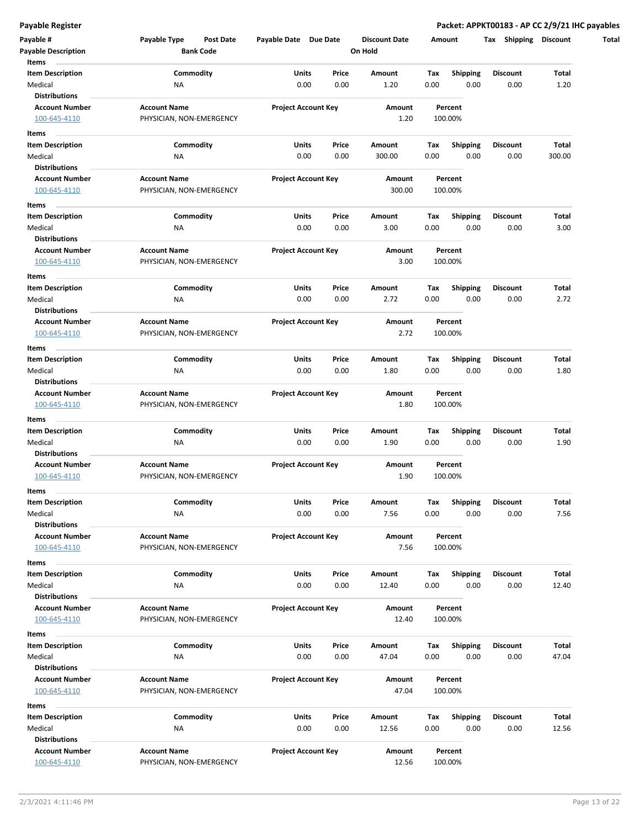| Payable #<br><b>Payable Description</b>       | Payable Type<br>Post Date | Payable Date Due Date      |       | <b>Discount Date</b> | Amount |                 | Tax Shipping    | <b>Discount</b> |
|-----------------------------------------------|---------------------------|----------------------------|-------|----------------------|--------|-----------------|-----------------|-----------------|
| Items                                         | <b>Bank Code</b>          |                            |       | On Hold              |        |                 |                 |                 |
| <b>Item Description</b>                       | Commodity                 | Units                      | Price | Amount               | Tax    | <b>Shipping</b> | <b>Discount</b> | Total           |
| Medical                                       | ΝA                        | 0.00                       | 0.00  | 1.20                 | 0.00   | 0.00            | 0.00            | 1.20            |
| <b>Distributions</b>                          |                           |                            |       |                      |        |                 |                 |                 |
| <b>Account Number</b>                         | <b>Account Name</b>       | <b>Project Account Key</b> |       | Amount               |        | Percent         |                 |                 |
| 100-645-4110                                  | PHYSICIAN, NON-EMERGENCY  |                            |       | 1.20                 |        | 100.00%         |                 |                 |
| Items                                         |                           |                            |       |                      |        |                 |                 |                 |
| <b>Item Description</b>                       | Commodity                 | Units                      | Price | Amount               | Тах    | <b>Shipping</b> | <b>Discount</b> | Total           |
| Medical                                       | ΝA                        | 0.00                       | 0.00  | 300.00               | 0.00   | 0.00            | 0.00            | 300.00          |
| <b>Distributions</b>                          |                           |                            |       |                      |        |                 |                 |                 |
| <b>Account Number</b>                         | <b>Account Name</b>       | <b>Project Account Key</b> |       | Amount               |        | Percent         |                 |                 |
| 100-645-4110                                  | PHYSICIAN, NON-EMERGENCY  |                            |       | 300.00               |        | 100.00%         |                 |                 |
| Items                                         |                           |                            |       |                      |        |                 |                 |                 |
| <b>Item Description</b>                       | Commodity                 | Units                      | Price | Amount               | Tax    | <b>Shipping</b> | <b>Discount</b> | Total           |
| Medical                                       | ΝA                        | 0.00                       | 0.00  | 3.00                 | 0.00   | 0.00            | 0.00            | 3.00            |
| <b>Distributions</b>                          |                           |                            |       |                      |        |                 |                 |                 |
|                                               | <b>Account Name</b>       |                            |       | Amount               |        | Percent         |                 |                 |
| <b>Account Number</b><br>100-645-4110         | PHYSICIAN, NON-EMERGENCY  | <b>Project Account Key</b> |       | 3.00                 |        | 100.00%         |                 |                 |
|                                               |                           |                            |       |                      |        |                 |                 |                 |
| Items                                         |                           |                            |       |                      |        |                 |                 |                 |
| <b>Item Description</b>                       | Commodity                 | Units                      | Price | Amount               | Tax    | <b>Shipping</b> | <b>Discount</b> | Total           |
| Medical                                       | <b>NA</b>                 | 0.00                       | 0.00  | 2.72                 | 0.00   | 0.00            | 0.00            | 2.72            |
| <b>Distributions</b>                          |                           |                            |       |                      |        |                 |                 |                 |
| <b>Account Number</b>                         | <b>Account Name</b>       | <b>Project Account Key</b> |       | Amount               |        | Percent         |                 |                 |
| 100-645-4110                                  | PHYSICIAN, NON-EMERGENCY  |                            |       | 2.72                 |        | 100.00%         |                 |                 |
| Items                                         |                           |                            |       |                      |        |                 |                 |                 |
| <b>Item Description</b>                       | Commodity                 | Units                      | Price | Amount               | Tax    | <b>Shipping</b> | <b>Discount</b> | Total           |
| Medical                                       | <b>NA</b>                 | 0.00                       | 0.00  | 1.80                 | 0.00   | 0.00            | 0.00            | 1.80            |
| <b>Distributions</b>                          |                           |                            |       |                      |        |                 |                 |                 |
| <b>Account Number</b>                         | <b>Account Name</b>       | <b>Project Account Key</b> |       | Amount               |        | Percent         |                 |                 |
| 100-645-4110                                  | PHYSICIAN, NON-EMERGENCY  |                            |       | 1.80                 |        | 100.00%         |                 |                 |
| Items                                         |                           |                            |       |                      |        |                 |                 |                 |
| <b>Item Description</b>                       | Commodity                 | Units                      | Price | Amount               | Тах    | <b>Shipping</b> | <b>Discount</b> | Total           |
| Medical                                       | ΝA                        | 0.00                       | 0.00  | 1.90                 | 0.00   | 0.00            | 0.00            | 1.90            |
| <b>Distributions</b>                          |                           |                            |       |                      |        |                 |                 |                 |
| <b>Account Number</b>                         | <b>Account Name</b>       | <b>Project Account Key</b> |       | Amount               |        | Percent         |                 |                 |
| 100-645-4110                                  | PHYSICIAN, NON-EMERGENCY  |                            |       | 1.90                 |        | 100.00%         |                 |                 |
|                                               |                           |                            |       |                      |        |                 |                 |                 |
| Items                                         |                           |                            |       |                      |        |                 |                 |                 |
| <b>Item Description</b>                       | Commodity                 | Units                      | Price | Amount               | Tax    | Shipping        | Discount        | Total           |
| Medical                                       | NA                        | 0.00                       | 0.00  | 7.56                 | 0.00   | 0.00            | 0.00            | 7.56            |
| <b>Distributions</b><br><b>Account Number</b> | <b>Account Name</b>       | <b>Project Account Key</b> |       | Amount               |        | Percent         |                 |                 |
|                                               |                           |                            |       | 7.56                 |        |                 |                 |                 |
| 100-645-4110                                  | PHYSICIAN, NON-EMERGENCY  |                            |       |                      |        | 100.00%         |                 |                 |
| Items                                         |                           |                            |       |                      |        |                 |                 |                 |
| <b>Item Description</b>                       | Commodity                 | Units                      | Price | Amount               | Tax    | Shipping        | <b>Discount</b> | Total           |
| Medical                                       | <b>NA</b>                 | 0.00                       | 0.00  | 12.40                | 0.00   | 0.00            | 0.00            | 12.40           |
| <b>Distributions</b>                          |                           |                            |       |                      |        |                 |                 |                 |
| <b>Account Number</b>                         | <b>Account Name</b>       | <b>Project Account Key</b> |       | Amount               |        | Percent         |                 |                 |
| 100-645-4110                                  | PHYSICIAN, NON-EMERGENCY  |                            |       | 12.40                |        | 100.00%         |                 |                 |
| Items                                         |                           |                            |       |                      |        |                 |                 |                 |
| <b>Item Description</b>                       | Commodity                 | Units                      | Price | Amount               | Tax    | <b>Shipping</b> | <b>Discount</b> | Total           |
| Medical                                       | <b>NA</b>                 | 0.00                       | 0.00  | 47.04                | 0.00   | 0.00            | 0.00            | 47.04           |
| <b>Distributions</b>                          |                           |                            |       |                      |        |                 |                 |                 |
| <b>Account Number</b>                         | <b>Account Name</b>       | <b>Project Account Key</b> |       | Amount               |        | Percent         |                 |                 |
| 100-645-4110                                  | PHYSICIAN, NON-EMERGENCY  |                            |       | 47.04                |        | 100.00%         |                 |                 |
|                                               |                           |                            |       |                      |        |                 |                 |                 |
| Items                                         |                           |                            |       |                      |        |                 |                 |                 |
| <b>Item Description</b>                       | Commodity                 | Units                      | Price | Amount               | Tax    | <b>Shipping</b> | Discount        | Total           |
| Medical                                       | <b>NA</b>                 | 0.00                       | 0.00  | 12.56                | 0.00   | 0.00            | 0.00            | 12.56           |
| <b>Distributions</b>                          |                           |                            |       |                      |        |                 |                 |                 |
| <b>Account Number</b>                         | <b>Account Name</b>       | <b>Project Account Key</b> |       | Amount               |        | Percent         |                 |                 |
| 100-645-4110                                  | PHYSICIAN, NON-EMERGENCY  |                            |       | 12.56                |        | 100.00%         |                 |                 |
|                                               |                           |                            |       |                      |        |                 |                 |                 |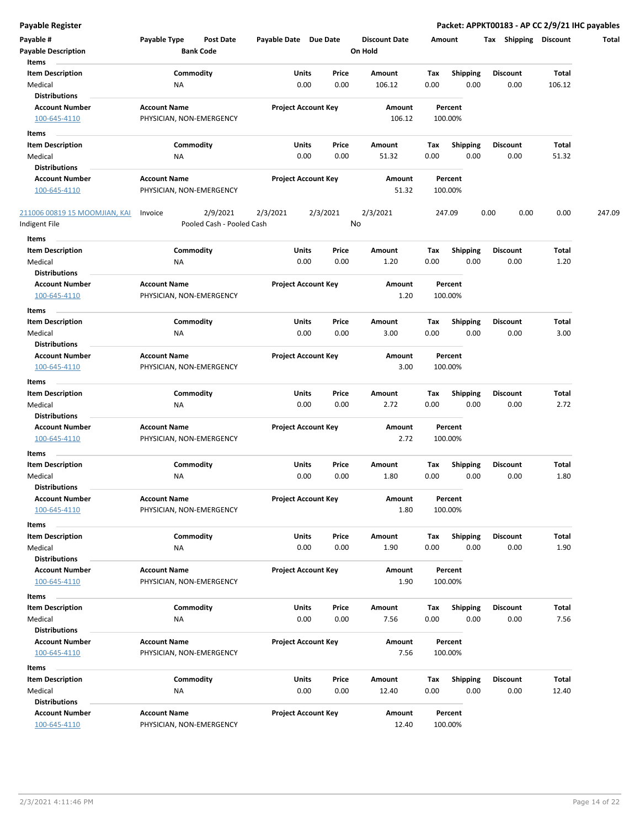|  | Payable Register |
|--|------------------|
|  |                  |

Packet: APPKT00183 - AP CC 2/9/21 IHC payables

| <b>Payable Register</b>                        |                                                      |                       |                            |               |                                 |             |                         |      |                         |                              | Packet: APPKT00183 - AP CC 2/9/21 IHC payables |
|------------------------------------------------|------------------------------------------------------|-----------------------|----------------------------|---------------|---------------------------------|-------------|-------------------------|------|-------------------------|------------------------------|------------------------------------------------|
| Payable #<br><b>Payable Description</b>        | Payable Type<br><b>Post Date</b><br><b>Bank Code</b> | Payable Date Due Date |                            |               | <b>Discount Date</b><br>On Hold |             | Amount                  |      |                         | <b>Tax Shipping Discount</b> | Total                                          |
| Items                                          |                                                      |                       |                            |               |                                 |             |                         |      |                         |                              |                                                |
| <b>Item Description</b><br>Medical             | Commodity<br>NA                                      |                       | Units<br>0.00              | Price<br>0.00 | Amount<br>106.12                | Tax<br>0.00 | <b>Shipping</b><br>0.00 |      | <b>Discount</b><br>0.00 | Total<br>106.12              |                                                |
| <b>Distributions</b>                           |                                                      |                       |                            |               |                                 |             |                         |      |                         |                              |                                                |
| <b>Account Number</b>                          | <b>Account Name</b>                                  |                       | <b>Project Account Key</b> |               | Amount                          |             | Percent                 |      |                         |                              |                                                |
| 100-645-4110                                   | PHYSICIAN, NON-EMERGENCY                             |                       |                            |               | 106.12                          |             | 100.00%                 |      |                         |                              |                                                |
|                                                |                                                      |                       |                            |               |                                 |             |                         |      |                         |                              |                                                |
| Items<br><b>Item Description</b>               | Commodity                                            |                       | Units                      | Price         | Amount                          | Tax         | <b>Shipping</b>         |      | <b>Discount</b>         | Total                        |                                                |
| Medical                                        | NA                                                   |                       | 0.00                       | 0.00          | 51.32                           | 0.00        | 0.00                    |      | 0.00                    | 51.32                        |                                                |
| <b>Distributions</b>                           |                                                      |                       |                            |               |                                 |             |                         |      |                         |                              |                                                |
| <b>Account Number</b>                          | <b>Account Name</b>                                  |                       | <b>Project Account Key</b> |               | Amount                          |             | Percent                 |      |                         |                              |                                                |
| 100-645-4110                                   | PHYSICIAN, NON-EMERGENCY                             |                       |                            |               | 51.32                           |             | 100.00%                 |      |                         |                              |                                                |
| 211006 00819 15 MOOMJIAN, KAI<br>Indigent File | 2/9/2021<br>Invoice<br>Pooled Cash - Pooled Cash     | 2/3/2021              | 2/3/2021                   | No            | 2/3/2021                        |             | 247.09                  | 0.00 | 0.00                    | 0.00                         | 247.09                                         |
|                                                |                                                      |                       |                            |               |                                 |             |                         |      |                         |                              |                                                |
| Items<br><b>Item Description</b>               | Commodity                                            |                       | Units                      | Price         | Amount                          | Tax         | <b>Shipping</b>         |      | <b>Discount</b>         | Total                        |                                                |
| Medical                                        | <b>NA</b>                                            |                       | 0.00                       | 0.00          | 1.20                            | 0.00        | 0.00                    |      | 0.00                    | 1.20                         |                                                |
| <b>Distributions</b>                           |                                                      |                       |                            |               |                                 |             |                         |      |                         |                              |                                                |
| <b>Account Number</b><br>100-645-4110          | <b>Account Name</b><br>PHYSICIAN, NON-EMERGENCY      |                       | <b>Project Account Key</b> |               | Amount<br>1.20                  |             | Percent<br>100.00%      |      |                         |                              |                                                |
|                                                |                                                      |                       |                            |               |                                 |             |                         |      |                         |                              |                                                |
| Items<br><b>Item Description</b>               | Commodity                                            |                       | Units                      | Price         | Amount                          | Tax         | Shipping                |      | <b>Discount</b>         | Total                        |                                                |
| Medical                                        | NA                                                   |                       | 0.00                       | 0.00          | 3.00                            | 0.00        | 0.00                    |      | 0.00                    | 3.00                         |                                                |
| <b>Distributions</b>                           |                                                      |                       |                            |               |                                 |             |                         |      |                         |                              |                                                |
| <b>Account Number</b>                          | <b>Account Name</b>                                  |                       | <b>Project Account Key</b> |               | Amount                          |             | Percent                 |      |                         |                              |                                                |
| 100-645-4110                                   | PHYSICIAN, NON-EMERGENCY                             |                       |                            |               | 3.00                            |             | 100.00%                 |      |                         |                              |                                                |
| Items                                          |                                                      |                       |                            |               |                                 |             |                         |      |                         |                              |                                                |
| <b>Item Description</b>                        | Commodity                                            |                       | Units                      | Price         | Amount                          | Tax         | <b>Shipping</b>         |      | <b>Discount</b>         | Total                        |                                                |
| Medical                                        | NA                                                   |                       | 0.00                       | 0.00          | 2.72                            | 0.00        | 0.00                    |      | 0.00                    | 2.72                         |                                                |
| <b>Distributions</b>                           |                                                      |                       |                            |               |                                 |             |                         |      |                         |                              |                                                |
| <b>Account Number</b>                          | <b>Account Name</b>                                  |                       | <b>Project Account Key</b> |               | Amount                          |             | Percent                 |      |                         |                              |                                                |
| 100-645-4110                                   | PHYSICIAN, NON-EMERGENCY                             |                       |                            |               | 2.72                            |             | 100.00%                 |      |                         |                              |                                                |
| Items                                          |                                                      |                       |                            |               |                                 |             |                         |      |                         |                              |                                                |
| <b>Item Description</b>                        | Commodity                                            |                       | Units                      | Price         | Amount                          | Tax         | <b>Shipping</b>         |      | <b>Discount</b>         | Total                        |                                                |
| Medical<br><b>Distributions</b>                | NA                                                   |                       | 0.00                       | 0.00          | 1.80                            | 0.00        | 0.00                    |      | 0.00                    | 1.80                         |                                                |
| <b>Account Number</b>                          | <b>Account Name</b>                                  |                       | <b>Project Account Key</b> |               | Amount                          |             | Percent                 |      |                         |                              |                                                |
| 100-645-4110                                   | PHYSICIAN, NON-EMERGENCY                             |                       |                            |               | 1.80                            |             | 100.00%                 |      |                         |                              |                                                |
| Items                                          |                                                      |                       |                            |               |                                 |             |                         |      |                         |                              |                                                |
| <b>Item Description</b>                        | Commodity                                            |                       | Units                      | Price         | Amount                          | Tax         | <b>Shipping</b>         |      | <b>Discount</b>         | Total                        |                                                |
| Medical                                        | <b>NA</b>                                            |                       | 0.00                       | 0.00          | 1.90                            | 0.00        | 0.00                    |      | 0.00                    | 1.90                         |                                                |
| <b>Distributions</b>                           |                                                      |                       |                            |               |                                 |             |                         |      |                         |                              |                                                |
| <b>Account Number</b>                          | <b>Account Name</b>                                  |                       | <b>Project Account Key</b> |               | Amount                          |             | Percent                 |      |                         |                              |                                                |
| 100-645-4110                                   | PHYSICIAN, NON-EMERGENCY                             |                       |                            |               | 1.90                            |             | 100.00%                 |      |                         |                              |                                                |
| Items                                          |                                                      |                       |                            |               |                                 |             |                         |      |                         |                              |                                                |
| <b>Item Description</b>                        | Commodity                                            |                       | <b>Units</b>               | Price         | Amount                          | Tax         | <b>Shipping</b>         |      | Discount                | Total                        |                                                |
| Medical                                        | NA                                                   |                       | 0.00                       | 0.00          | 7.56                            | 0.00        | 0.00                    |      | 0.00                    | 7.56                         |                                                |
| <b>Distributions</b>                           |                                                      |                       |                            |               |                                 |             |                         |      |                         |                              |                                                |
| <b>Account Number</b>                          | <b>Account Name</b>                                  |                       | <b>Project Account Key</b> |               | Amount                          |             | Percent                 |      |                         |                              |                                                |
| 100-645-4110                                   | PHYSICIAN, NON-EMERGENCY                             |                       |                            |               | 7.56                            |             | 100.00%                 |      |                         |                              |                                                |
| Items                                          |                                                      |                       |                            |               |                                 |             |                         |      |                         |                              |                                                |
| <b>Item Description</b>                        | Commodity                                            |                       | Units                      | Price         | Amount                          | Tax         | <b>Shipping</b>         |      | <b>Discount</b>         | Total                        |                                                |
| Medical                                        | NA                                                   |                       | 0.00                       | 0.00          | 12.40                           | 0.00        | 0.00                    |      | 0.00                    | 12.40                        |                                                |
| <b>Distributions</b>                           |                                                      |                       |                            |               |                                 |             |                         |      |                         |                              |                                                |
| <b>Account Number</b>                          | <b>Account Name</b>                                  |                       | <b>Project Account Key</b> |               | Amount                          |             | Percent                 |      |                         |                              |                                                |
| 100-645-4110                                   | PHYSICIAN, NON-EMERGENCY                             |                       |                            |               | 12.40                           |             | 100.00%                 |      |                         |                              |                                                |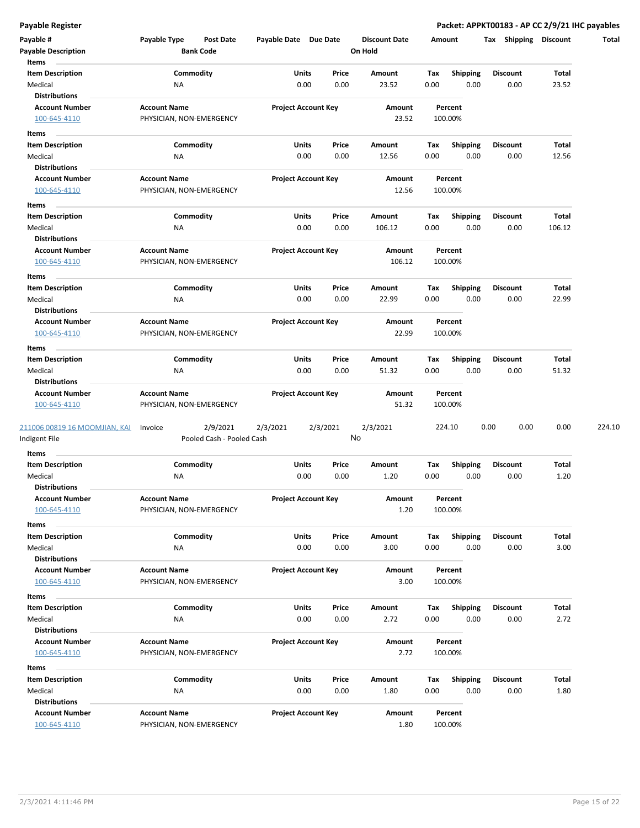| Payable #                          | Payable Type             | <b>Post Date</b>          | Payable Date Due Date |                            |          | <b>Discount Date</b> |             | Amount           | Tax             | Shipping | <b>Discount</b> | Total  |
|------------------------------------|--------------------------|---------------------------|-----------------------|----------------------------|----------|----------------------|-------------|------------------|-----------------|----------|-----------------|--------|
| <b>Payable Description</b>         |                          | <b>Bank Code</b>          |                       |                            | On Hold  |                      |             |                  |                 |          |                 |        |
| Items                              |                          |                           |                       |                            |          |                      |             |                  |                 |          |                 |        |
| <b>Item Description</b><br>Medical | ΝA                       | Commodity                 | <b>Units</b>          | Price<br>0.00<br>0.00      |          | Amount<br>23.52      | Tax<br>0.00 | Shipping<br>0.00 | <b>Discount</b> | 0.00     | Total<br>23.52  |        |
| <b>Distributions</b>               |                          |                           |                       |                            |          |                      |             |                  |                 |          |                 |        |
| <b>Account Number</b>              | <b>Account Name</b>      |                           |                       | <b>Project Account Key</b> |          | Amount               |             | Percent          |                 |          |                 |        |
| 100-645-4110                       | PHYSICIAN, NON-EMERGENCY |                           |                       |                            |          | 23.52                |             | 100.00%          |                 |          |                 |        |
|                                    |                          |                           |                       |                            |          |                      |             |                  |                 |          |                 |        |
| Items                              |                          | Commodity                 | Units                 | Price                      |          | Amount               | Tax         | <b>Shipping</b>  | <b>Discount</b> |          | Total           |        |
| <b>Item Description</b><br>Medical | <b>NA</b>                |                           |                       | 0.00<br>0.00               |          | 12.56                | 0.00        | 0.00             |                 | 0.00     | 12.56           |        |
| <b>Distributions</b>               |                          |                           |                       |                            |          |                      |             |                  |                 |          |                 |        |
| <b>Account Number</b>              | <b>Account Name</b>      |                           |                       | <b>Project Account Key</b> |          | Amount               |             | Percent          |                 |          |                 |        |
| 100-645-4110                       | PHYSICIAN, NON-EMERGENCY |                           |                       |                            |          | 12.56                |             | 100.00%          |                 |          |                 |        |
| Items                              |                          |                           |                       |                            |          |                      |             |                  |                 |          |                 |        |
| <b>Item Description</b>            |                          | Commodity                 | Units                 | Price                      |          | Amount               | Tax         | <b>Shipping</b>  | <b>Discount</b> |          | Total           |        |
| Medical                            | NA                       |                           |                       | 0.00<br>0.00               |          | 106.12               | 0.00        | 0.00             |                 | 0.00     | 106.12          |        |
| <b>Distributions</b>               |                          |                           |                       |                            |          |                      |             |                  |                 |          |                 |        |
| <b>Account Number</b>              | <b>Account Name</b>      |                           |                       | <b>Project Account Key</b> |          | Amount               |             | Percent          |                 |          |                 |        |
| 100-645-4110                       | PHYSICIAN, NON-EMERGENCY |                           |                       |                            |          | 106.12               |             | 100.00%          |                 |          |                 |        |
| Items                              |                          |                           |                       |                            |          |                      |             |                  |                 |          |                 |        |
| <b>Item Description</b>            |                          | Commodity                 | Units                 | Price                      |          | Amount               | Tax         | Shipping         | <b>Discount</b> |          | Total           |        |
| Medical                            | <b>NA</b>                |                           |                       | 0.00<br>0.00               |          | 22.99                | 0.00        | 0.00             |                 | 0.00     | 22.99           |        |
| <b>Distributions</b>               |                          |                           |                       |                            |          |                      |             |                  |                 |          |                 |        |
| <b>Account Number</b>              | <b>Account Name</b>      |                           |                       | <b>Project Account Key</b> |          | Amount               |             | Percent          |                 |          |                 |        |
| 100-645-4110                       | PHYSICIAN, NON-EMERGENCY |                           |                       |                            |          | 22.99                |             | 100.00%          |                 |          |                 |        |
| Items                              |                          |                           |                       |                            |          |                      |             |                  |                 |          |                 |        |
| <b>Item Description</b>            |                          | Commodity                 | Units                 | Price                      |          | Amount               | Тах         | <b>Shipping</b>  | <b>Discount</b> |          | Total           |        |
| Medical                            | <b>NA</b>                |                           |                       | 0.00<br>0.00               |          | 51.32                | 0.00        | 0.00             |                 | 0.00     | 51.32           |        |
| <b>Distributions</b>               |                          |                           |                       |                            |          |                      |             |                  |                 |          |                 |        |
| <b>Account Number</b>              | <b>Account Name</b>      |                           |                       | <b>Project Account Key</b> |          | Amount               |             | Percent          |                 |          |                 |        |
| 100-645-4110                       | PHYSICIAN, NON-EMERGENCY |                           |                       |                            |          | 51.32                |             | 100.00%          |                 |          |                 |        |
| 211006 00819 16 MOOMJIAN, KAI      | Invoice                  | 2/9/2021                  | 2/3/2021              | 2/3/2021                   | 2/3/2021 |                      |             | 224.10           | 0.00            | 0.00     | 0.00            | 224.10 |
| Indigent File                      |                          | Pooled Cash - Pooled Cash |                       |                            | No       |                      |             |                  |                 |          |                 |        |
| Items                              |                          |                           |                       |                            |          |                      |             |                  |                 |          |                 |        |
| <b>Item Description</b>            |                          | Commodity                 | Units                 | Price                      |          | Amount               | Tax         | <b>Shipping</b>  | <b>Discount</b> |          | Total           |        |
| Medical                            | <b>NA</b>                |                           |                       | 0.00<br>0.00               |          | 1.20                 | 0.00        | 0.00             |                 | 0.00     | 1.20            |        |
| <b>Distributions</b>               |                          |                           |                       |                            |          |                      |             |                  |                 |          |                 |        |
| <b>Account Number</b>              | <b>Account Name</b>      |                           |                       | <b>Project Account Key</b> |          | Amount               |             | Percent          |                 |          |                 |        |
| 100-645-4110                       | PHYSICIAN, NON-EMERGENCY |                           |                       |                            |          | 1.20                 |             | 100.00%          |                 |          |                 |        |
| Items                              |                          |                           |                       |                            |          |                      |             |                  |                 |          |                 |        |
| <b>Item Description</b>            |                          | Commodity                 | Units                 | Price                      |          | Amount               | Tax         | Shipping         | <b>Discount</b> |          | Total           |        |
| Medical                            | <b>NA</b>                |                           |                       | 0.00<br>0.00               |          | 3.00                 | 0.00        | 0.00             |                 | 0.00     | 3.00            |        |
| <b>Distributions</b>               |                          |                           |                       |                            |          |                      |             |                  |                 |          |                 |        |
| <b>Account Number</b>              | <b>Account Name</b>      |                           |                       | <b>Project Account Key</b> |          | Amount               |             | Percent          |                 |          |                 |        |
| 100-645-4110                       | PHYSICIAN, NON-EMERGENCY |                           |                       |                            |          | 3.00                 |             | 100.00%          |                 |          |                 |        |
| Items                              |                          |                           |                       |                            |          |                      |             |                  |                 |          |                 |        |
| <b>Item Description</b>            |                          | Commodity                 | Units                 | Price                      |          | Amount               | Tax         | <b>Shipping</b>  | <b>Discount</b> |          | Total           |        |
| Medical                            | <b>NA</b>                |                           |                       | 0.00<br>0.00               |          | 2.72                 | 0.00        | 0.00             |                 | 0.00     | 2.72            |        |
| <b>Distributions</b>               |                          |                           |                       |                            |          |                      |             |                  |                 |          |                 |        |
| <b>Account Number</b>              | <b>Account Name</b>      |                           |                       | <b>Project Account Key</b> |          | Amount               |             | Percent          |                 |          |                 |        |
| 100-645-4110                       | PHYSICIAN, NON-EMERGENCY |                           |                       |                            |          | 2.72                 |             | 100.00%          |                 |          |                 |        |
| Items                              |                          |                           |                       |                            |          |                      |             |                  |                 |          |                 |        |
| <b>Item Description</b>            |                          | Commodity                 | Units                 | Price                      |          | Amount               | Tax         | Shipping         | <b>Discount</b> |          | Total           |        |
| Medical                            | NA                       |                           |                       | 0.00<br>0.00               |          | 1.80                 | 0.00        | 0.00             |                 | 0.00     | 1.80            |        |
| <b>Distributions</b>               |                          |                           |                       |                            |          |                      |             |                  |                 |          |                 |        |
| <b>Account Number</b>              | <b>Account Name</b>      |                           |                       | <b>Project Account Key</b> |          | Amount               |             | Percent          |                 |          |                 |        |
| 100-645-4110                       | PHYSICIAN, NON-EMERGENCY |                           |                       |                            |          | 1.80                 |             | 100.00%          |                 |          |                 |        |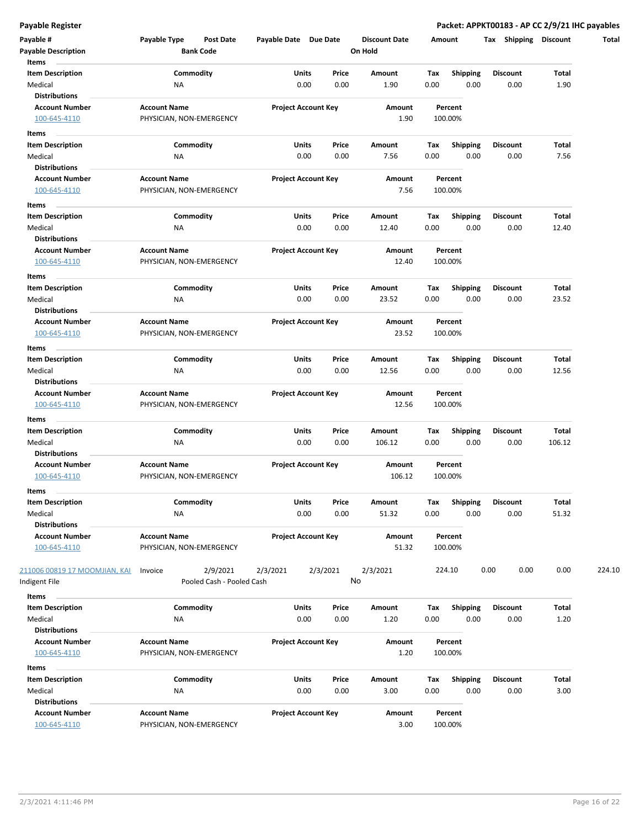| Payable #<br><b>Payable Description</b>                       | Payable Type                                    | Post Date<br><b>Bank Code</b>         | Payable Date Due Date |                            | <b>Discount Date</b><br>On Hold |             | Amount                  | Tax Shipping            | <b>Discount</b> | Total  |
|---------------------------------------------------------------|-------------------------------------------------|---------------------------------------|-----------------------|----------------------------|---------------------------------|-------------|-------------------------|-------------------------|-----------------|--------|
| Items<br><b>Item Description</b><br>Medical                   | ΝA                                              | Commodity                             | Units                 | Price<br>0.00<br>0.00      | Amount<br>1.90                  | Tax<br>0.00 | <b>Shipping</b><br>0.00 | <b>Discount</b><br>0.00 | Total<br>1.90   |        |
| <b>Distributions</b><br><b>Account Number</b><br>100-645-4110 | <b>Account Name</b><br>PHYSICIAN, NON-EMERGENCY |                                       |                       | <b>Project Account Key</b> | Amount<br>1.90                  |             | Percent<br>100.00%      |                         |                 |        |
| Items                                                         |                                                 |                                       |                       |                            |                                 |             |                         |                         |                 |        |
| <b>Item Description</b>                                       |                                                 | Commodity                             |                       | Units<br>Price             | Amount                          | Тах         | <b>Shipping</b>         | <b>Discount</b>         | Total           |        |
| Medical<br><b>Distributions</b>                               | ΝA                                              |                                       |                       | 0.00<br>0.00               | 7.56                            | 0.00        | 0.00                    | 0.00                    | 7.56            |        |
| <b>Account Number</b><br>100-645-4110                         | <b>Account Name</b><br>PHYSICIAN, NON-EMERGENCY |                                       |                       | <b>Project Account Key</b> | Amount<br>7.56                  |             | Percent<br>100.00%      |                         |                 |        |
| Items                                                         |                                                 |                                       |                       |                            |                                 |             |                         |                         |                 |        |
| <b>Item Description</b>                                       |                                                 | Commodity                             |                       | Units<br>Price             | Amount                          | Tax         | <b>Shipping</b>         | <b>Discount</b>         | Total           |        |
| Medical                                                       | ΝA                                              |                                       |                       | 0.00<br>0.00               | 12.40                           | 0.00        | 0.00                    | 0.00                    | 12.40           |        |
| <b>Distributions</b>                                          |                                                 |                                       |                       |                            |                                 |             |                         |                         |                 |        |
| <b>Account Number</b><br>100-645-4110                         | <b>Account Name</b><br>PHYSICIAN, NON-EMERGENCY |                                       |                       | <b>Project Account Key</b> | Amount<br>12.40                 |             | Percent<br>100.00%      |                         |                 |        |
| Items                                                         |                                                 |                                       |                       |                            |                                 |             |                         |                         |                 |        |
| <b>Item Description</b>                                       |                                                 | Commodity                             |                       | Units<br>Price             | Amount                          | Tax         | <b>Shipping</b>         | <b>Discount</b>         | Total           |        |
| Medical<br><b>Distributions</b>                               | <b>NA</b>                                       |                                       |                       | 0.00<br>0.00               | 23.52                           | 0.00        | 0.00                    | 0.00                    | 23.52           |        |
| <b>Account Number</b>                                         | <b>Account Name</b>                             |                                       |                       | <b>Project Account Key</b> | Amount                          |             | Percent                 |                         |                 |        |
| 100-645-4110                                                  | PHYSICIAN, NON-EMERGENCY                        |                                       |                       |                            | 23.52                           |             | 100.00%                 |                         |                 |        |
|                                                               |                                                 |                                       |                       |                            |                                 |             |                         |                         |                 |        |
| Items<br><b>Item Description</b>                              |                                                 | Commodity                             |                       | Units<br>Price             | Amount                          | Tax         | <b>Shipping</b>         | <b>Discount</b>         | Total           |        |
| Medical                                                       | NA                                              |                                       |                       | 0.00<br>0.00               | 12.56                           | 0.00        | 0.00                    | 0.00                    | 12.56           |        |
| <b>Distributions</b>                                          |                                                 |                                       |                       |                            |                                 |             |                         |                         |                 |        |
| <b>Account Number</b>                                         | <b>Account Name</b>                             |                                       |                       | <b>Project Account Key</b> | Amount                          |             | Percent                 |                         |                 |        |
| 100-645-4110                                                  | PHYSICIAN, NON-EMERGENCY                        |                                       |                       |                            | 12.56                           |             | 100.00%                 |                         |                 |        |
| Items<br><b>Item Description</b>                              |                                                 | Commodity                             |                       | Units<br>Price             | Amount                          | Тах         | <b>Shipping</b>         | <b>Discount</b>         | Total           |        |
| Medical                                                       | ΝA                                              |                                       |                       | 0.00<br>0.00               | 106.12                          | 0.00        | 0.00                    | 0.00                    | 106.12          |        |
| <b>Distributions</b>                                          |                                                 |                                       |                       |                            |                                 |             |                         |                         |                 |        |
| <b>Account Number</b><br>100-645-4110                         | <b>Account Name</b><br>PHYSICIAN, NON-EMERGENCY |                                       |                       | <b>Project Account Key</b> | Amount<br>106.12                |             | Percent<br>100.00%      |                         |                 |        |
| Items<br><b>Item Description</b>                              |                                                 | Commodity                             | Units                 | Price                      |                                 | Tax         |                         | Discount                | Total           |        |
| Medical<br><b>Distributions</b>                               | ΝA                                              |                                       |                       | 0.00<br>0.00               | Amount<br>51.32                 | 0.00        | Shipping<br>0.00        | 0.00                    | 51.32           |        |
| <b>Account Number</b><br>100-645-4110                         | <b>Account Name</b><br>PHYSICIAN, NON-EMERGENCY |                                       |                       | <b>Project Account Key</b> | Amount<br>51.32                 |             | Percent<br>100.00%      |                         |                 |        |
| 211006 00819 17 MOOMJIAN, KAI<br>Indigent File                | Invoice                                         | 2/9/2021<br>Pooled Cash - Pooled Cash | 2/3/2021              | 2/3/2021                   | 2/3/2021<br>No                  |             | 224.10                  | 0.00<br>0.00            | 0.00            | 224.10 |
| Items                                                         |                                                 |                                       |                       |                            |                                 |             |                         |                         |                 |        |
| <b>Item Description</b>                                       |                                                 | Commodity                             |                       | Units<br>Price             | Amount                          | Tax         | <b>Shipping</b>         | <b>Discount</b>         | Total           |        |
| Medical                                                       | <b>NA</b>                                       |                                       |                       | 0.00<br>0.00               | 1.20                            | 0.00        | 0.00                    | 0.00                    | 1.20            |        |
| <b>Distributions</b>                                          |                                                 |                                       |                       |                            |                                 |             |                         |                         |                 |        |
| <b>Account Number</b>                                         | <b>Account Name</b>                             |                                       |                       | <b>Project Account Key</b> | Amount                          |             | Percent                 |                         |                 |        |
| 100-645-4110                                                  | PHYSICIAN, NON-EMERGENCY                        |                                       |                       |                            | 1.20                            |             | 100.00%                 |                         |                 |        |
| Items                                                         |                                                 |                                       |                       |                            |                                 |             |                         |                         |                 |        |
| <b>Item Description</b>                                       |                                                 | Commodity                             |                       | Units<br>Price             | Amount                          | Tax         | <b>Shipping</b>         | Discount                | Total           |        |
| Medical                                                       | NA                                              |                                       |                       | 0.00<br>0.00               | 3.00                            | 0.00        | 0.00                    | 0.00                    | 3.00            |        |
| <b>Distributions</b>                                          |                                                 |                                       |                       |                            |                                 |             |                         |                         |                 |        |
| <b>Account Number</b><br>100-645-4110                         | <b>Account Name</b><br>PHYSICIAN, NON-EMERGENCY |                                       |                       | <b>Project Account Key</b> | Amount<br>3.00                  |             | Percent<br>100.00%      |                         |                 |        |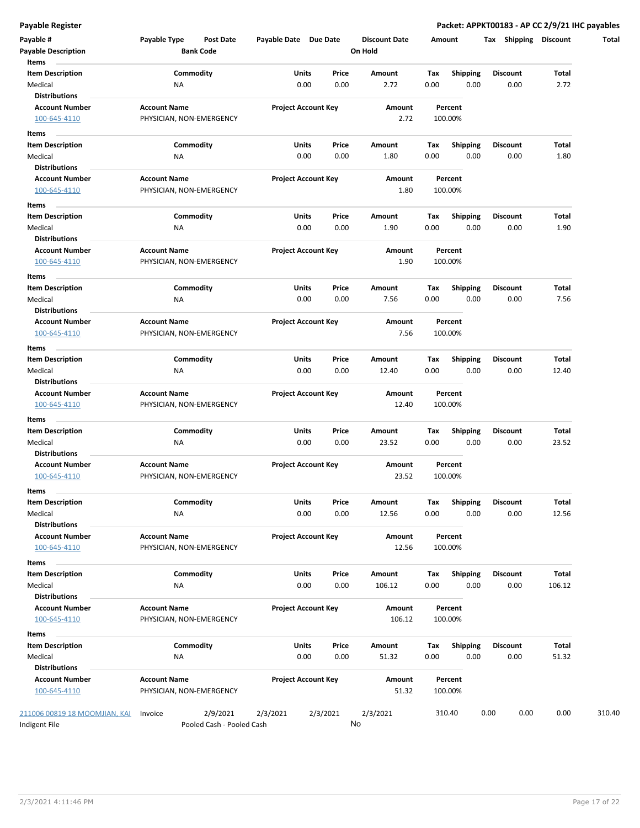| Payable #<br><b>Payable Description</b>       | Payable Type<br><b>Post Date</b><br><b>Bank Code</b> | Payable Date Due Date      |          | <b>Discount Date</b><br>On Hold | Amount                 | Shipping<br>Tax | <b>Discount</b> |
|-----------------------------------------------|------------------------------------------------------|----------------------------|----------|---------------------------------|------------------------|-----------------|-----------------|
| Items<br><b>Item Description</b>              | Commodity                                            | Units                      | Price    | Amount                          | Tax<br><b>Shipping</b> | <b>Discount</b> | Total           |
| Medical<br><b>Distributions</b>               | <b>NA</b>                                            | 0.00                       | 0.00     | 2.72                            | 0.00<br>0.00           | 0.00            | 2.72            |
| <b>Account Number</b>                         | <b>Account Name</b>                                  | <b>Project Account Key</b> |          | Amount                          | Percent                |                 |                 |
| 100-645-4110                                  | PHYSICIAN, NON-EMERGENCY                             |                            |          | 2.72                            | 100.00%                |                 |                 |
| Items                                         |                                                      |                            |          |                                 |                        |                 |                 |
| <b>Item Description</b>                       | Commodity                                            | Units                      | Price    | Amount                          | Tax<br><b>Shipping</b> | <b>Discount</b> | Total           |
| Medical                                       | NA                                                   | 0.00                       | 0.00     | 1.80                            | 0.00<br>0.00           | 0.00            | 1.80            |
| <b>Distributions</b><br><b>Account Number</b> | <b>Account Name</b>                                  | <b>Project Account Key</b> |          | Amount                          | Percent                |                 |                 |
| 100-645-4110                                  | PHYSICIAN, NON-EMERGENCY                             |                            |          | 1.80                            | 100.00%                |                 |                 |
|                                               |                                                      |                            |          |                                 |                        |                 |                 |
| Items                                         |                                                      |                            |          |                                 |                        |                 |                 |
| <b>Item Description</b>                       | Commodity                                            | Units                      | Price    | Amount                          | <b>Shipping</b><br>Тах | <b>Discount</b> | Total           |
| Medical                                       | ΝA                                                   | 0.00                       | 0.00     | 1.90                            | 0.00<br>0.00           | 0.00            | 1.90            |
| <b>Distributions</b>                          |                                                      |                            |          | Amount                          |                        |                 |                 |
| <b>Account Number</b><br>100-645-4110         | <b>Account Name</b><br>PHYSICIAN, NON-EMERGENCY      | <b>Project Account Key</b> |          | 1.90                            | Percent<br>100.00%     |                 |                 |
|                                               |                                                      |                            |          |                                 |                        |                 |                 |
| Items                                         |                                                      |                            |          |                                 |                        |                 |                 |
| <b>Item Description</b>                       | Commodity                                            | Units                      | Price    | Amount                          | Tax<br><b>Shipping</b> | Discount        | Total           |
| Medical                                       | NA                                                   | 0.00                       | 0.00     | 7.56                            | 0.00<br>0.00           | 0.00            | 7.56            |
| <b>Distributions</b>                          |                                                      |                            |          |                                 |                        |                 |                 |
| <b>Account Number</b>                         | <b>Account Name</b>                                  | <b>Project Account Key</b> |          | Amount                          | Percent                |                 |                 |
| 100-645-4110                                  | PHYSICIAN, NON-EMERGENCY                             |                            |          | 7.56                            | 100.00%                |                 |                 |
| Items                                         |                                                      |                            |          |                                 |                        |                 |                 |
| <b>Item Description</b>                       | Commodity                                            | Units                      | Price    | Amount                          | Tax<br><b>Shipping</b> | <b>Discount</b> | Total           |
| Medical                                       | ΝA                                                   | 0.00                       | 0.00     | 12.40                           | 0.00<br>0.00           | 0.00            | 12.40           |
| <b>Distributions</b>                          |                                                      |                            |          |                                 |                        |                 |                 |
| <b>Account Number</b><br>100-645-4110         | <b>Account Name</b><br>PHYSICIAN, NON-EMERGENCY      | <b>Project Account Key</b> |          | Amount<br>12.40                 | Percent<br>100.00%     |                 |                 |
| Items<br><b>Item Description</b>              | Commodity                                            | Units                      | Price    | Amount                          | Tax<br><b>Shipping</b> | <b>Discount</b> | Total           |
| Medical                                       | <b>NA</b>                                            | 0.00                       | 0.00     | 23.52                           | 0.00<br>0.00           | 0.00            | 23.52           |
| <b>Distributions</b>                          |                                                      |                            |          |                                 |                        |                 |                 |
| <b>Account Number</b>                         | <b>Account Name</b>                                  | <b>Project Account Key</b> |          | Amount                          | Percent                |                 |                 |
| 100-645-4110                                  | PHYSICIAN, NON-EMERGENCY                             |                            |          | 23.52                           | 100.00%                |                 |                 |
| Items                                         |                                                      |                            |          |                                 |                        |                 |                 |
| Item Description                              | Commodity                                            | Units                      | Price    | Amount                          | Тах<br><b>Shipping</b> | Discount        | Total           |
| Medical                                       | NA                                                   | 0.00                       | 0.00     | 12.56                           | 0.00<br>0.00           | 0.00            | 12.56           |
| <b>Distributions</b>                          |                                                      |                            |          |                                 |                        |                 |                 |
| <b>Account Number</b>                         | <b>Account Name</b>                                  | <b>Project Account Key</b> |          | Amount                          | Percent                |                 |                 |
| 100-645-4110                                  | PHYSICIAN, NON-EMERGENCY                             |                            |          | 12.56                           | 100.00%                |                 |                 |
| Items                                         |                                                      |                            |          |                                 |                        |                 |                 |
| <b>Item Description</b>                       | Commodity                                            | Units                      | Price    | Amount                          | <b>Shipping</b><br>Тах | <b>Discount</b> | Total           |
| Medical                                       | NA                                                   | 0.00                       | 0.00     | 106.12                          | 0.00<br>0.00           | 0.00            | 106.12          |
| <b>Distributions</b>                          |                                                      |                            |          |                                 |                        |                 |                 |
| <b>Account Number</b>                         | <b>Account Name</b>                                  | <b>Project Account Key</b> |          | Amount                          | Percent                |                 |                 |
| 100-645-4110                                  | PHYSICIAN, NON-EMERGENCY                             |                            |          | 106.12                          | 100.00%                |                 |                 |
|                                               |                                                      |                            |          |                                 |                        |                 |                 |
| Items                                         |                                                      |                            |          |                                 |                        |                 |                 |
| <b>Item Description</b>                       | Commodity                                            | Units                      | Price    | Amount                          | <b>Shipping</b><br>Tax | <b>Discount</b> | Total           |
| Medical<br><b>Distributions</b>               | <b>NA</b>                                            | 0.00                       | 0.00     | 51.32                           | 0.00<br>0.00           | 0.00            | 51.32           |
| <b>Account Number</b>                         | <b>Account Name</b>                                  | <b>Project Account Key</b> |          | Amount                          | Percent                |                 |                 |
| 100-645-4110                                  | PHYSICIAN, NON-EMERGENCY                             |                            |          | 51.32                           | 100.00%                |                 |                 |
| 211006 00819 18 MOOMJIAN, KAI                 | 2/9/2021<br>Invoice                                  | 2/3/2021                   | 2/3/2021 | 2/3/2021                        | 310.40                 | 0.00<br>0.00    | 0.00            |
| Indigent File                                 | Pooled Cash - Pooled Cash                            |                            |          | No                              |                        |                 |                 |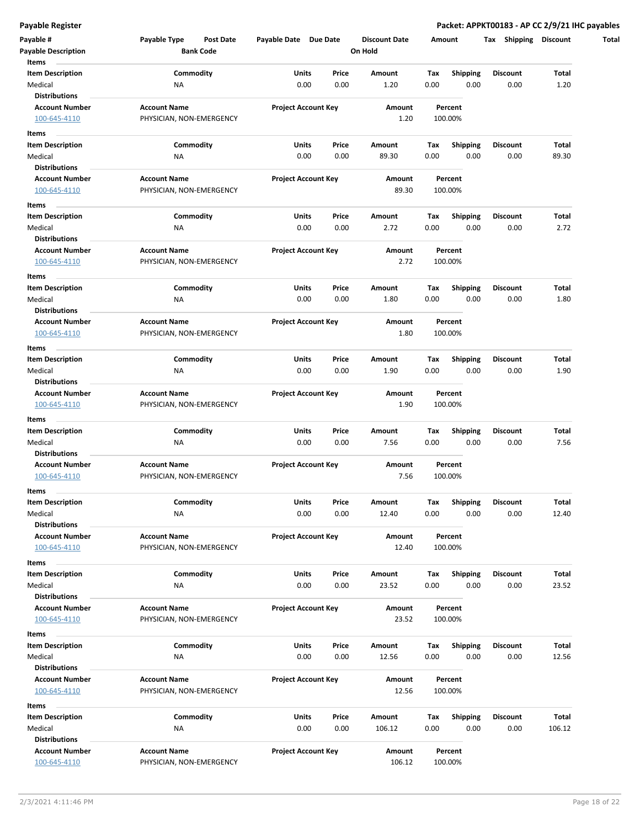| Payable #<br><b>Payable Description</b> | Payable Type<br>Post Date<br><b>Bank Code</b> | Payable Date Due Date      |       | <b>Discount Date</b><br>On Hold | Amount |                         | Tax Shipping    | <b>Discount</b> |
|-----------------------------------------|-----------------------------------------------|----------------------------|-------|---------------------------------|--------|-------------------------|-----------------|-----------------|
| Items                                   |                                               |                            |       |                                 |        |                         |                 |                 |
| <b>Item Description</b>                 | Commodity                                     | Units                      | Price | Amount                          | Tax    | <b>Shipping</b>         | <b>Discount</b> | Total           |
| Medical                                 | ΝA                                            | 0.00                       | 0.00  | 1.20                            | 0.00   | 0.00                    | 0.00            | 1.20            |
| <b>Distributions</b>                    |                                               |                            |       |                                 |        |                         |                 |                 |
| <b>Account Number</b>                   | <b>Account Name</b>                           | <b>Project Account Key</b> |       | Amount                          |        | Percent                 |                 |                 |
| 100-645-4110                            | PHYSICIAN, NON-EMERGENCY                      |                            |       | 1.20                            |        | 100.00%                 |                 |                 |
|                                         |                                               |                            |       |                                 |        |                         |                 |                 |
| Items                                   |                                               |                            |       |                                 |        |                         |                 |                 |
| <b>Item Description</b>                 | Commodity                                     | Units                      | Price | Amount                          | Тах    | <b>Shipping</b>         | <b>Discount</b> | Total           |
| Medical                                 | ΝA                                            | 0.00                       | 0.00  | 89.30                           | 0.00   | 0.00                    | 0.00            | 89.30           |
| <b>Distributions</b>                    |                                               |                            |       |                                 |        |                         |                 |                 |
| <b>Account Number</b>                   | <b>Account Name</b>                           | <b>Project Account Key</b> |       | Amount                          |        | Percent                 |                 |                 |
| 100-645-4110                            | PHYSICIAN, NON-EMERGENCY                      |                            |       | 89.30                           |        | 100.00%                 |                 |                 |
| Items                                   |                                               |                            |       |                                 |        |                         |                 |                 |
| <b>Item Description</b>                 | Commodity                                     | Units                      | Price | Amount                          | Tax    | <b>Shipping</b>         | <b>Discount</b> | Total           |
| Medical                                 | ΝA                                            | 0.00                       | 0.00  | 2.72                            | 0.00   | 0.00                    | 0.00            | 2.72            |
| <b>Distributions</b>                    |                                               |                            |       |                                 |        |                         |                 |                 |
| <b>Account Number</b>                   | <b>Account Name</b>                           | <b>Project Account Key</b> |       | Amount                          |        | Percent                 |                 |                 |
| 100-645-4110                            | PHYSICIAN, NON-EMERGENCY                      |                            |       | 2.72                            |        | 100.00%                 |                 |                 |
| Items                                   |                                               |                            |       |                                 |        |                         |                 |                 |
| <b>Item Description</b>                 | Commodity                                     | Units                      | Price | Amount                          | Tax    | <b>Shipping</b>         | <b>Discount</b> | Total           |
| Medical                                 | <b>NA</b>                                     | 0.00                       | 0.00  | 1.80                            | 0.00   | 0.00                    | 0.00            | 1.80            |
| <b>Distributions</b>                    |                                               |                            |       |                                 |        |                         |                 |                 |
| <b>Account Number</b>                   | <b>Account Name</b>                           | <b>Project Account Key</b> |       | Amount                          |        | Percent                 |                 |                 |
| 100-645-4110                            | PHYSICIAN, NON-EMERGENCY                      |                            |       | 1.80                            |        | 100.00%                 |                 |                 |
|                                         |                                               |                            |       |                                 |        |                         |                 |                 |
| Items                                   |                                               |                            |       |                                 |        |                         |                 |                 |
| <b>Item Description</b>                 | Commodity                                     | Units                      | Price | Amount                          | Tax    | <b>Shipping</b>         | <b>Discount</b> | Total           |
| Medical                                 | NA                                            | 0.00                       | 0.00  | 1.90                            | 0.00   | 0.00                    | 0.00            | 1.90            |
| <b>Distributions</b>                    |                                               |                            |       |                                 |        |                         |                 |                 |
| <b>Account Number</b>                   | <b>Account Name</b>                           | <b>Project Account Key</b> |       | Amount                          |        | Percent                 |                 |                 |
| 100-645-4110                            | PHYSICIAN, NON-EMERGENCY                      |                            |       | 1.90                            |        | 100.00%                 |                 |                 |
| Items                                   |                                               |                            |       |                                 |        |                         |                 |                 |
| <b>Item Description</b>                 | Commodity                                     | Units                      | Price | Amount                          | Тах    | <b>Shipping</b>         | <b>Discount</b> | Total           |
| Medical                                 | ΝA                                            | 0.00                       | 0.00  | 7.56                            | 0.00   | 0.00                    | 0.00            | 7.56            |
| <b>Distributions</b>                    |                                               |                            |       |                                 |        |                         |                 |                 |
| <b>Account Number</b>                   | <b>Account Name</b>                           | <b>Project Account Key</b> |       | Amount                          |        | Percent                 |                 |                 |
| 100-645-4110                            | PHYSICIAN, NON-EMERGENCY                      |                            |       | 7.56                            |        | 100.00%                 |                 |                 |
| Items                                   |                                               |                            |       |                                 |        |                         |                 |                 |
| <b>Item Description</b>                 | Commodity                                     | Units                      | Price | Amount                          | Tax    | Shipping                | Discount        | Total           |
| Medical                                 | NA                                            | 0.00                       | 0.00  | 12.40                           | 0.00   | 0.00                    | 0.00            | 12.40           |
| <b>Distributions</b>                    |                                               |                            |       |                                 |        |                         |                 |                 |
| <b>Account Number</b>                   | <b>Account Name</b>                           | <b>Project Account Key</b> |       | Amount                          |        | Percent                 |                 |                 |
| 100-645-4110                            | PHYSICIAN, NON-EMERGENCY                      |                            |       | 12.40                           |        | 100.00%                 |                 |                 |
|                                         |                                               |                            |       |                                 |        |                         |                 |                 |
| Items                                   |                                               |                            |       |                                 |        |                         |                 |                 |
| <b>Item Description</b>                 | Commodity                                     | Units                      | Price | Amount                          | Tax    | Shipping                | <b>Discount</b> | Total           |
| Medical                                 | <b>NA</b>                                     | 0.00                       | 0.00  | 23.52                           | 0.00   | 0.00                    | 0.00            | 23.52           |
| <b>Distributions</b>                    |                                               |                            |       |                                 |        |                         |                 |                 |
| <b>Account Number</b>                   | <b>Account Name</b>                           | <b>Project Account Key</b> |       | Amount                          |        | Percent                 |                 |                 |
| 100-645-4110                            | PHYSICIAN, NON-EMERGENCY                      |                            |       | 23.52                           |        | 100.00%                 |                 |                 |
| Items                                   |                                               |                            |       |                                 |        |                         |                 |                 |
| <b>Item Description</b>                 | Commodity                                     | Units                      | Price | Amount                          | Tax    | <b>Shipping</b>         | <b>Discount</b> | Total           |
| Medical                                 | <b>NA</b>                                     | 0.00                       | 0.00  | 12.56                           | 0.00   | 0.00                    | 0.00            | 12.56           |
| <b>Distributions</b>                    |                                               |                            |       |                                 |        |                         |                 |                 |
| <b>Account Number</b>                   | <b>Account Name</b>                           | <b>Project Account Key</b> |       | Amount                          |        | Percent                 |                 |                 |
| 100-645-4110                            | PHYSICIAN, NON-EMERGENCY                      |                            |       | 12.56                           |        | 100.00%                 |                 |                 |
| Items                                   |                                               |                            |       |                                 |        |                         |                 |                 |
| <b>Item Description</b>                 | Commodity                                     | Units                      | Price | Amount                          | Tax    |                         | Discount        | Total           |
| Medical                                 | <b>NA</b>                                     | 0.00                       | 0.00  | 106.12                          | 0.00   | <b>Shipping</b><br>0.00 | 0.00            | 106.12          |
| <b>Distributions</b>                    |                                               |                            |       |                                 |        |                         |                 |                 |
| <b>Account Number</b>                   | <b>Account Name</b>                           | <b>Project Account Key</b> |       | Amount                          |        | Percent                 |                 |                 |
|                                         |                                               |                            |       |                                 |        |                         |                 |                 |
| 100-645-4110                            | PHYSICIAN, NON-EMERGENCY                      |                            |       | 106.12                          |        | 100.00%                 |                 |                 |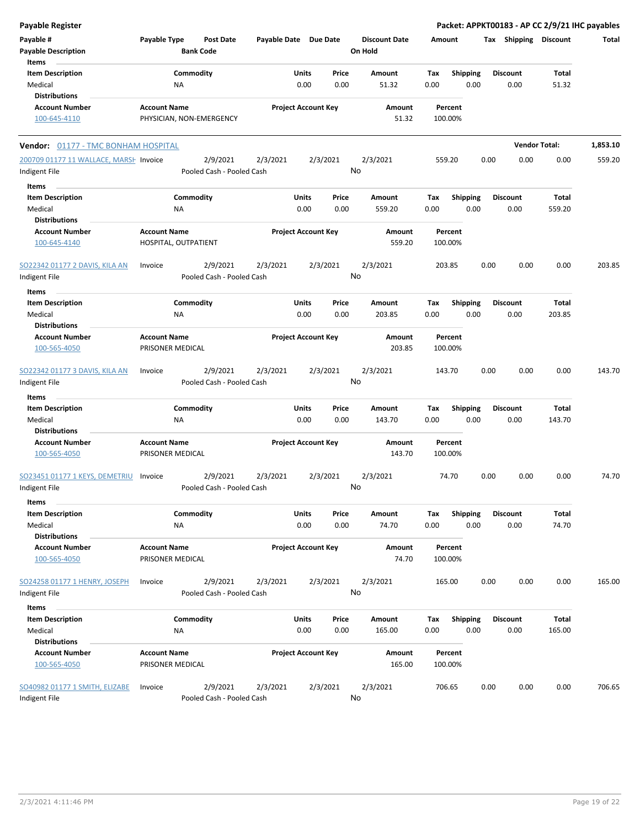| <b>Payable Register</b>                    |                          |                                       |                       |                            |          |                      |        |                 |      |                       | Packet: APPKT00183 - AP CC 2/9/21 IHC payables |          |
|--------------------------------------------|--------------------------|---------------------------------------|-----------------------|----------------------------|----------|----------------------|--------|-----------------|------|-----------------------|------------------------------------------------|----------|
| Payable #                                  | Payable Type             | <b>Post Date</b>                      | Payable Date Due Date |                            |          | <b>Discount Date</b> | Amount |                 |      | Tax Shipping Discount |                                                | Total    |
| <b>Payable Description</b>                 |                          | <b>Bank Code</b>                      |                       |                            |          | On Hold              |        |                 |      |                       |                                                |          |
| Items                                      |                          |                                       |                       |                            |          |                      |        |                 |      |                       |                                                |          |
| <b>Item Description</b>                    |                          | Commodity                             |                       | Units                      | Price    | Amount               | Tax    | Shipping        |      | <b>Discount</b>       | Total                                          |          |
| Medical                                    | NA                       |                                       |                       | 0.00                       | 0.00     | 51.32                | 0.00   | 0.00            |      | 0.00                  | 51.32                                          |          |
| <b>Distributions</b>                       |                          |                                       |                       |                            |          |                      |        |                 |      |                       |                                                |          |
| <b>Account Number</b>                      | <b>Account Name</b>      |                                       |                       | <b>Project Account Key</b> |          | Amount               |        | Percent         |      |                       |                                                |          |
| 100-645-4110                               | PHYSICIAN, NON-EMERGENCY |                                       |                       |                            |          | 51.32                |        | 100.00%         |      |                       |                                                |          |
|                                            |                          |                                       |                       |                            |          |                      |        |                 |      |                       |                                                |          |
| <b>Vendor: 01177 - TMC BONHAM HOSPITAL</b> |                          |                                       |                       |                            |          |                      |        |                 |      |                       | <b>Vendor Total:</b>                           | 1,853.10 |
| 200709 01177 11 WALLACE, MARSH Invoice     |                          | 2/9/2021                              | 2/3/2021              |                            | 2/3/2021 | 2/3/2021             |        | 559.20          | 0.00 | 0.00                  | 0.00                                           | 559.20   |
| Indigent File                              |                          | Pooled Cash - Pooled Cash             |                       |                            |          | No                   |        |                 |      |                       |                                                |          |
|                                            |                          |                                       |                       |                            |          |                      |        |                 |      |                       |                                                |          |
| Items                                      |                          |                                       |                       |                            |          |                      |        |                 |      |                       |                                                |          |
| <b>Item Description</b>                    |                          | Commodity                             |                       | Units                      | Price    | Amount               | Tax    | Shipping        |      | <b>Discount</b>       | Total                                          |          |
| Medical                                    | ΝA                       |                                       |                       | 0.00                       | 0.00     | 559.20               | 0.00   | 0.00            |      | 0.00                  | 559.20                                         |          |
| <b>Distributions</b>                       |                          |                                       |                       |                            |          |                      |        |                 |      |                       |                                                |          |
| <b>Account Number</b>                      | <b>Account Name</b>      |                                       |                       | <b>Project Account Key</b> |          | Amount               |        | Percent         |      |                       |                                                |          |
| 100-645-4140                               | HOSPITAL, OUTPATIENT     |                                       |                       |                            |          | 559.20               |        | 100.00%         |      |                       |                                                |          |
|                                            |                          |                                       |                       |                            |          |                      |        |                 |      |                       |                                                |          |
| SO22342 01177 2 DAVIS, KILA AN             | Invoice                  | 2/9/2021<br>Pooled Cash - Pooled Cash | 2/3/2021              |                            | 2/3/2021 | 2/3/2021<br>No       |        | 203.85          | 0.00 | 0.00                  | 0.00                                           | 203.85   |
| Indigent File                              |                          |                                       |                       |                            |          |                      |        |                 |      |                       |                                                |          |
| Items                                      |                          |                                       |                       |                            |          |                      |        |                 |      |                       |                                                |          |
| <b>Item Description</b>                    |                          | Commodity                             |                       | Units                      | Price    | Amount               | Tax    | <b>Shipping</b> |      | <b>Discount</b>       | Total                                          |          |
| Medical                                    | ΝA                       |                                       |                       | 0.00                       | 0.00     | 203.85               | 0.00   | 0.00            |      | 0.00                  | 203.85                                         |          |
| <b>Distributions</b>                       |                          |                                       |                       |                            |          |                      |        |                 |      |                       |                                                |          |
| <b>Account Number</b>                      | <b>Account Name</b>      |                                       |                       | <b>Project Account Key</b> |          | Amount               |        | Percent         |      |                       |                                                |          |
| 100-565-4050                               | PRISONER MEDICAL         |                                       |                       |                            |          | 203.85               |        | 100.00%         |      |                       |                                                |          |
|                                            |                          |                                       |                       |                            |          |                      |        |                 |      |                       |                                                |          |
| <b>SO22342 01177 3 DAVIS, KILA AN</b>      | Invoice                  | 2/9/2021                              | 2/3/2021              |                            | 2/3/2021 | 2/3/2021             |        | 143.70          | 0.00 | 0.00                  | 0.00                                           | 143.70   |
| Indigent File                              |                          | Pooled Cash - Pooled Cash             |                       |                            |          | No                   |        |                 |      |                       |                                                |          |
| Items                                      |                          |                                       |                       |                            |          |                      |        |                 |      |                       |                                                |          |
| <b>Item Description</b>                    |                          | Commodity                             |                       | Units                      | Price    | Amount               | Tax    | Shipping        |      | <b>Discount</b>       | Total                                          |          |
| Medical                                    | NA                       |                                       |                       | 0.00                       | 0.00     | 143.70               | 0.00   | 0.00            |      | 0.00                  | 143.70                                         |          |
| <b>Distributions</b>                       |                          |                                       |                       |                            |          |                      |        |                 |      |                       |                                                |          |
| <b>Account Number</b>                      | <b>Account Name</b>      |                                       |                       | <b>Project Account Key</b> |          | Amount               |        | Percent         |      |                       |                                                |          |
| 100-565-4050                               | PRISONER MEDICAL         |                                       |                       |                            |          | 143.70               |        | 100.00%         |      |                       |                                                |          |
|                                            |                          |                                       |                       |                            |          |                      |        |                 |      |                       |                                                |          |
| SO23451 01177 1 KEYS, DEMETRIU             | Invoice                  | 2/9/2021                              | 2/3/2021              |                            | 2/3/2021 | 2/3/2021             |        | 74.70           | 0.00 | 0.00                  | 0.00                                           | 74.70    |
| Indigent File                              |                          | Pooled Cash - Pooled Cash             |                       |                            |          | No                   |        |                 |      |                       |                                                |          |
| Items                                      |                          |                                       |                       |                            |          |                      |        |                 |      |                       |                                                |          |
| <b>Item Description</b>                    |                          | Commodity                             |                       | Units                      | Price    | Amount               | Tax    | <b>Shipping</b> |      | <b>Discount</b>       | Total                                          |          |
| Medical                                    | NA                       |                                       |                       | 0.00                       | 0.00     | 74.70                | 0.00   | 0.00            |      | 0.00                  | 74.70                                          |          |
| <b>Distributions</b>                       |                          |                                       |                       |                            |          |                      |        |                 |      |                       |                                                |          |
| <b>Account Number</b>                      | <b>Account Name</b>      |                                       |                       | <b>Project Account Key</b> |          | Amount               |        | Percent         |      |                       |                                                |          |
| 100-565-4050                               | PRISONER MEDICAL         |                                       |                       |                            |          | 74.70                |        | 100.00%         |      |                       |                                                |          |
|                                            |                          |                                       |                       |                            |          |                      |        |                 |      |                       |                                                |          |
| SO24258 01177 1 HENRY, JOSEPH              | Invoice                  | 2/9/2021                              | 2/3/2021              |                            | 2/3/2021 | 2/3/2021             |        | 165.00          | 0.00 | 0.00                  | 0.00                                           | 165.00   |
| Indigent File                              |                          | Pooled Cash - Pooled Cash             |                       |                            |          | No                   |        |                 |      |                       |                                                |          |
|                                            |                          |                                       |                       |                            |          |                      |        |                 |      |                       |                                                |          |
| Items                                      |                          |                                       |                       |                            |          |                      |        |                 |      |                       |                                                |          |
| <b>Item Description</b>                    |                          | Commodity                             |                       | Units                      | Price    | Amount               | Tax    | Shipping        |      | <b>Discount</b>       | Total                                          |          |
| Medical                                    | NA                       |                                       |                       | 0.00                       | 0.00     | 165.00               | 0.00   | 0.00            |      | 0.00                  | 165.00                                         |          |
| <b>Distributions</b>                       |                          |                                       |                       |                            |          |                      |        |                 |      |                       |                                                |          |
| <b>Account Number</b>                      | <b>Account Name</b>      |                                       |                       | <b>Project Account Key</b> |          | Amount               |        | Percent         |      |                       |                                                |          |
| 100-565-4050                               | PRISONER MEDICAL         |                                       |                       |                            |          | 165.00               |        | 100.00%         |      |                       |                                                |          |
|                                            |                          |                                       |                       |                            |          |                      |        |                 |      |                       |                                                |          |
| SO40982 01177 1 SMITH, ELIZABE             | Invoice                  | 2/9/2021                              | 2/3/2021              |                            | 2/3/2021 | 2/3/2021             |        | 706.65          | 0.00 | 0.00                  | 0.00                                           | 706.65   |
| Indigent File                              |                          | Pooled Cash - Pooled Cash             |                       |                            |          | No                   |        |                 |      |                       |                                                |          |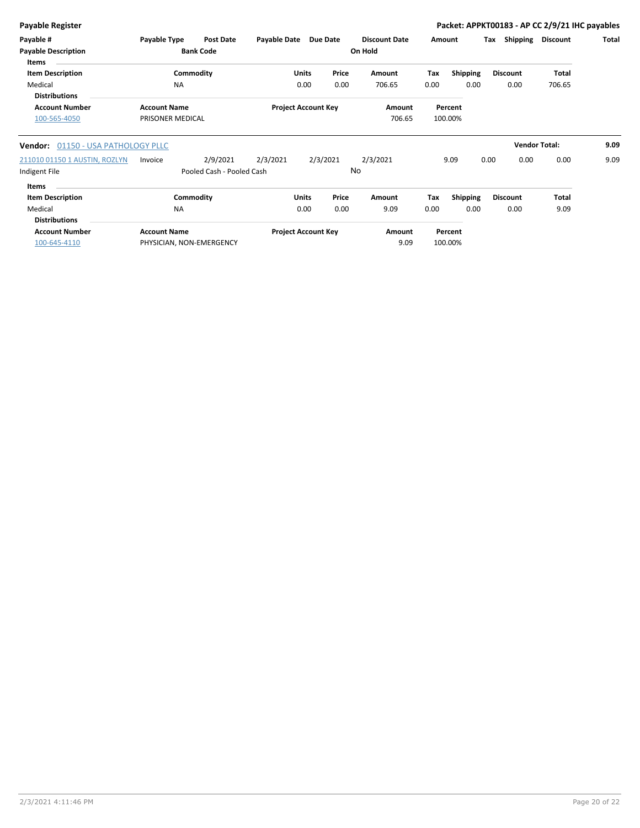| <b>Payable Register</b>                                             |                                         |                        |                                       |              |                            |                       |                                 |             |                         |      |                         |                      | Packet: APPKT00183 - AP CC 2/9/21 IHC payables |
|---------------------------------------------------------------------|-----------------------------------------|------------------------|---------------------------------------|--------------|----------------------------|-----------------------|---------------------------------|-------------|-------------------------|------|-------------------------|----------------------|------------------------------------------------|
| Payable #<br><b>Payable Description</b><br><b>Items</b>             | Payable Type                            |                        | <b>Post Date</b><br><b>Bank Code</b>  | Payable Date |                            | Due Date              | <b>Discount Date</b><br>On Hold | Amount      |                         | Tax  | Shipping                | <b>Discount</b>      | Total                                          |
| <b>Item Description</b><br>Medical<br><b>Distributions</b>          |                                         | Commodity<br><b>NA</b> |                                       |              | Units<br>0.00              | Price<br>0.00         | Amount<br>706.65                | Tax<br>0.00 | <b>Shipping</b><br>0.00 |      | <b>Discount</b><br>0.00 | Total<br>706.65      |                                                |
| <b>Account Number</b><br>100-565-4050                               | <b>Account Name</b><br>PRISONER MEDICAL |                        |                                       |              | <b>Project Account Key</b> |                       | Amount<br>706.65                |             | Percent<br>100.00%      |      |                         |                      |                                                |
| 01150 - USA PATHOLOGY PLLC<br>Vendor:                               |                                         |                        |                                       |              |                            |                       |                                 |             |                         |      |                         | <b>Vendor Total:</b> | 9.09                                           |
| 211010 01150 1 AUSTIN, ROZLYN<br>Indigent File                      | Invoice                                 |                        | 2/9/2021<br>Pooled Cash - Pooled Cash | 2/3/2021     |                            | 2/3/2021<br><b>No</b> | 2/3/2021                        |             | 9.09                    | 0.00 | 0.00                    | 0.00                 | 9.09                                           |
| Items<br><b>Item Description</b><br>Medical<br><b>Distributions</b> |                                         | Commodity<br><b>NA</b> |                                       |              | <b>Units</b><br>0.00       | Price<br>0.00         | Amount<br>9.09                  | Tax<br>0.00 | <b>Shipping</b><br>0.00 |      | <b>Discount</b><br>0.00 | Total<br>9.09        |                                                |
| <b>Account Number</b><br>100-645-4110                               | <b>Account Name</b>                     |                        | PHYSICIAN, NON-EMERGENCY              |              | <b>Project Account Key</b> |                       | Amount<br>9.09                  |             | Percent<br>100.00%      |      |                         |                      |                                                |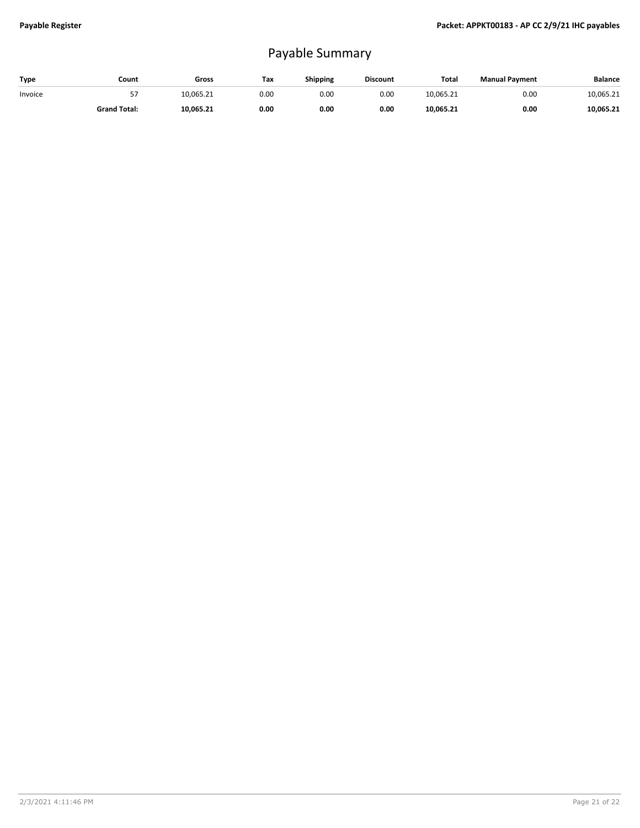# Payable Summary

| <b>Type</b> | Count               | Gross     | Tax  | <b>Shipping</b> | <b>Discount</b> | Total     | <b>Manual Payment</b> | <b>Balance</b> |
|-------------|---------------------|-----------|------|-----------------|-----------------|-----------|-----------------------|----------------|
| Invoice     |                     | 10.065.21 | 0.00 | 0.00            | 0.00            | 10.065.21 | 0.00                  | 10,065.21      |
|             | <b>Grand Total:</b> | 10.065.21 | 0.00 | 0.00            | 0.00            | 10,065.21 | 0.00                  | 10,065.21      |